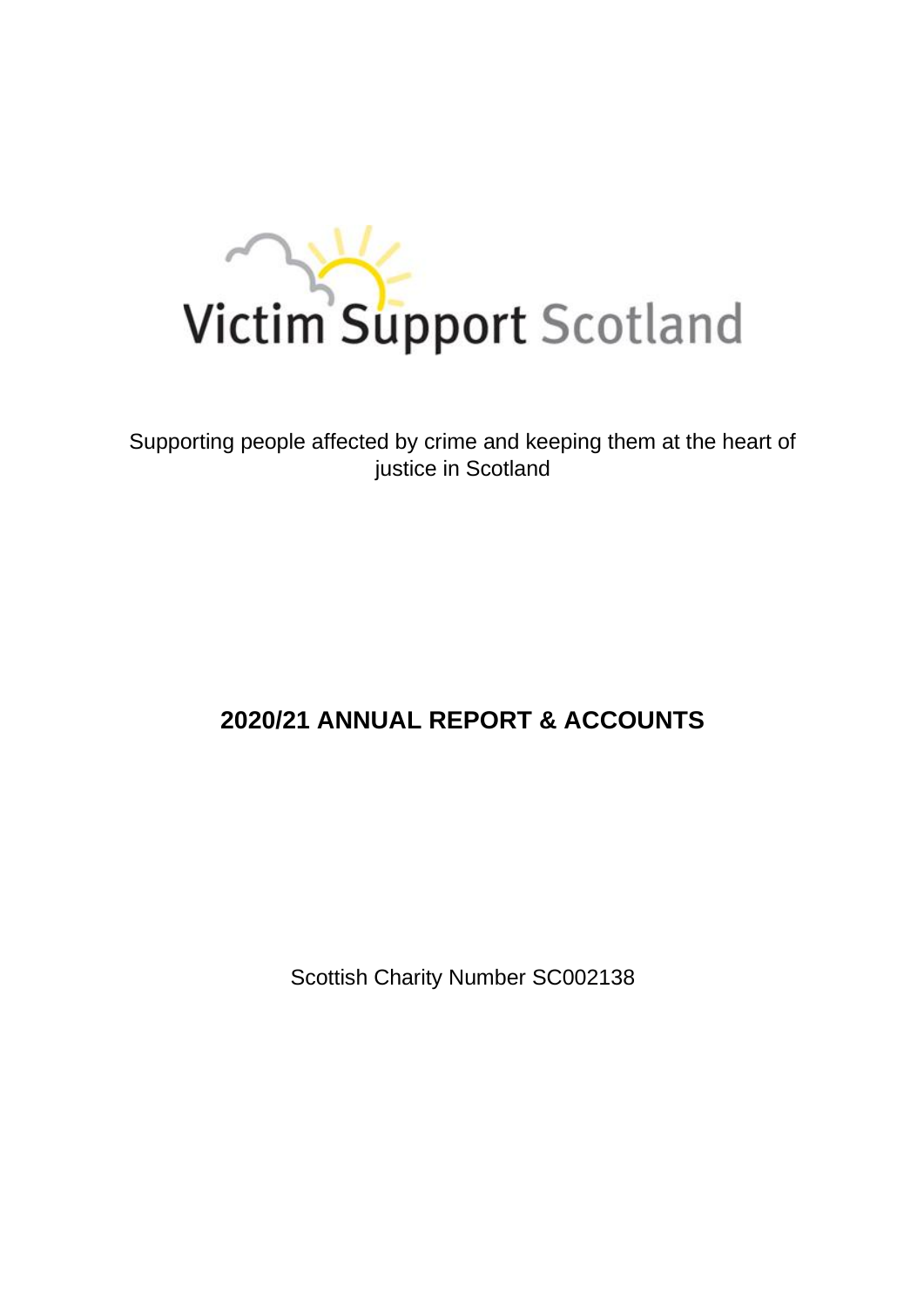

Supporting people affected by crime and keeping them at the heart of justice in Scotland

# **2020/21 ANNUAL REPORT & ACCOUNTS**

Scottish Charity Number SC002138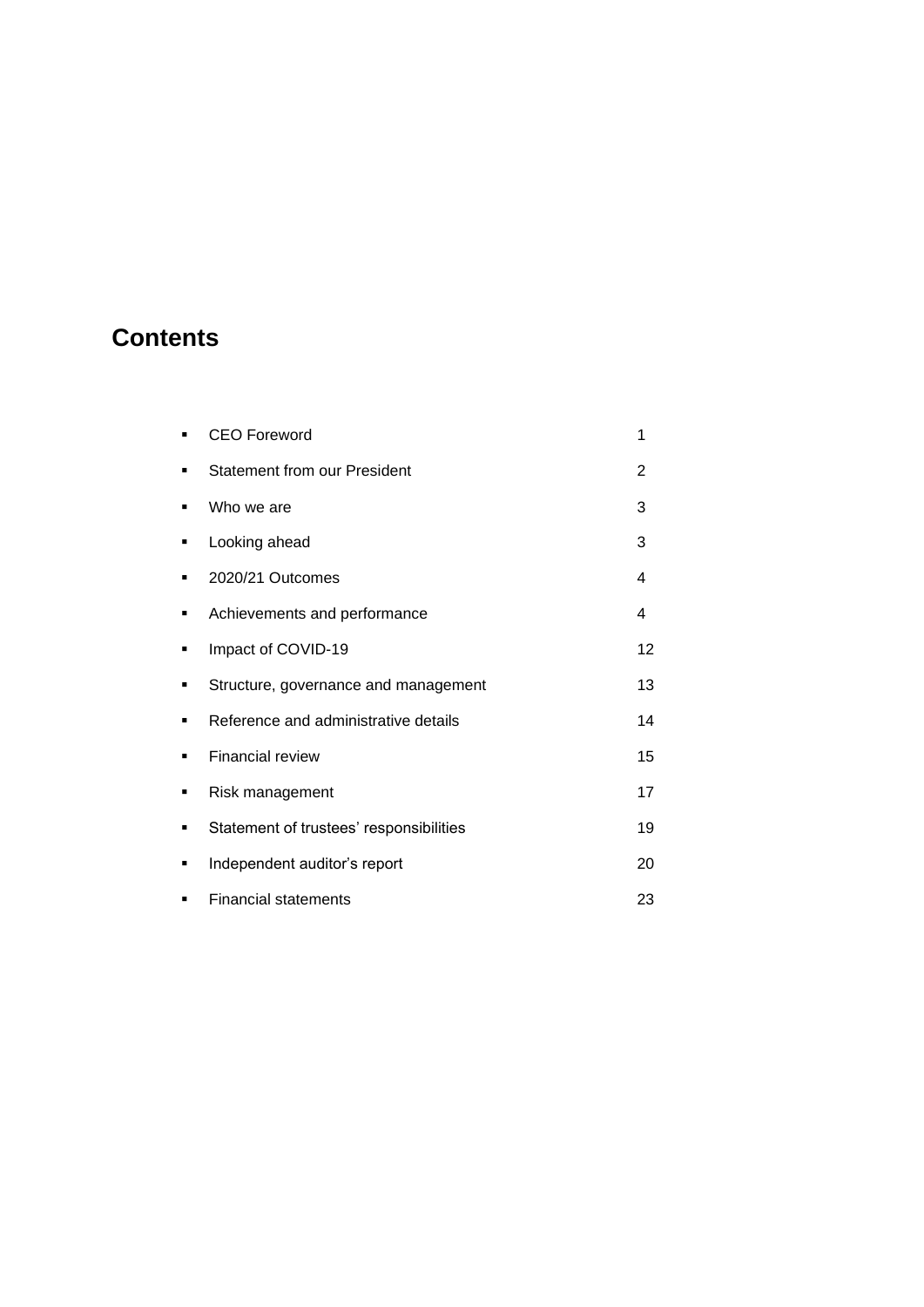# **Contents**

|   | <b>CEO Foreword</b>                     | 1  |
|---|-----------------------------------------|----|
| ٠ | <b>Statement from our President</b>     | 2  |
| ٠ | Who we are                              | 3  |
| ٠ | Looking ahead                           | 3  |
| ■ | 2020/21 Outcomes                        | 4  |
| ٠ | Achievements and performance            | 4  |
| ٠ | Impact of COVID-19                      | 12 |
| ■ | Structure, governance and management    | 13 |
| ٠ | Reference and administrative details    | 14 |
| ٠ | <b>Financial review</b>                 | 15 |
| ٠ | Risk management                         | 17 |
| ٠ | Statement of trustees' responsibilities | 19 |
| ٠ | Independent auditor's report            | 20 |
| ٠ | <b>Financial statements</b>             | 23 |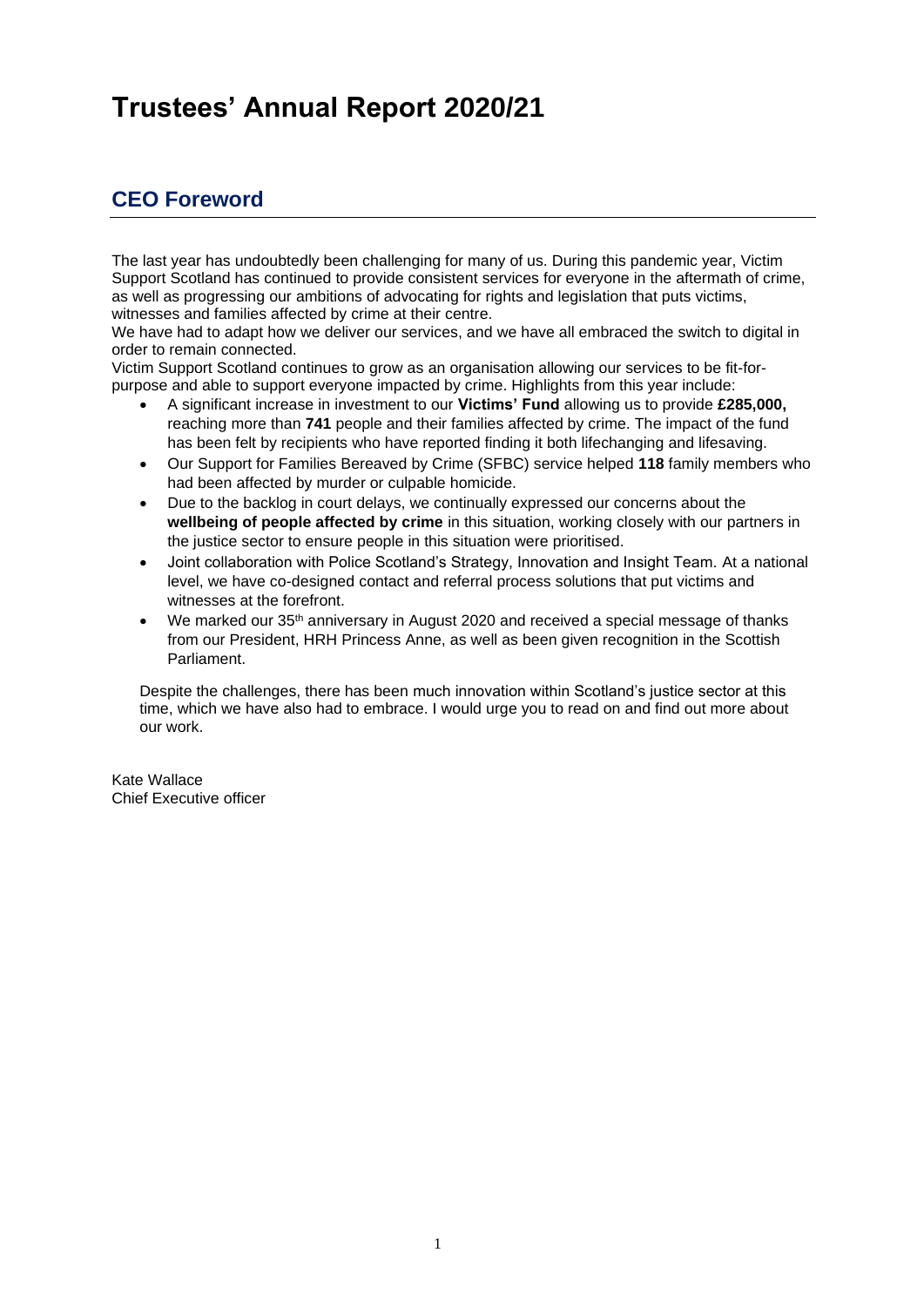# **Trustees' Annual Report 2020/21**

# **CEO Foreword**

The last year has undoubtedly been challenging for many of us. During this pandemic year, Victim Support Scotland has continued to provide consistent services for everyone in the aftermath of crime, as well as progressing our ambitions of advocating for rights and legislation that puts victims, witnesses and families affected by crime at their centre.

We have had to adapt how we deliver our services, and we have all embraced the switch to digital in order to remain connected.

Victim Support Scotland continues to grow as an organisation allowing our services to be fit-forpurpose and able to support everyone impacted by crime. Highlights from this year include:

- A significant increase in investment to our **Victims' Fund** allowing us to provide **£285,000,** reaching more than **741** people and their families affected by crime. The impact of the fund has been felt by recipients who have reported finding it both lifechanging and lifesaving.
- Our Support for Families Bereaved by Crime (SFBC) service helped **118** family members who had been affected by murder or culpable homicide.
- Due to the backlog in court delays, we continually expressed our concerns about the **wellbeing of people affected by crime** in this situation, working closely with our partners in the justice sector to ensure people in this situation were prioritised.
- Joint collaboration with Police Scotland's Strategy, Innovation and Insight Team. At a national level, we have co-designed contact and referral process solutions that put victims and witnesses at the forefront.
- We marked our 35<sup>th</sup> anniversary in August 2020 and received a special message of thanks from our President, HRH Princess Anne, as well as been given recognition in the Scottish Parliament.

Despite the challenges, there has been much innovation within Scotland's justice sector at this time, which we have also had to embrace. I would urge you to read on and find out more about our work.

Kate Wallace Chief Executive officer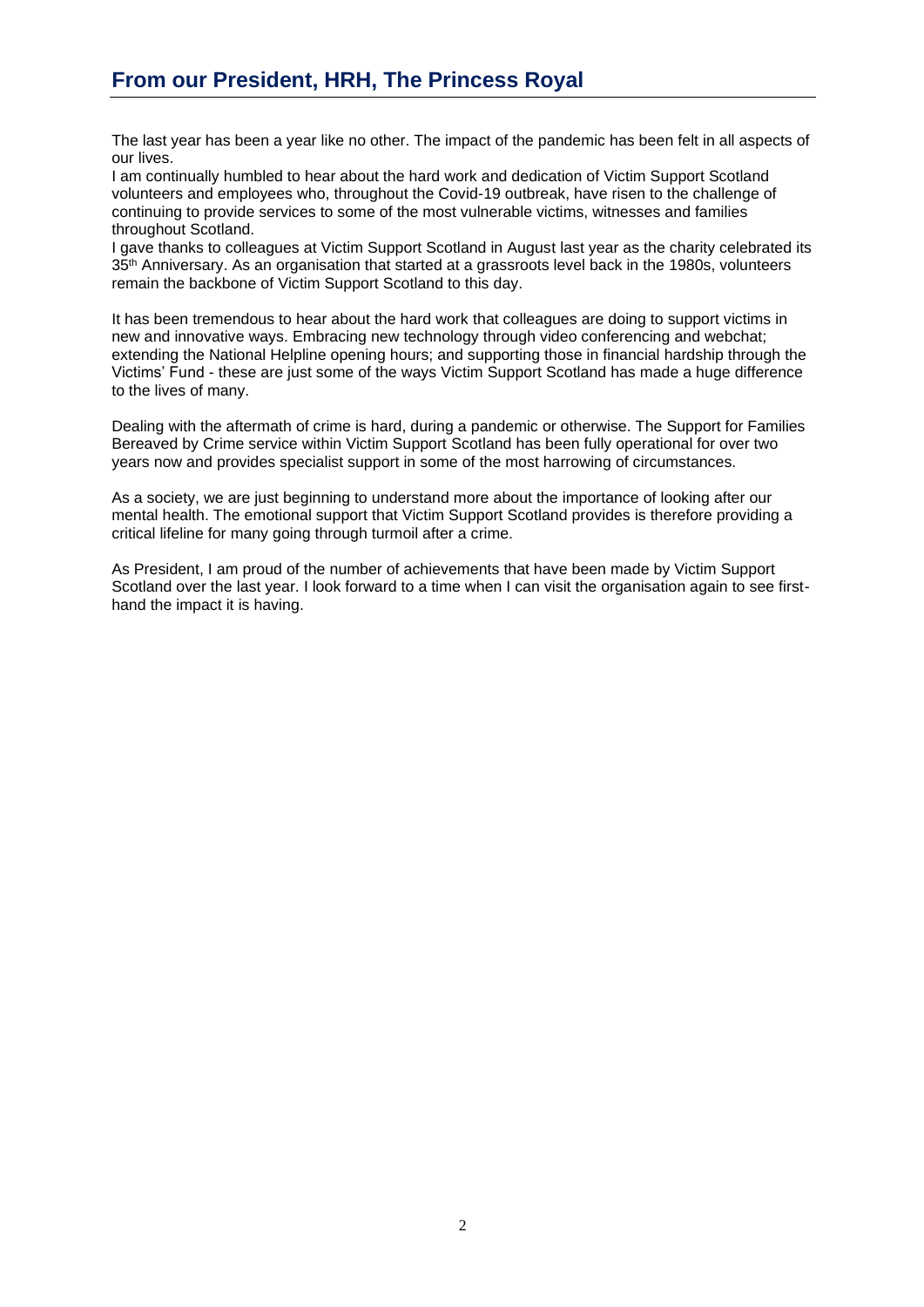The last year has been a year like no other. The impact of the pandemic has been felt in all aspects of our lives.

I am continually humbled to hear about the hard work and dedication of Victim Support Scotland volunteers and employees who, throughout the Covid-19 outbreak, have risen to the challenge of continuing to provide services to some of the most vulnerable victims, witnesses and families throughout Scotland.

I gave thanks to colleagues at Victim Support Scotland in August last year as the charity celebrated its 35<sup>th</sup> Anniversary. As an organisation that started at a grassroots level back in the 1980s, volunteers remain the backbone of Victim Support Scotland to this day.

It has been tremendous to hear about the hard work that colleagues are doing to support victims in new and innovative ways. Embracing new technology through video conferencing and webchat; extending the National Helpline opening hours; and supporting those in financial hardship through the Victims' Fund - these are just some of the ways Victim Support Scotland has made a huge difference to the lives of many.

Dealing with the aftermath of crime is hard, during a pandemic or otherwise. The Support for Families Bereaved by Crime service within Victim Support Scotland has been fully operational for over two years now and provides specialist support in some of the most harrowing of circumstances.

As a society, we are just beginning to understand more about the importance of looking after our mental health. The emotional support that Victim Support Scotland provides is therefore providing a critical lifeline for many going through turmoil after a crime.

As President, I am proud of the number of achievements that have been made by Victim Support Scotland over the last year. I look forward to a time when I can visit the organisation again to see firsthand the impact it is having.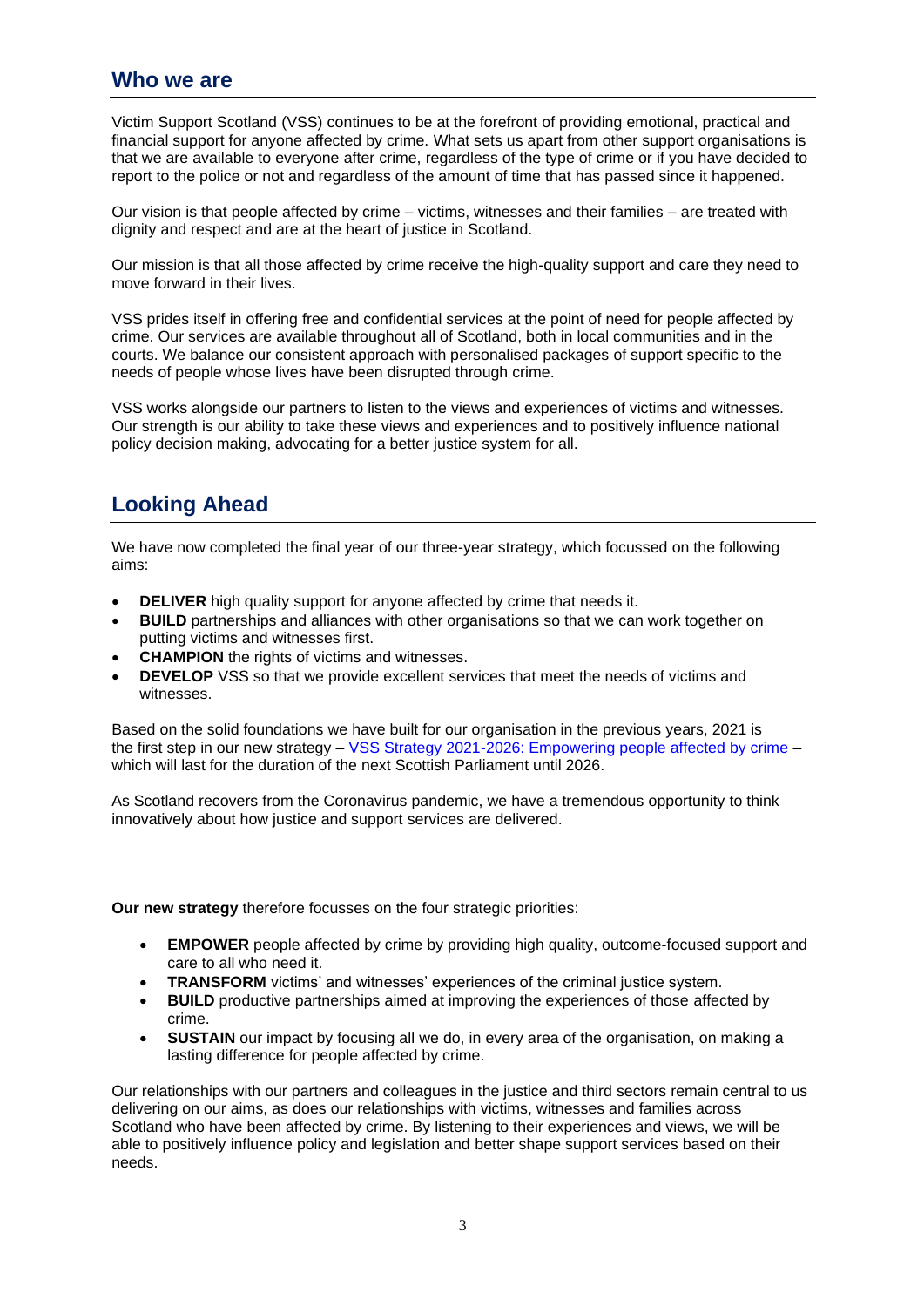# **Who we are**

Victim Support Scotland (VSS) continues to be at the forefront of providing emotional, practical and financial support for anyone affected by crime. What sets us apart from other support organisations is that we are available to everyone after crime, regardless of the type of crime or if you have decided to report to the police or not and regardless of the amount of time that has passed since it happened.

Our vision is that people affected by crime – victims, witnesses and their families – are treated with dignity and respect and are at the heart of justice in Scotland.

Our mission is that all those affected by crime receive the high-quality support and care they need to move forward in their lives.

VSS prides itself in offering free and confidential services at the point of need for people affected by crime. Our services are available throughout all of Scotland, both in local communities and in the courts. We balance our consistent approach with personalised packages of support specific to the needs of people whose lives have been disrupted through crime.

VSS works alongside our partners to listen to the views and experiences of victims and witnesses. Our strength is our ability to take these views and experiences and to positively influence national policy decision making, advocating for a better justice system for all.

# **Looking Ahead**

We have now completed the final year of our three-year strategy, which focussed on the following aims:

- **DELIVER** high quality support for anyone affected by crime that needs it.
- **BUILD** partnerships and alliances with other organisations so that we can work together on putting victims and witnesses first.
- **CHAMPION** the rights of victims and witnesses.
- **DEVELOP** VSS so that we provide excellent services that meet the needs of victims and witnesses.

Based on the solid foundations we have built for our organisation in the previous years, 2021 is the first step in our new strategy – [VSS Strategy 2021-2026: Empowering people affected by crime](https://victimsupport.scot/about-us/news-list/five-year-plan-to-transform-victims-experience-of-justice-in-scotland/) – which will last for the duration of the next Scottish Parliament until 2026.

As Scotland recovers from the Coronavirus pandemic, we have a tremendous opportunity to think innovatively about how justice and support services are delivered.

**Our new strategy** therefore focusses on the four strategic priorities:

- **EMPOWER** people affected by crime by providing high quality, outcome-focused support and care to all who need it.
- **TRANSFORM** victims' and witnesses' experiences of the criminal justice system.
- **BUILD** productive partnerships aimed at improving the experiences of those affected by crime.
- **SUSTAIN** our impact by focusing all we do, in every area of the organisation, on making a lasting difference for people affected by crime.

Our relationships with our partners and colleagues in the justice and third sectors remain central to us delivering on our aims, as does our relationships with victims, witnesses and families across Scotland who have been affected by crime. By listening to their experiences and views, we will be able to positively influence policy and legislation and better shape support services based on their needs.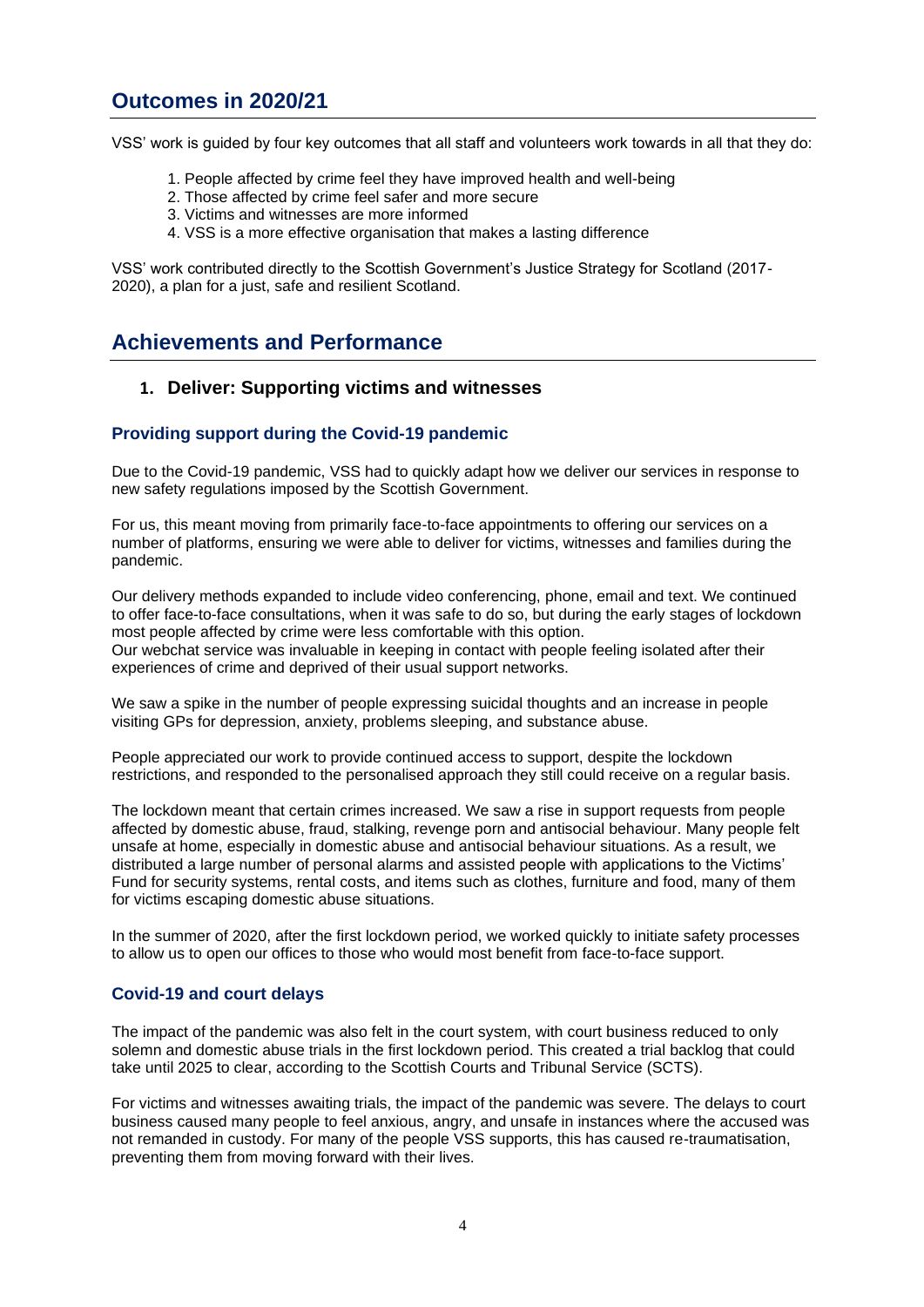# **Outcomes in 2020/21**

VSS' work is guided by four key outcomes that all staff and volunteers work towards in all that they do:

- 1. People affected by crime feel they have improved health and well-being
- 2. Those affected by crime feel safer and more secure
- 3. Victims and witnesses are more informed
- 4. VSS is a more effective organisation that makes a lasting difference

VSS' work contributed directly to the Scottish Government's Justice Strategy for Scotland (2017- 2020), a plan for a just, safe and resilient Scotland.

# **Achievements and Performance**

# **1. Deliver: Supporting victims and witnesses**

### **Providing support during the Covid-19 pandemic**

Due to the Covid-19 pandemic, VSS had to quickly adapt how we deliver our services in response to new safety regulations imposed by the Scottish Government.

For us, this meant moving from primarily face-to-face appointments to offering our services on a number of platforms, ensuring we were able to deliver for victims, witnesses and families during the pandemic.

Our delivery methods expanded to include video conferencing, phone, email and text. We continued to offer face-to-face consultations, when it was safe to do so, but during the early stages of lockdown most people affected by crime were less comfortable with this option. Our webchat service was invaluable in keeping in contact with people feeling isolated after their experiences of crime and deprived of their usual support networks.

We saw a spike in the number of people expressing suicidal thoughts and an increase in people visiting GPs for depression, anxiety, problems sleeping, and substance abuse.

People appreciated our work to provide continued access to support, despite the lockdown restrictions, and responded to the personalised approach they still could receive on a regular basis.

The lockdown meant that certain crimes increased. We saw a rise in support requests from people affected by domestic abuse, fraud, stalking, revenge porn and antisocial behaviour. Many people felt unsafe at home, especially in domestic abuse and antisocial behaviour situations. As a result, we distributed a large number of personal alarms and assisted people with applications to the Victims' Fund for security systems, rental costs, and items such as clothes, furniture and food, many of them for victims escaping domestic abuse situations.

In the summer of 2020, after the first lockdown period, we worked quickly to initiate safety processes to allow us to open our offices to those who would most benefit from face-to-face support.

### **Covid-19 and court delays**

The impact of the pandemic was also felt in the court system, with court business reduced to only solemn and domestic abuse trials in the first lockdown period. This created a trial backlog that could take until 2025 to clear, according to the Scottish Courts and Tribunal Service (SCTS).

For victims and witnesses awaiting trials, the impact of the pandemic was severe. The delays to court business caused many people to feel anxious, angry, and unsafe in instances where the accused was not remanded in custody. For many of the people VSS supports, this has caused re-traumatisation, preventing them from moving forward with their lives.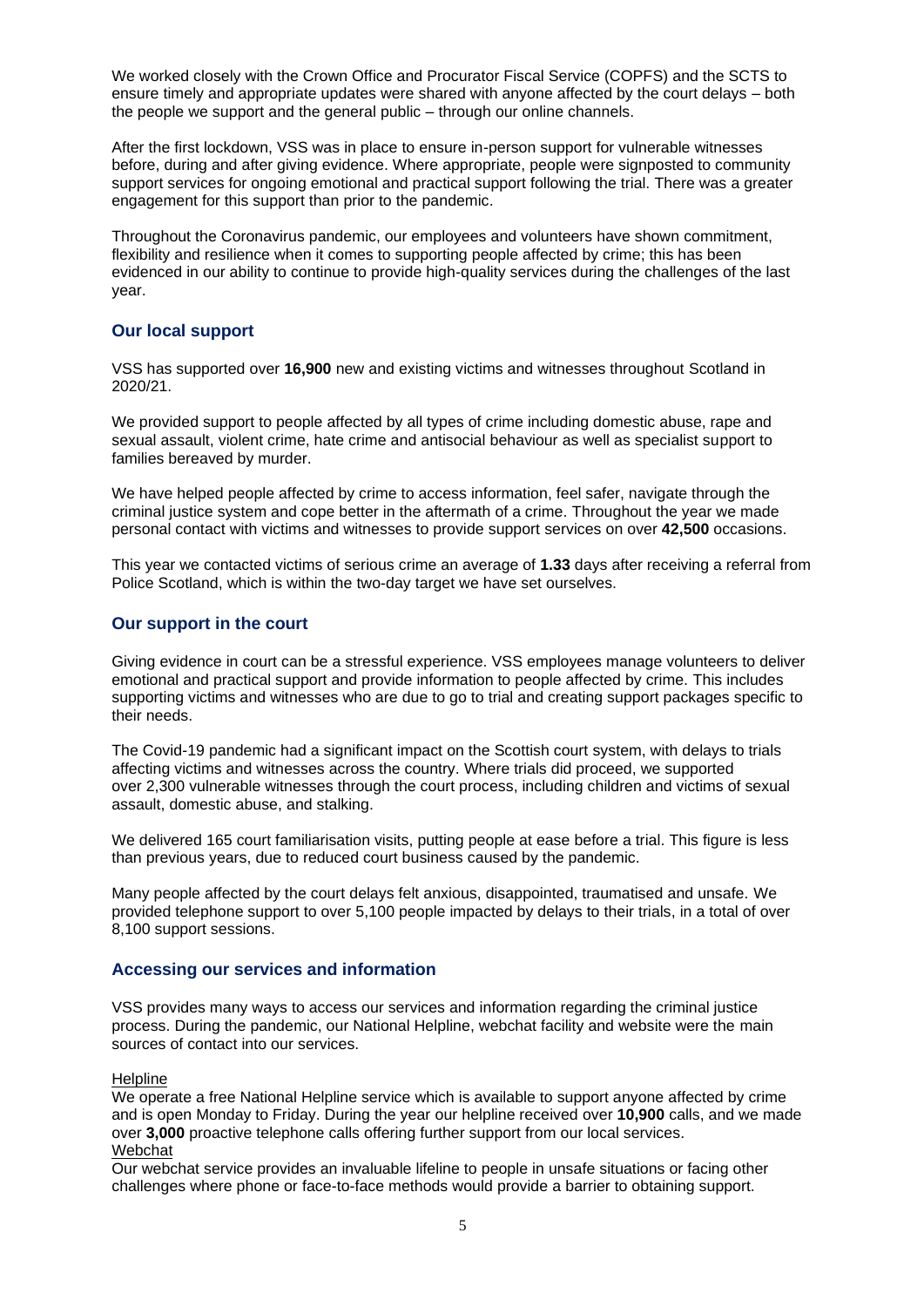We worked closely with the Crown Office and Procurator Fiscal Service (COPFS) and the SCTS to ensure timely and appropriate updates were shared with anyone affected by the court delays – both the people we support and the general public – through our online channels.

After the first lockdown, VSS was in place to ensure in-person support for vulnerable witnesses before, during and after giving evidence. Where appropriate, people were signposted to community support services for ongoing emotional and practical support following the trial. There was a greater engagement for this support than prior to the pandemic.

Throughout the Coronavirus pandemic, our employees and volunteers have shown commitment, flexibility and resilience when it comes to supporting people affected by crime; this has been evidenced in our ability to continue to provide high-quality services during the challenges of the last year.

# **Our local support**

VSS has supported over **16,900** new and existing victims and witnesses throughout Scotland in 2020/21.

We provided support to people affected by all types of crime including domestic abuse, rape and sexual assault, violent crime, hate crime and antisocial behaviour as well as specialist support to families bereaved by murder.

We have helped people affected by crime to access information, feel safer, navigate through the criminal justice system and cope better in the aftermath of a crime. Throughout the year we made personal contact with victims and witnesses to provide support services on over **42,500** occasions.

This year we contacted victims of serious crime an average of **1.33** days after receiving a referral from Police Scotland, which is within the two-day target we have set ourselves.

### **Our support in the court**

Giving evidence in court can be a stressful experience. VSS employees manage volunteers to deliver emotional and practical support and provide information to people affected by crime. This includes supporting victims and witnesses who are due to go to trial and creating support packages specific to their needs.

The Covid-19 pandemic had a significant impact on the Scottish court system, with delays to trials affecting victims and witnesses across the country. Where trials did proceed, we supported over 2,300 vulnerable witnesses through the court process, including children and victims of sexual assault, domestic abuse, and stalking.

We delivered 165 court familiarisation visits, putting people at ease before a trial. This figure is less than previous years, due to reduced court business caused by the pandemic.

Many people affected by the court delays felt anxious, disappointed, traumatised and unsafe. We provided telephone support to over 5,100 people impacted by delays to their trials, in a total of over 8,100 support sessions.

### **Accessing our services and information**

VSS provides many ways to access our services and information regarding the criminal justice process. During the pandemic, our National Helpline, webchat facility and website were the main sources of contact into our services.

#### **Helpline**

We operate a free National Helpline service which is available to support anyone affected by crime and is open Monday to Friday. During the year our helpline received over **10,900** calls, and we made over **3,000** proactive telephone calls offering further support from our local services. Webchat

Our webchat service provides an invaluable lifeline to people in unsafe situations or facing other challenges where phone or face-to-face methods would provide a barrier to obtaining support.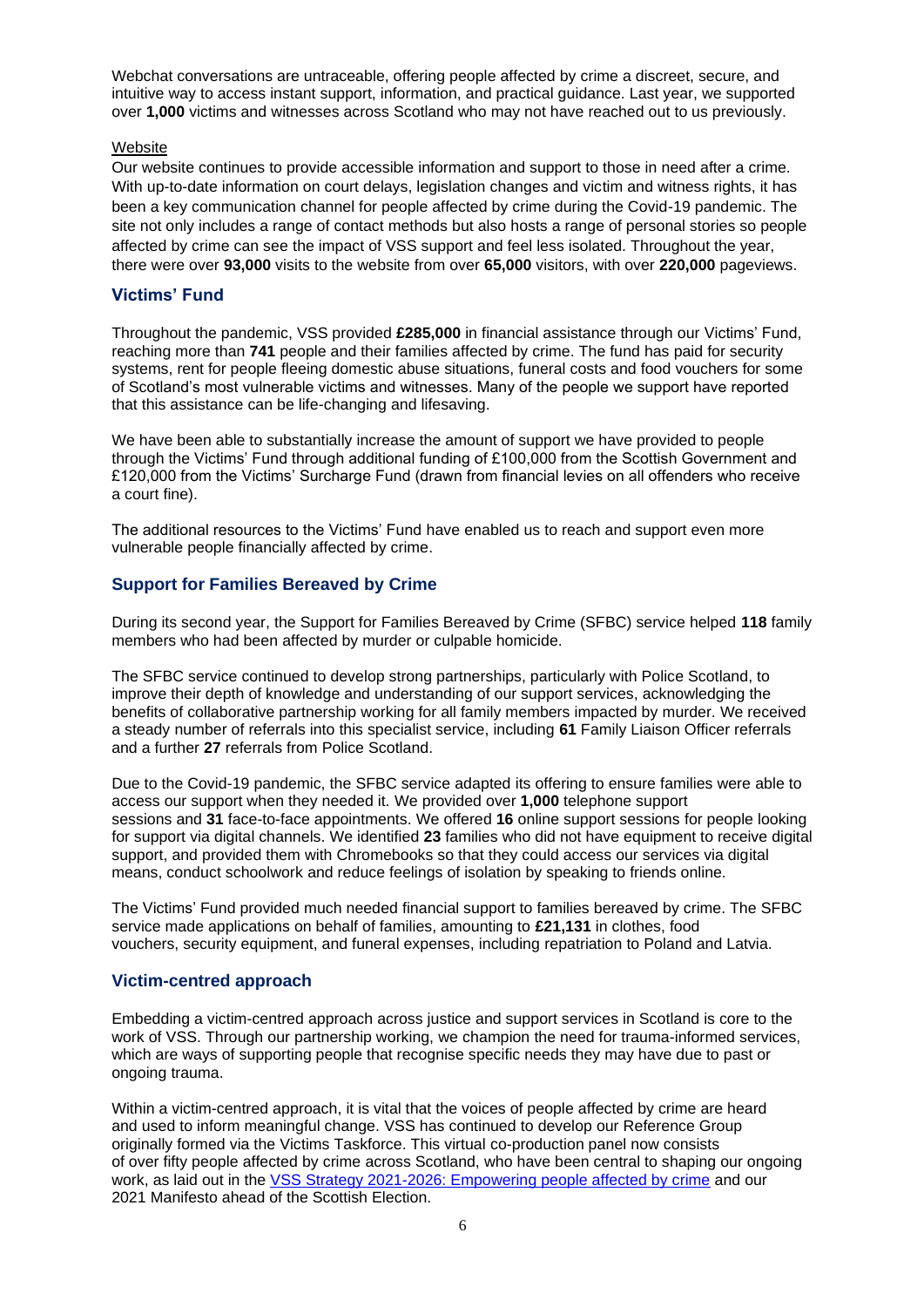Webchat conversations are untraceable, offering people affected by crime a discreet, secure, and intuitive way to access instant support, information, and practical guidance. Last year, we supported over **1,000** victims and witnesses across Scotland who may not have reached out to us previously.

#### **Website**

Our website continues to provide accessible information and support to those in need after a crime. With up-to-date information on court delays, legislation changes and victim and witness rights, it has been a key communication channel for people affected by crime during the Covid-19 pandemic. The site not only includes a range of contact methods but also hosts a range of personal stories so people affected by crime can see the impact of VSS support and feel less isolated. Throughout the year, there were over **93,000** visits to the website from over **65,000** visitors, with over **220,000** pageviews.

# **Victims' Fund**

Throughout the pandemic, VSS provided **£285,000** in financial assistance through our Victims' Fund, reaching more than **741** people and their families affected by crime. The fund has paid for security systems, rent for people fleeing domestic abuse situations, funeral costs and food vouchers for some of Scotland's most vulnerable victims and witnesses. Many of the people we support have reported that this assistance can be life-changing and lifesaving.

We have been able to substantially increase the amount of support we have provided to people through the Victims' Fund through additional funding of £100,000 from the Scottish Government and £120,000 from the Victims' Surcharge Fund (drawn from financial levies on all offenders who receive a court fine).

The additional resources to the Victims' Fund have enabled us to reach and support even more vulnerable people financially affected by crime.

# **Support for Families Bereaved by Crime**

During its second year, the Support for Families Bereaved by Crime (SFBC) service helped **118** family members who had been affected by murder or culpable homicide.

The SFBC service continued to develop strong partnerships, particularly with Police Scotland, to improve their depth of knowledge and understanding of our support services, acknowledging the benefits of collaborative partnership working for all family members impacted by murder. We received a steady number of referrals into this specialist service, including **61** Family Liaison Officer referrals and a further **27** referrals from Police Scotland.

Due to the Covid-19 pandemic, the SFBC service adapted its offering to ensure families were able to access our support when they needed it. We provided over **1,000** telephone support sessions and **31** face-to-face appointments. We offered **16** online support sessions for people looking for support via digital channels. We identified **23** families who did not have equipment to receive digital support, and provided them with Chromebooks so that they could access our services via digital means, conduct schoolwork and reduce feelings of isolation by speaking to friends online.

The Victims' Fund provided much needed financial support to families bereaved by crime. The SFBC service made applications on behalf of families, amounting to **£21,131** in clothes, food vouchers, security equipment, and funeral expenses, including repatriation to Poland and Latvia.

# **Victim-centred approach**

Embedding a victim-centred approach across justice and support services in Scotland is core to the work of VSS. Through our partnership working, we champion the need for trauma-informed services, which are ways of supporting people that recognise specific needs they may have due to past or ongoing trauma.

Within a victim-centred approach, it is vital that the voices of people affected by crime are heard and used to inform meaningful change. VSS has continued to develop our Reference Group originally formed via the Victims Taskforce. This virtual co-production panel now consists of over fifty people affected by crime across Scotland, who have been central to shaping our ongoing work, as laid out in the [VSS Strategy 2021-2026: Empowering people affected by crime](https://victimsupport.scot/about-us/news-list/five-year-plan-to-transform-victims-experience-of-justice-in-scotland/) and our 2021 Manifesto ahead of the Scottish Election.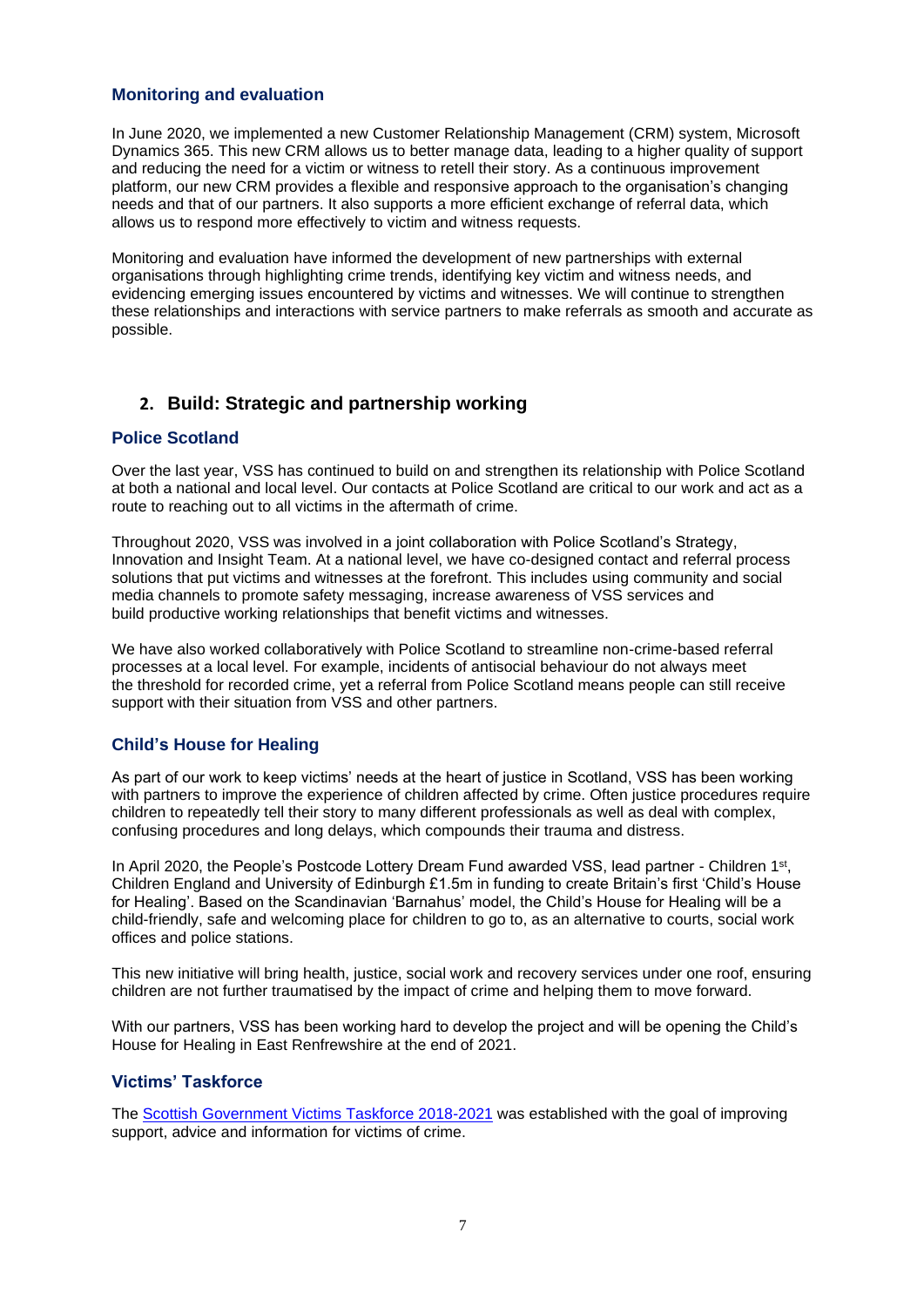### **Monitoring and evaluation**

In June 2020, we implemented a new Customer Relationship Management (CRM) system, Microsoft Dynamics 365. This new CRM allows us to better manage data, leading to a higher quality of support and reducing the need for a victim or witness to retell their story. As a continuous improvement platform, our new CRM provides a flexible and responsive approach to the organisation's changing needs and that of our partners. It also supports a more efficient exchange of referral data, which allows us to respond more effectively to victim and witness requests.

Monitoring and evaluation have informed the development of new partnerships with external organisations through highlighting crime trends, identifying key victim and witness needs, and evidencing emerging issues encountered by victims and witnesses. We will continue to strengthen these relationships and interactions with service partners to make referrals as smooth and accurate as possible.

# **2. Build: Strategic and partnership working**

# **Police Scotland**

Over the last year, VSS has continued to build on and strengthen its relationship with Police Scotland at both a national and local level. Our contacts at Police Scotland are critical to our work and act as a route to reaching out to all victims in the aftermath of crime.

Throughout 2020, VSS was involved in a joint collaboration with Police Scotland's Strategy, Innovation and Insight Team. At a national level, we have co-designed contact and referral process solutions that put victims and witnesses at the forefront. This includes using community and social media channels to promote safety messaging, increase awareness of VSS services and build productive working relationships that benefit victims and witnesses.

We have also worked collaboratively with Police Scotland to streamline non-crime-based referral processes at a local level. For example, incidents of antisocial behaviour do not always meet the threshold for recorded crime, yet a referral from Police Scotland means people can still receive support with their situation from VSS and other partners.

### **Child's House for Healing**

As part of our work to keep victims' needs at the heart of justice in Scotland, VSS has been working with partners to improve the experience of children affected by crime. Often justice procedures require children to repeatedly tell their story to many different professionals as well as deal with complex, confusing procedures and long delays, which compounds their trauma and distress.

In April 2020, the People's Postcode Lottery Dream Fund awarded VSS, lead partner - Children 1<sup>st</sup>, Children England and University of Edinburgh £1.5m in funding to create Britain's first 'Child's House for Healing'. Based on the Scandinavian 'Barnahus' model, the Child's House for Healing will be a child-friendly, safe and welcoming place for children to go to, as an alternative to courts, social work offices and police stations.

This new initiative will bring health, justice, social work and recovery services under one roof, ensuring children are not further traumatised by the impact of crime and helping them to move forward.

With our partners, VSS has been working hard to develop the project and will be opening the Child's House for Healing in East Renfrewshire at the end of 2021.

### **Victims' Taskforce**

The [Scottish Government Victims Taskforce 2018-2021](https://www.gov.scot/groups/victims-taskforce/) was established with the goal of improving support, advice and information for victims of crime.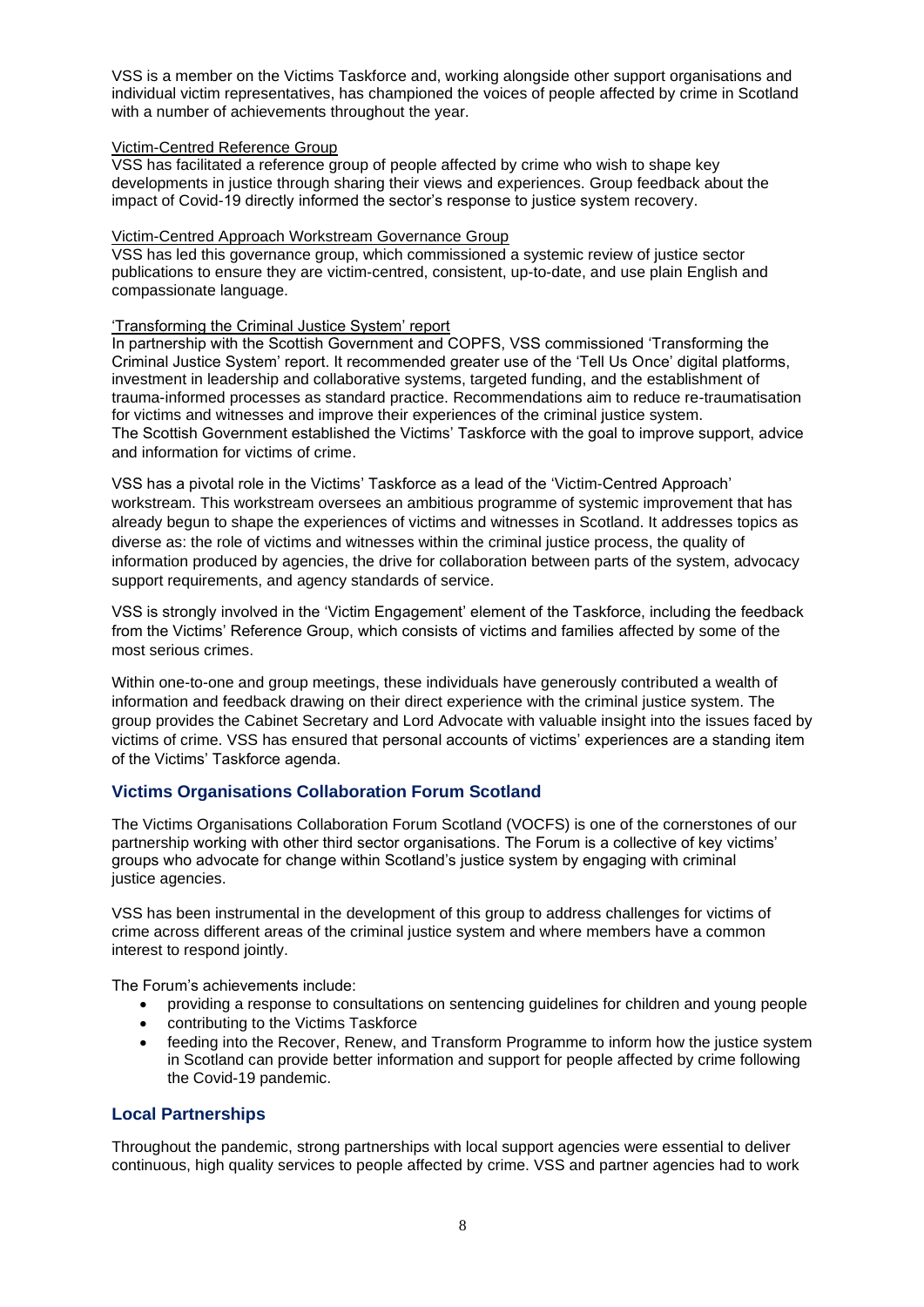VSS is a member on the Victims Taskforce and, working alongside other support organisations and individual victim representatives, has championed the voices of people affected by crime in Scotland with a number of achievements throughout the year.

#### Victim-Centred Reference Group

VSS has facilitated a reference group of people affected by crime who wish to shape key developments in justice through sharing their views and experiences. Group feedback about the impact of Covid-19 directly informed the sector's response to justice system recovery.

#### Victim-Centred Approach Workstream Governance Group

VSS has led this governance group, which commissioned a systemic review of justice sector publications to ensure they are victim-centred, consistent, up-to-date, and use plain English and compassionate language.

#### 'Transforming the Criminal Justice System' report

In partnership with the Scottish Government and COPFS, VSS commissioned 'Transforming the Criminal Justice System' report. It recommended greater use of the 'Tell Us Once' digital platforms, investment in leadership and collaborative systems, targeted funding, and the establishment of trauma-informed processes as standard practice. Recommendations aim to reduce re-traumatisation for victims and witnesses and improve their experiences of the criminal justice system. The Scottish Government established the Victims' Taskforce with the goal to improve support, advice and information for victims of crime.

VSS has a pivotal role in the Victims' Taskforce as a lead of the 'Victim-Centred Approach' workstream. This workstream oversees an ambitious programme of systemic improvement that has already begun to shape the experiences of victims and witnesses in Scotland. It addresses topics as diverse as: the role of victims and witnesses within the criminal justice process, the quality of information produced by agencies, the drive for collaboration between parts of the system, advocacy support requirements, and agency standards of service.

VSS is strongly involved in the 'Victim Engagement' element of the Taskforce, including the feedback from the Victims' Reference Group, which consists of victims and families affected by some of the most serious crimes.

Within one-to-one and group meetings, these individuals have generously contributed a wealth of information and feedback drawing on their direct experience with the criminal justice system. The group provides the Cabinet Secretary and Lord Advocate with valuable insight into the issues faced by victims of crime. VSS has ensured that personal accounts of victims' experiences are a standing item of the Victims' Taskforce agenda.

### **Victims Organisations Collaboration Forum Scotland**

The Victims Organisations Collaboration Forum Scotland (VOCFS) is one of the cornerstones of our partnership working with other third sector organisations. The Forum is a collective of key victims' groups who advocate for change within Scotland's justice system by engaging with criminal justice agencies.

VSS has been instrumental in the development of this group to address challenges for victims of crime across different areas of the criminal justice system and where members have a common interest to respond jointly.

The Forum's achievements include:

- providing a response to consultations on sentencing guidelines for children and young people
- contributing to the Victims Taskforce
- feeding into the Recover, Renew, and Transform Programme to inform how the justice system in Scotland can provide better information and support for people affected by crime following the Covid-19 pandemic.

### **Local Partnerships**

Throughout the pandemic, strong partnerships with local support agencies were essential to deliver continuous, high quality services to people affected by crime. VSS and partner agencies had to work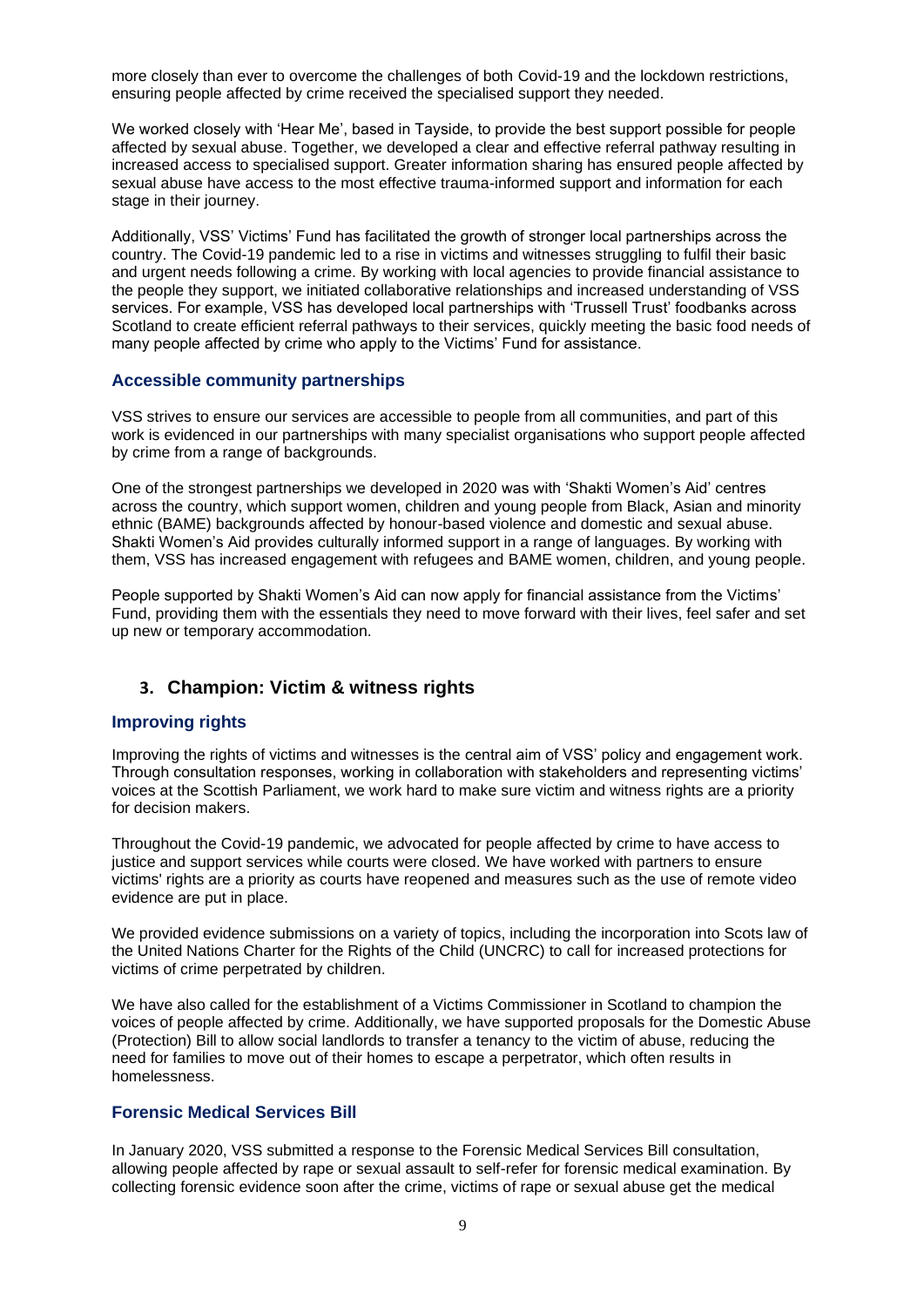more closely than ever to overcome the challenges of both Covid-19 and the lockdown restrictions, ensuring people affected by crime received the specialised support they needed.

We worked closely with 'Hear Me', based in Tayside, to provide the best support possible for people affected by sexual abuse. Together, we developed a clear and effective referral pathway resulting in increased access to specialised support. Greater information sharing has ensured people affected by sexual abuse have access to the most effective trauma-informed support and information for each stage in their journey.

Additionally, VSS' Victims' Fund has facilitated the growth of stronger local partnerships across the country. The Covid-19 pandemic led to a rise in victims and witnesses struggling to fulfil their basic and urgent needs following a crime. By working with local agencies to provide financial assistance to the people they support, we initiated collaborative relationships and increased understanding of VSS services. For example, VSS has developed local partnerships with 'Trussell Trust' foodbanks across Scotland to create efficient referral pathways to their services, quickly meeting the basic food needs of many people affected by crime who apply to the Victims' Fund for assistance.

#### **Accessible community partnerships**

VSS strives to ensure our services are accessible to people from all communities, and part of this work is evidenced in our partnerships with many specialist organisations who support people affected by crime from a range of backgrounds.

One of the strongest partnerships we developed in 2020 was with 'Shakti Women's Aid' centres across the country, which support women, children and young people from Black, Asian and minority ethnic (BAME) backgrounds affected by honour-based violence and domestic and sexual abuse. Shakti Women's Aid provides culturally informed support in a range of languages. By working with them, VSS has increased engagement with refugees and BAME women, children, and young people.

People supported by Shakti Women's Aid can now apply for financial assistance from the Victims' Fund, providing them with the essentials they need to move forward with their lives, feel safer and set up new or temporary accommodation.

# **3. Champion: Victim & witness rights**

### **Improving rights**

Improving the rights of victims and witnesses is the central aim of VSS' policy and engagement work. Through consultation responses, working in collaboration with stakeholders and representing victims' voices at the Scottish Parliament, we work hard to make sure victim and witness rights are a priority for decision makers.

Throughout the Covid-19 pandemic, we advocated for people affected by crime to have access to justice and support services while courts were closed. We have worked with partners to ensure victims' rights are a priority as courts have reopened and measures such as the use of remote video evidence are put in place.

We provided evidence submissions on a variety of topics, including the incorporation into Scots law of the United Nations Charter for the Rights of the Child (UNCRC) to call for increased protections for victims of crime perpetrated by children.

We have also called for the establishment of a Victims Commissioner in Scotland to champion the voices of people affected by crime. Additionally, we have supported proposals for the Domestic Abuse (Protection) Bill to allow social landlords to transfer a tenancy to the victim of abuse, reducing the need for families to move out of their homes to escape a perpetrator, which often results in homelessness.

# **Forensic Medical Services Bill**

In January 2020, VSS submitted a response to the Forensic Medical Services Bill consultation, allowing people affected by rape or sexual assault to self-refer for forensic medical examination. By collecting forensic evidence soon after the crime, victims of rape or sexual abuse get the medical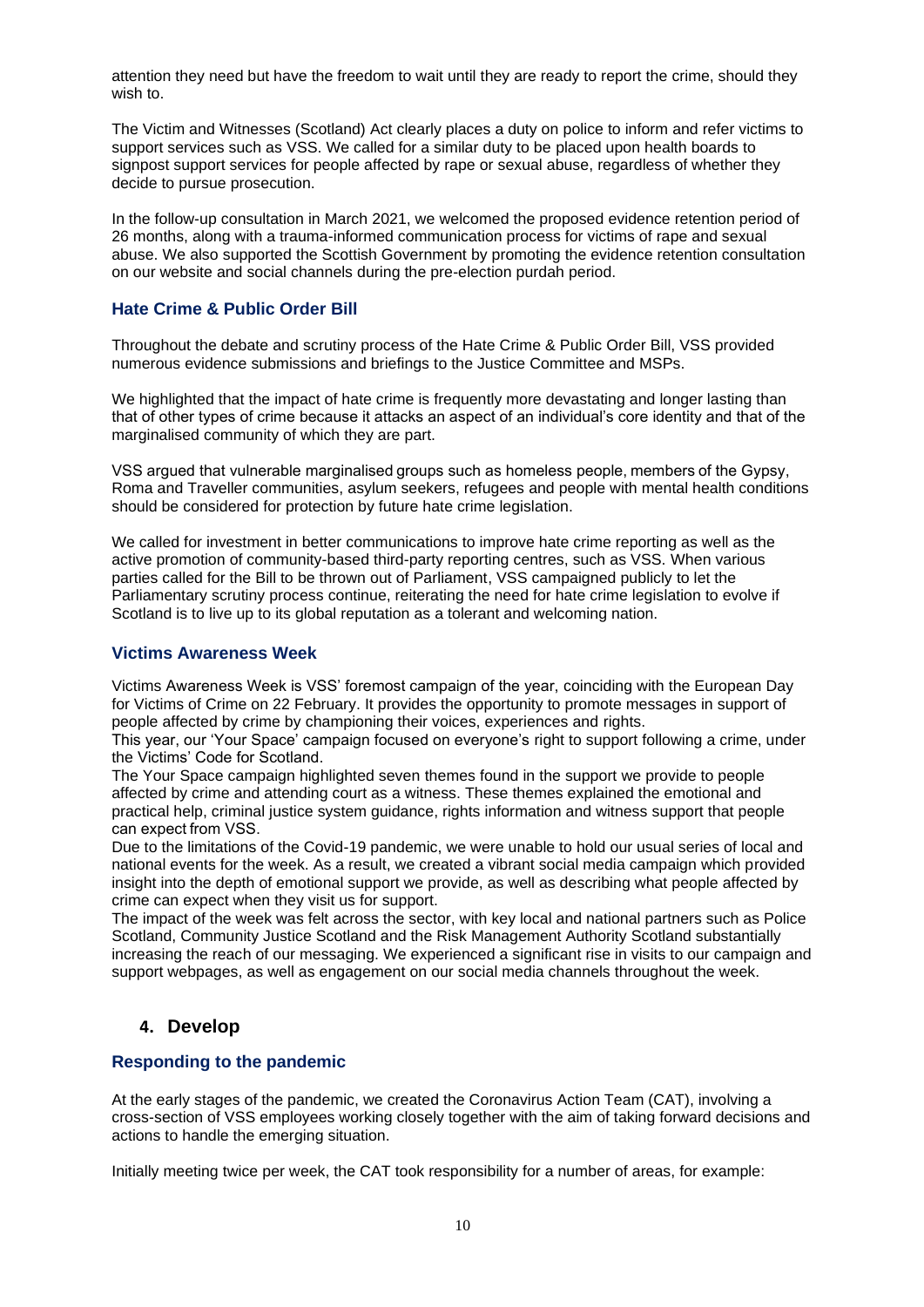attention they need but have the freedom to wait until they are ready to report the crime, should they wish to.

The Victim and Witnesses (Scotland) Act clearly places a duty on police to inform and refer victims to support services such as VSS. We called for a similar duty to be placed upon health boards to signpost support services for people affected by rape or sexual abuse, regardless of whether they decide to pursue prosecution.

In the follow-up consultation in March 2021, we welcomed the proposed evidence retention period of 26 months, along with a trauma-informed communication process for victims of rape and sexual abuse. We also supported the Scottish Government by promoting the evidence retention consultation on our website and social channels during the pre-election purdah period.

# **Hate Crime & Public Order Bill**

Throughout the debate and scrutiny process of the Hate Crime & Public Order Bill, VSS provided numerous evidence submissions and briefings to the Justice Committee and MSPs.

We highlighted that the impact of hate crime is frequently more devastating and longer lasting than that of other types of crime because it attacks an aspect of an individual's core identity and that of the marginalised community of which they are part.

VSS argued that vulnerable marginalised groups such as homeless people, members of the Gypsy, Roma and Traveller communities, asylum seekers, refugees and people with mental health conditions should be considered for protection by future hate crime legislation.

We called for investment in better communications to improve hate crime reporting as well as the active promotion of community-based third-party reporting centres, such as VSS. When various parties called for the Bill to be thrown out of Parliament, VSS campaigned publicly to let the Parliamentary scrutiny process continue, reiterating the need for hate crime legislation to evolve if Scotland is to live up to its global reputation as a tolerant and welcoming nation.

### **Victims Awareness Week**

Victims Awareness Week is VSS' foremost campaign of the year, coinciding with the European Day for Victims of Crime on 22 February. It provides the opportunity to promote messages in support of people affected by crime by championing their voices, experiences and rights.

This year, our 'Your Space' campaign focused on everyone's right to support following a crime, under the Victims' Code for Scotland.

The Your Space campaign highlighted seven themes found in the support we provide to people affected by crime and attending court as a witness. These themes explained the emotional and practical help, criminal justice system guidance, rights information and witness support that people can expect from VSS.

Due to the limitations of the Covid-19 pandemic, we were unable to hold our usual series of local and national events for the week. As a result, we created a vibrant social media campaign which provided insight into the depth of emotional support we provide, as well as describing what people affected by crime can expect when they visit us for support.

The impact of the week was felt across the sector, with key local and national partners such as Police Scotland, Community Justice Scotland and the Risk Management Authority Scotland substantially increasing the reach of our messaging. We experienced a significant rise in visits to our campaign and support webpages, as well as engagement on our social media channels throughout the week.

# **4. Develop**

### **Responding to the pandemic**

At the early stages of the pandemic, we created the Coronavirus Action Team (CAT), involving a cross-section of VSS employees working closely together with the aim of taking forward decisions and actions to handle the emerging situation.

Initially meeting twice per week, the CAT took responsibility for a number of areas, for example: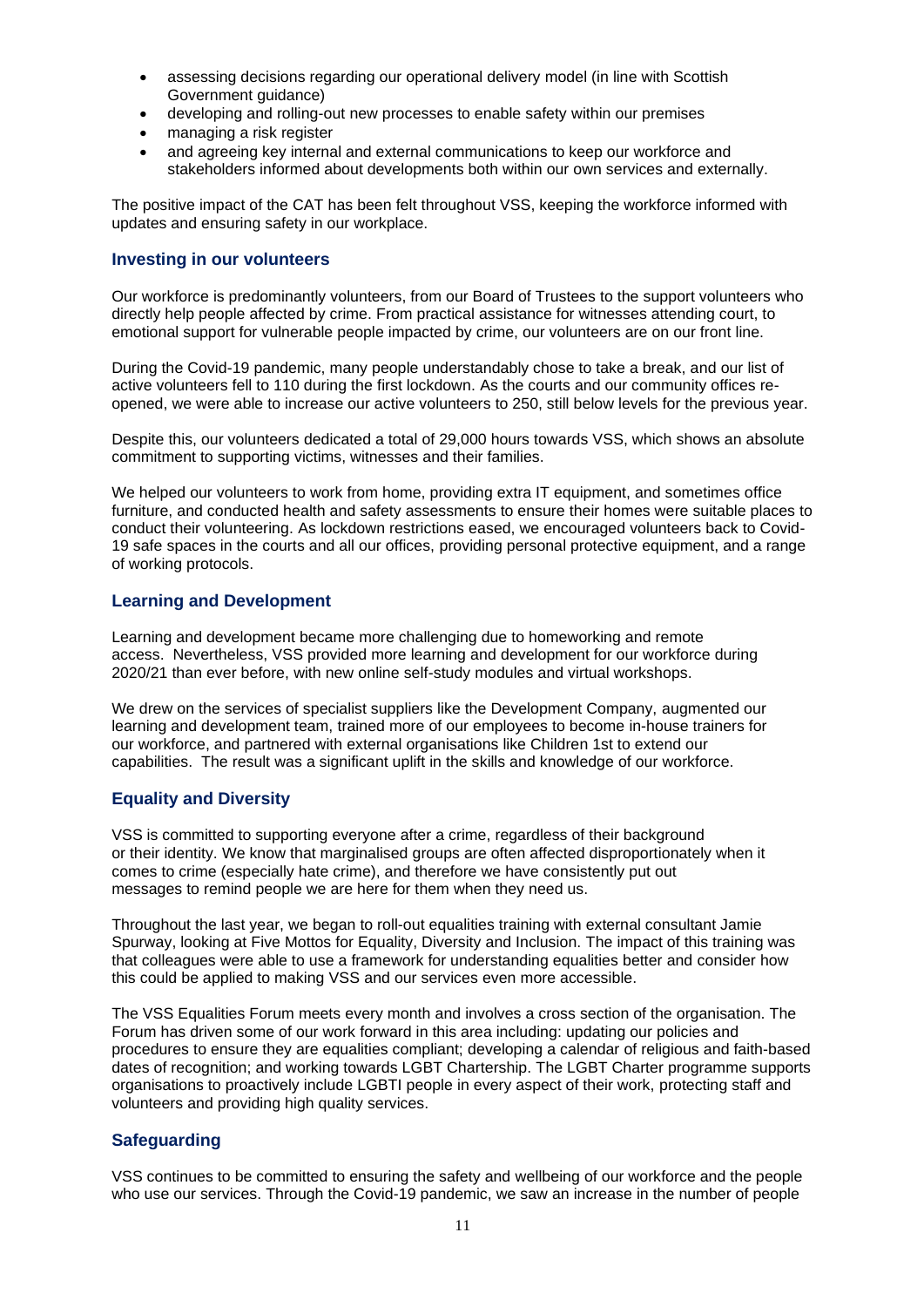- assessing decisions regarding our operational delivery model (in line with Scottish Government guidance)
- developing and rolling-out new processes to enable safety within our premises
- managing a risk register
- and agreeing key internal and external communications to keep our workforce and stakeholders informed about developments both within our own services and externally.

The positive impact of the CAT has been felt throughout VSS, keeping the workforce informed with updates and ensuring safety in our workplace.

# **Investing in our volunteers**

Our workforce is predominantly volunteers, from our Board of Trustees to the support volunteers who directly help people affected by crime. From practical assistance for witnesses attending court, to emotional support for vulnerable people impacted by crime, our volunteers are on our front line.

During the Covid-19 pandemic, many people understandably chose to take a break, and our list of active volunteers fell to 110 during the first lockdown. As the courts and our community offices reopened, we were able to increase our active volunteers to 250, still below levels for the previous year.

Despite this, our volunteers dedicated a total of 29,000 hours towards VSS, which shows an absolute commitment to supporting victims, witnesses and their families.

We helped our volunteers to work from home, providing extra IT equipment, and sometimes office furniture, and conducted health and safety assessments to ensure their homes were suitable places to conduct their volunteering. As lockdown restrictions eased, we encouraged volunteers back to Covid-19 safe spaces in the courts and all our offices, providing personal protective equipment, and a range of working protocols.

### **Learning and Development**

Learning and development became more challenging due to homeworking and remote access. Nevertheless, VSS provided more learning and development for our workforce during 2020/21 than ever before, with new online self-study modules and virtual workshops.

We drew on the services of specialist suppliers like the Development Company, augmented our learning and development team, trained more of our employees to become in-house trainers for our workforce, and partnered with external organisations like Children 1st to extend our capabilities. The result was a significant uplift in the skills and knowledge of our workforce.

# **Equality and Diversity**

VSS is committed to supporting everyone after a crime, regardless of their background or their identity. We know that marginalised groups are often affected disproportionately when it comes to crime (especially hate crime), and therefore we have consistently put out messages to remind people we are here for them when they need us.

Throughout the last year, we began to roll-out equalities training with external consultant Jamie Spurway, looking at Five Mottos for Equality, Diversity and Inclusion. The impact of this training was that colleagues were able to use a framework for understanding equalities better and consider how this could be applied to making VSS and our services even more accessible.

The VSS Equalities Forum meets every month and involves a cross section of the organisation. The Forum has driven some of our work forward in this area including: updating our policies and procedures to ensure they are equalities compliant; developing a calendar of religious and faith-based dates of recognition; and working towards LGBT Chartership. The LGBT Charter programme supports organisations to proactively include LGBTI people in every aspect of their work, protecting staff and volunteers and providing high quality services.

# **Safeguarding**

VSS continues to be committed to ensuring the safety and wellbeing of our workforce and the people who use our services. Through the Covid-19 pandemic, we saw an increase in the number of people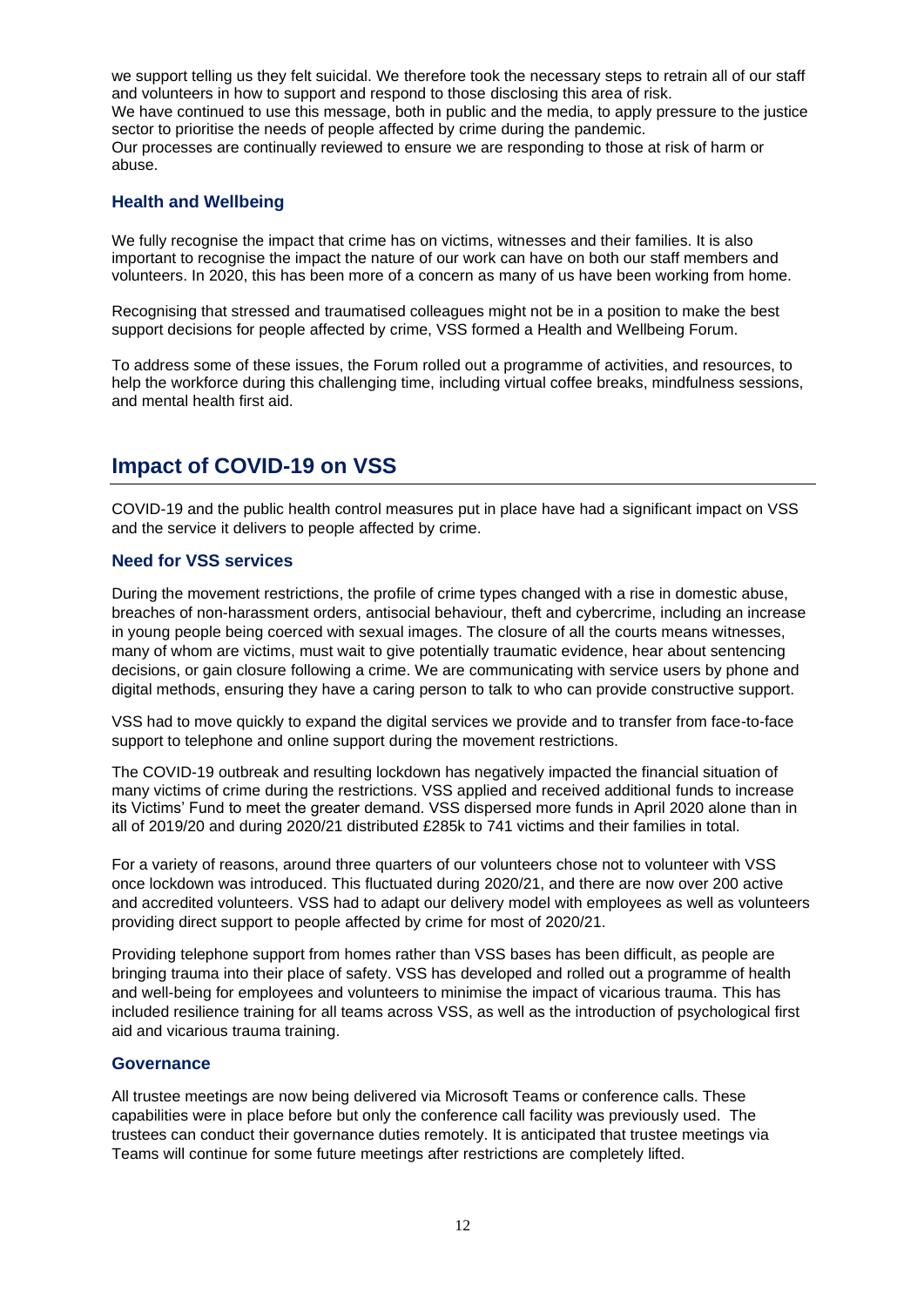we support telling us they felt suicidal. We therefore took the necessary steps to retrain all of our staff and volunteers in how to support and respond to those disclosing this area of risk. We have continued to use this message, both in public and the media, to apply pressure to the justice sector to prioritise the needs of people affected by crime during the pandemic. Our processes are continually reviewed to ensure we are responding to those at risk of harm or abuse.

# **Health and Wellbeing**

We fully recognise the impact that crime has on victims, witnesses and their families. It is also important to recognise the impact the nature of our work can have on both our staff members and volunteers. In 2020, this has been more of a concern as many of us have been working from home.

Recognising that stressed and traumatised colleagues might not be in a position to make the best support decisions for people affected by crime, VSS formed a Health and Wellbeing Forum.

To address some of these issues, the Forum rolled out a programme of activities, and resources, to help the workforce during this challenging time, including virtual coffee breaks, mindfulness sessions, and mental health first aid.

# **Impact of COVID-19 on VSS**

COVID-19 and the public health control measures put in place have had a significant impact on VSS and the service it delivers to people affected by crime.

# **Need for VSS services**

During the movement restrictions, the profile of crime types changed with a rise in domestic abuse, breaches of non-harassment orders, antisocial behaviour, theft and cybercrime, including an increase in young people being coerced with sexual images. The closure of all the courts means witnesses, many of whom are victims, must wait to give potentially traumatic evidence, hear about sentencing decisions, or gain closure following a crime. We are communicating with service users by phone and digital methods, ensuring they have a caring person to talk to who can provide constructive support.

VSS had to move quickly to expand the digital services we provide and to transfer from face-to-face support to telephone and online support during the movement restrictions.

The COVID-19 outbreak and resulting lockdown has negatively impacted the financial situation of many victims of crime during the restrictions. VSS applied and received additional funds to increase its Victims' Fund to meet the greater demand. VSS dispersed more funds in April 2020 alone than in all of 2019/20 and during 2020/21 distributed £285k to 741 victims and their families in total.

For a variety of reasons, around three quarters of our volunteers chose not to volunteer with VSS once lockdown was introduced. This fluctuated during 2020/21, and there are now over 200 active and accredited volunteers. VSS had to adapt our delivery model with employees as well as volunteers providing direct support to people affected by crime for most of 2020/21.

Providing telephone support from homes rather than VSS bases has been difficult, as people are bringing trauma into their place of safety. VSS has developed and rolled out a programme of health and well-being for employees and volunteers to minimise the impact of vicarious trauma. This has included resilience training for all teams across VSS, as well as the introduction of psychological first aid and vicarious trauma training.

### **Governance**

All trustee meetings are now being delivered via Microsoft Teams or conference calls. These capabilities were in place before but only the conference call facility was previously used. The trustees can conduct their governance duties remotely. It is anticipated that trustee meetings via Teams will continue for some future meetings after restrictions are completely lifted.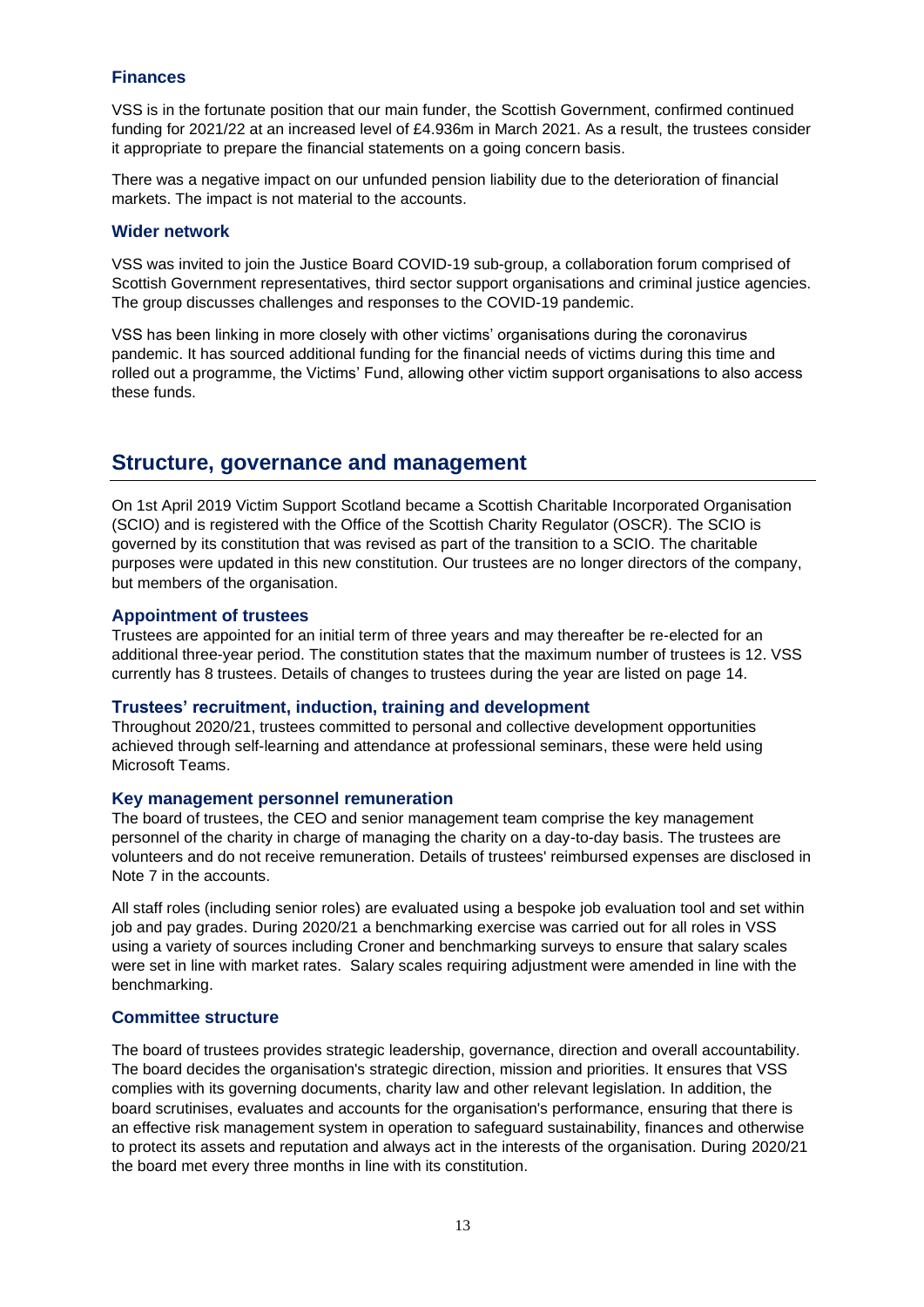# **Finances**

VSS is in the fortunate position that our main funder, the Scottish Government, confirmed continued funding for 2021/22 at an increased level of £4.936m in March 2021. As a result, the trustees consider it appropriate to prepare the financial statements on a going concern basis.

There was a negative impact on our unfunded pension liability due to the deterioration of financial markets. The impact is not material to the accounts.

#### **Wider network**

VSS was invited to join the Justice Board COVID-19 sub-group, a collaboration forum comprised of Scottish Government representatives, third sector support organisations and criminal justice agencies. The group discusses challenges and responses to the COVID-19 pandemic.

VSS has been linking in more closely with other victims' organisations during the coronavirus pandemic. It has sourced additional funding for the financial needs of victims during this time and rolled out a programme, the Victims' Fund, allowing other victim support organisations to also access these funds.

# **Structure, governance and management**

On 1st April 2019 Victim Support Scotland became a Scottish Charitable Incorporated Organisation (SCIO) and is registered with the Office of the Scottish Charity Regulator (OSCR). The SCIO is governed by its constitution that was revised as part of the transition to a SCIO. The charitable purposes were updated in this new constitution. Our trustees are no longer directors of the company, but members of the organisation.

### **Appointment of trustees**

Trustees are appointed for an initial term of three years and may thereafter be re-elected for an additional three-year period. The constitution states that the maximum number of trustees is 12. VSS currently has 8 trustees. Details of changes to trustees during the year are listed on page 14.

#### **Trustees' recruitment, induction, training and development**

Throughout 2020/21, trustees committed to personal and collective development opportunities achieved through self-learning and attendance at professional seminars, these were held using Microsoft Teams.

#### **Key management personnel remuneration**

The board of trustees, the CEO and senior management team comprise the key management personnel of the charity in charge of managing the charity on a day-to-day basis. The trustees are volunteers and do not receive remuneration. Details of trustees' reimbursed expenses are disclosed in Note 7 in the accounts.

All staff roles (including senior roles) are evaluated using a bespoke job evaluation tool and set within job and pay grades. During 2020/21 a benchmarking exercise was carried out for all roles in VSS using a variety of sources including Croner and benchmarking surveys to ensure that salary scales were set in line with market rates. Salary scales requiring adjustment were amended in line with the benchmarking.

### **Committee structure**

The board of trustees provides strategic leadership, governance, direction and overall accountability. The board decides the organisation's strategic direction, mission and priorities. It ensures that VSS complies with its governing documents, charity law and other relevant legislation. In addition, the board scrutinises, evaluates and accounts for the organisation's performance, ensuring that there is an effective risk management system in operation to safeguard sustainability, finances and otherwise to protect its assets and reputation and always act in the interests of the organisation. During 2020/21 the board met every three months in line with its constitution.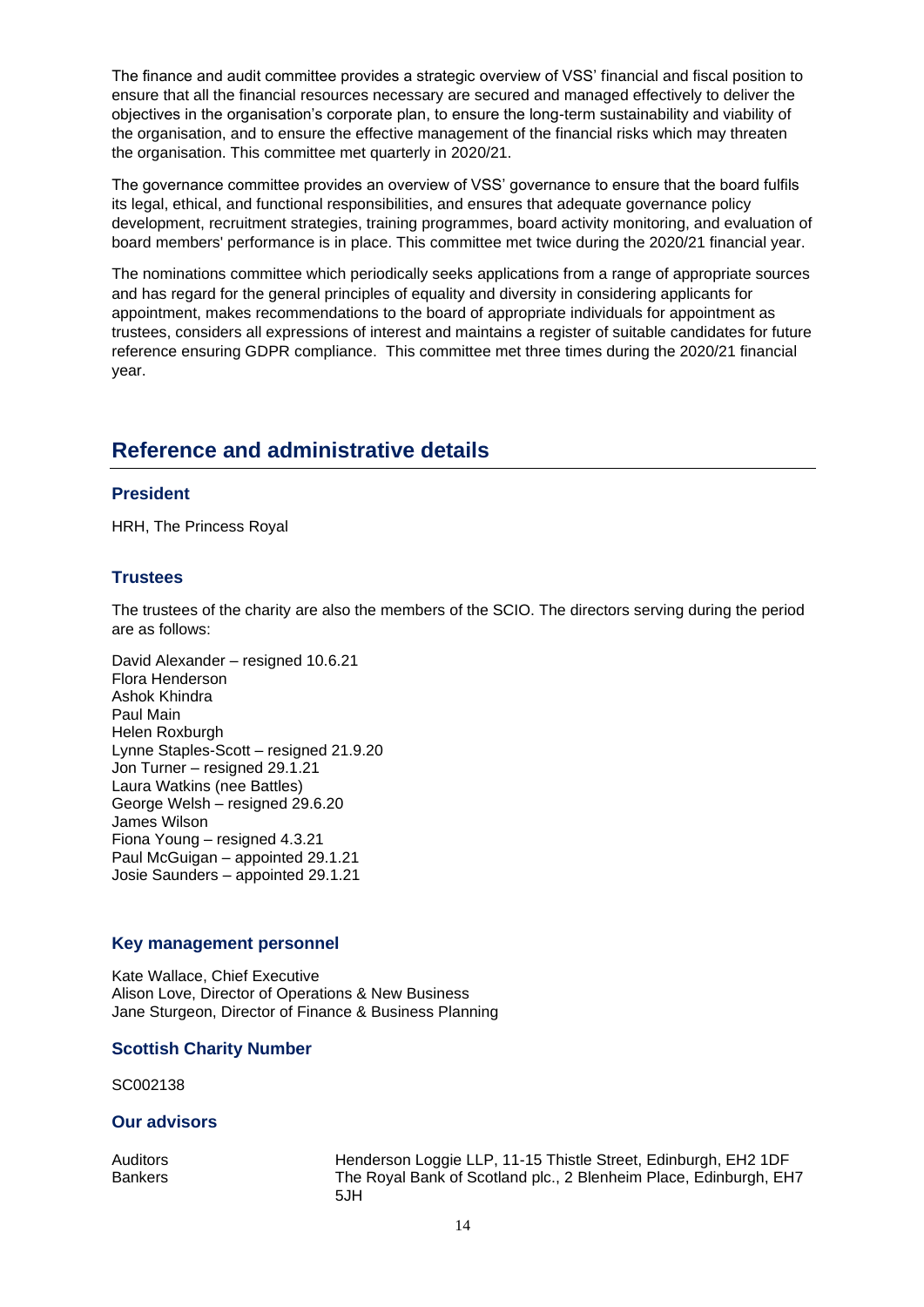The finance and audit committee provides a strategic overview of VSS' financial and fiscal position to ensure that all the financial resources necessary are secured and managed effectively to deliver the objectives in the organisation's corporate plan, to ensure the long-term sustainability and viability of the organisation, and to ensure the effective management of the financial risks which may threaten the organisation. This committee met quarterly in 2020/21.

The governance committee provides an overview of VSS' governance to ensure that the board fulfils its legal, ethical, and functional responsibilities, and ensures that adequate governance policy development, recruitment strategies, training programmes, board activity monitoring, and evaluation of board members' performance is in place. This committee met twice during the 2020/21 financial year.

The nominations committee which periodically seeks applications from a range of appropriate sources and has regard for the general principles of equality and diversity in considering applicants for appointment, makes recommendations to the board of appropriate individuals for appointment as trustees, considers all expressions of interest and maintains a register of suitable candidates for future reference ensuring GDPR compliance. This committee met three times during the 2020/21 financial year.

# **Reference and administrative details**

# **President**

HRH, The Princess Royal

# **Trustees**

The trustees of the charity are also the members of the SCIO. The directors serving during the period are as follows:

David Alexander – resigned 10.6.21 Flora Henderson Ashok Khindra Paul Main Helen Roxburgh Lynne Staples-Scott – resigned 21.9.20 Jon Turner – resigned 29.1.21 Laura Watkins (nee Battles) George Welsh – resigned 29.6.20 James Wilson Fiona Young – resigned 4.3.21 Paul McGuigan – appointed 29.1.21 Josie Saunders – appointed 29.1.21

### **Key management personnel**

Kate Wallace, Chief Executive Alison Love, Director of Operations & New Business Jane Sturgeon, Director of Finance & Business Planning

### **Scottish Charity Number**

SC002138

### **Our advisors**

Auditors **Henderson Loggie LLP, 11-15 Thistle Street, Edinburgh, EH2 1DF** Bankers The Royal Bank of Scotland plc., 2 Blenheim Place, Edinburgh, EH7 5JH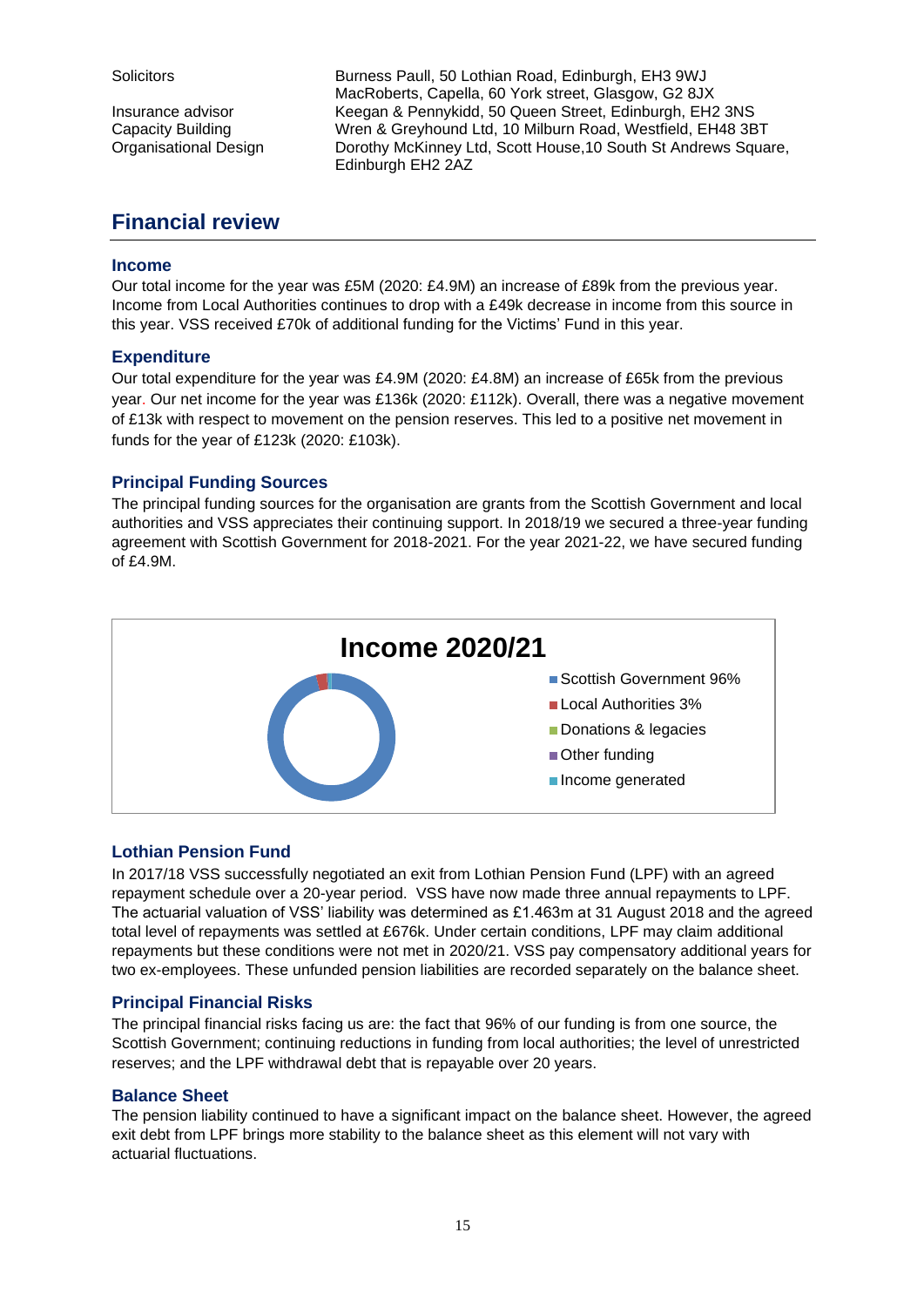Solicitors **Burness Paull, 50 Lothian Road, Edinburgh, EH3 9WJ** MacRoberts, Capella, 60 York street, Glasgow, G2 8JX Insurance advisor Keegan & Pennykidd, 50 Queen Street, Edinburgh, EH2 3NS Capacity Building Wren & Greyhound Ltd, 10 Milburn Road, Westfield, EH48 3BT Organisational Design Dorothy McKinney Ltd, Scott House,10 South St Andrews Square, Edinburgh EH2 2AZ

# **Financial review**

# **Income**

Our total income for the year was £5M (2020: £4.9M) an increase of £89k from the previous year. Income from Local Authorities continues to drop with a £49k decrease in income from this source in this year. VSS received £70k of additional funding for the Victims' Fund in this year.

# **Expenditure**

Our total expenditure for the year was £4.9M (2020: £4.8M) an increase of £65k from the previous year. Our net income for the year was £136k (2020: £112k). Overall, there was a negative movement of £13k with respect to movement on the pension reserves. This led to a positive net movement in funds for the year of £123k (2020: £103k).

# **Principal Funding Sources**

The principal funding sources for the organisation are grants from the Scottish Government and local authorities and VSS appreciates their continuing support. In 2018/19 we secured a three-year funding agreement with Scottish Government for 2018-2021. For the year 2021-22, we have secured funding of £4.9M.



# **Lothian Pension Fund**

In 2017/18 VSS successfully negotiated an exit from Lothian Pension Fund (LPF) with an agreed repayment schedule over a 20-year period. VSS have now made three annual repayments to LPF. The actuarial valuation of VSS' liability was determined as £1.463m at 31 August 2018 and the agreed total level of repayments was settled at £676k. Under certain conditions, LPF may claim additional repayments but these conditions were not met in 2020/21. VSS pay compensatory additional years for two ex-employees. These unfunded pension liabilities are recorded separately on the balance sheet.

# **Principal Financial Risks**

The principal financial risks facing us are: the fact that 96% of our funding is from one source, the Scottish Government; continuing reductions in funding from local authorities; the level of unrestricted reserves; and the LPF withdrawal debt that is repayable over 20 years.

# **Balance Sheet**

The pension liability continued to have a significant impact on the balance sheet. However, the agreed exit debt from LPF brings more stability to the balance sheet as this element will not vary with actuarial fluctuations.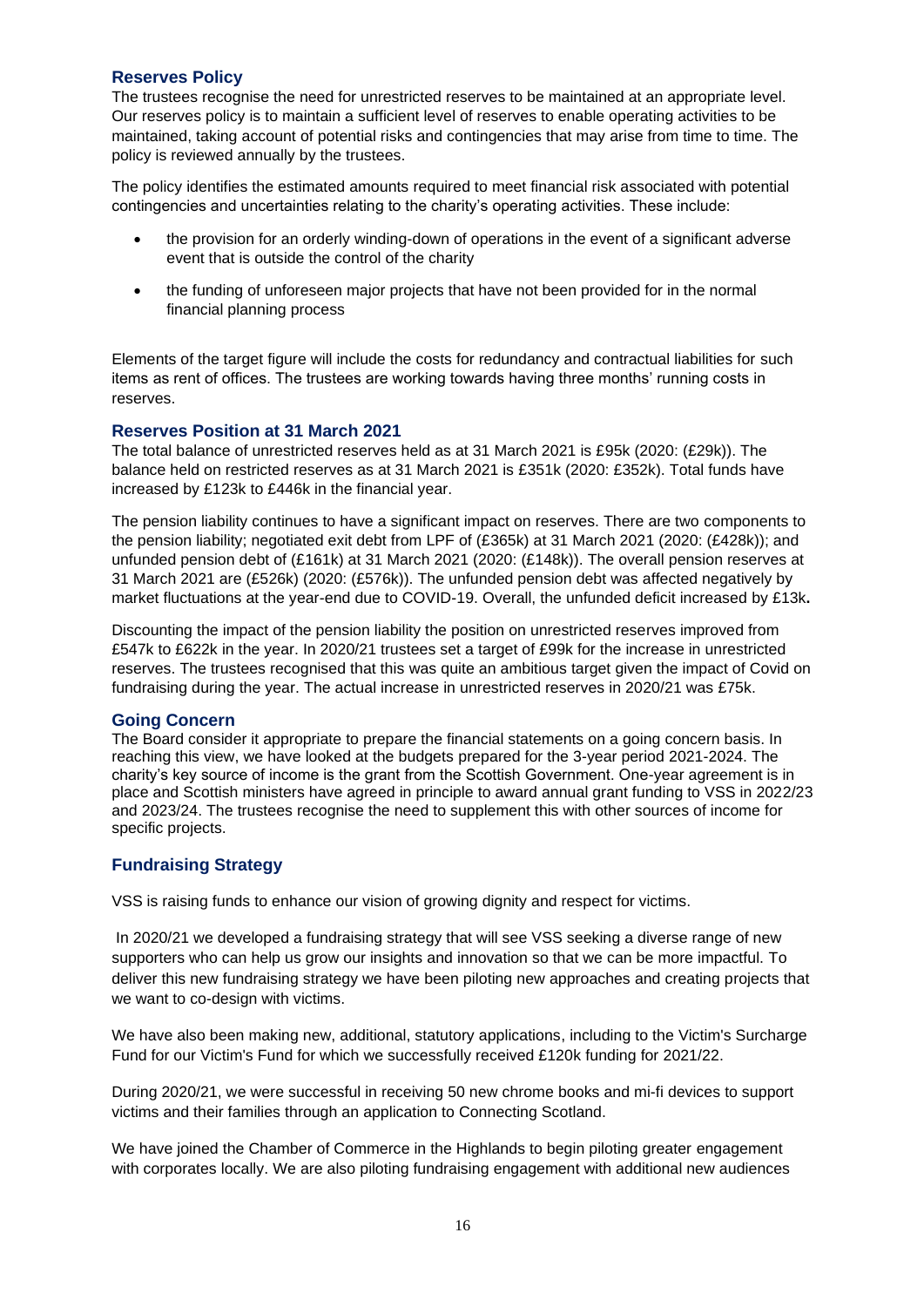# **Reserves Policy**

The trustees recognise the need for unrestricted reserves to be maintained at an appropriate level. Our reserves policy is to maintain a sufficient level of reserves to enable operating activities to be maintained, taking account of potential risks and contingencies that may arise from time to time. The policy is reviewed annually by the trustees.

The policy identifies the estimated amounts required to meet financial risk associated with potential contingencies and uncertainties relating to the charity's operating activities. These include:

- the provision for an orderly winding-down of operations in the event of a significant adverse event that is outside the control of the charity
- the funding of unforeseen major projects that have not been provided for in the normal financial planning process

Elements of the target figure will include the costs for redundancy and contractual liabilities for such items as rent of offices. The trustees are working towards having three months' running costs in reserves.

#### **Reserves Position at 31 March 2021**

The total balance of unrestricted reserves held as at 31 March 2021 is £95k (2020: (£29k)). The balance held on restricted reserves as at 31 March 2021 is £351k (2020: £352k). Total funds have increased by £123k to £446k in the financial year.

The pension liability continues to have a significant impact on reserves. There are two components to the pension liability; negotiated exit debt from LPF of (£365k) at 31 March 2021 (2020: (£428k)); and unfunded pension debt of (£161k) at 31 March 2021 (2020: (£148k)). The overall pension reserves at 31 March 2021 are (£526k) (2020: (£576k)). The unfunded pension debt was affected negatively by market fluctuations at the year-end due to COVID-19. Overall, the unfunded deficit increased by £13k**.**

Discounting the impact of the pension liability the position on unrestricted reserves improved from £547k to £622k in the year. In 2020/21 trustees set a target of £99k for the increase in unrestricted reserves. The trustees recognised that this was quite an ambitious target given the impact of Covid on fundraising during the year. The actual increase in unrestricted reserves in 2020/21 was £75k.

### **Going Concern**

The Board consider it appropriate to prepare the financial statements on a going concern basis. In reaching this view, we have looked at the budgets prepared for the 3-year period 2021-2024. The charity's key source of income is the grant from the Scottish Government. One-year agreement is in place and Scottish ministers have agreed in principle to award annual grant funding to VSS in 2022/23 and 2023/24. The trustees recognise the need to supplement this with other sources of income for specific projects.

### **Fundraising Strategy**

VSS is raising funds to enhance our vision of growing dignity and respect for victims.

In 2020/21 we developed a fundraising strategy that will see VSS seeking a diverse range of new supporters who can help us grow our insights and innovation so that we can be more impactful. To deliver this new fundraising strategy we have been piloting new approaches and creating projects that we want to co-design with victims.

We have also been making new, additional, statutory applications, including to the Victim's Surcharge Fund for our Victim's Fund for which we successfully received £120k funding for 2021/22.

During 2020/21, we were successful in receiving 50 new chrome books and mi-fi devices to support victims and their families through an application to Connecting Scotland.

We have joined the Chamber of Commerce in the Highlands to begin piloting greater engagement with corporates locally. We are also piloting fundraising engagement with additional new audiences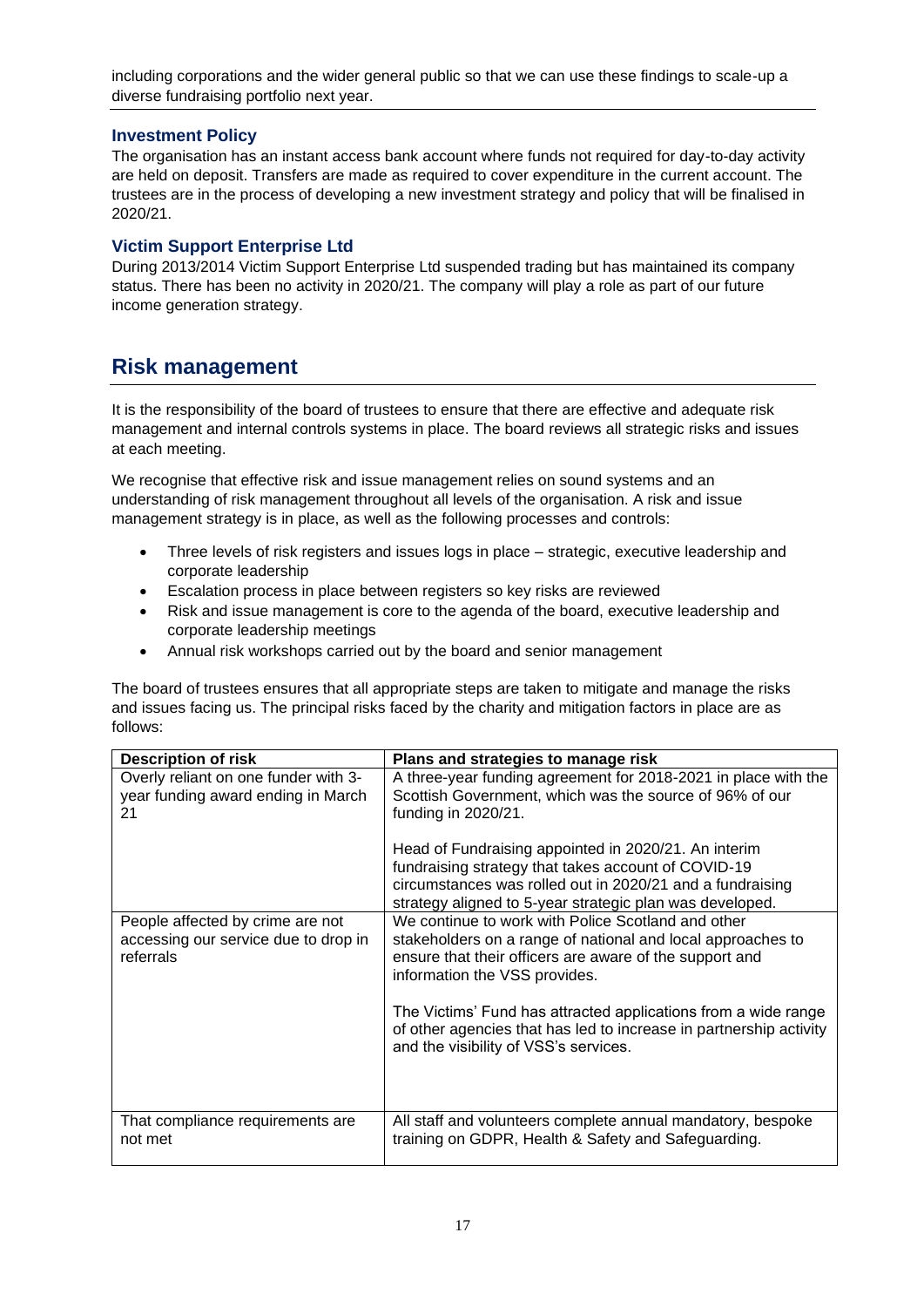including corporations and the wider general public so that we can use these findings to scale-up a diverse fundraising portfolio next year.

# **Investment Policy**

The organisation has an instant access bank account where funds not required for day-to-day activity are held on deposit. Transfers are made as required to cover expenditure in the current account. The trustees are in the process of developing a new investment strategy and policy that will be finalised in 2020/21.

# **Victim Support Enterprise Ltd**

During 2013/2014 Victim Support Enterprise Ltd suspended trading but has maintained its company status. There has been no activity in 2020/21. The company will play a role as part of our future income generation strategy.

# **Risk management**

It is the responsibility of the board of trustees to ensure that there are effective and adequate risk management and internal controls systems in place. The board reviews all strategic risks and issues at each meeting.

We recognise that effective risk and issue management relies on sound systems and an understanding of risk management throughout all levels of the organisation. A risk and issue management strategy is in place, as well as the following processes and controls:

- Three levels of risk registers and issues logs in place strategic, executive leadership and corporate leadership
- Escalation process in place between registers so key risks are reviewed
- Risk and issue management is core to the agenda of the board, executive leadership and corporate leadership meetings
- Annual risk workshops carried out by the board and senior management

The board of trustees ensures that all appropriate steps are taken to mitigate and manage the risks and issues facing us. The principal risks faced by the charity and mitigation factors in place are as follows:

| <b>Description of risk</b>                                                            | Plans and strategies to manage risk                                                                                                                                                                                                  |
|---------------------------------------------------------------------------------------|--------------------------------------------------------------------------------------------------------------------------------------------------------------------------------------------------------------------------------------|
| Overly reliant on one funder with 3-<br>year funding award ending in March<br>21      | A three-year funding agreement for 2018-2021 in place with the<br>Scottish Government, which was the source of 96% of our<br>funding in 2020/21.                                                                                     |
|                                                                                       | Head of Fundraising appointed in 2020/21. An interim<br>fundraising strategy that takes account of COVID-19<br>circumstances was rolled out in 2020/21 and a fundraising<br>strategy aligned to 5-year strategic plan was developed. |
| People affected by crime are not<br>accessing our service due to drop in<br>referrals | We continue to work with Police Scotland and other<br>stakeholders on a range of national and local approaches to<br>ensure that their officers are aware of the support and<br>information the VSS provides.                        |
|                                                                                       | The Victims' Fund has attracted applications from a wide range<br>of other agencies that has led to increase in partnership activity<br>and the visibility of VSS's services.                                                        |
| That compliance requirements are<br>not met                                           | All staff and volunteers complete annual mandatory, bespoke<br>training on GDPR, Health & Safety and Safeguarding.                                                                                                                   |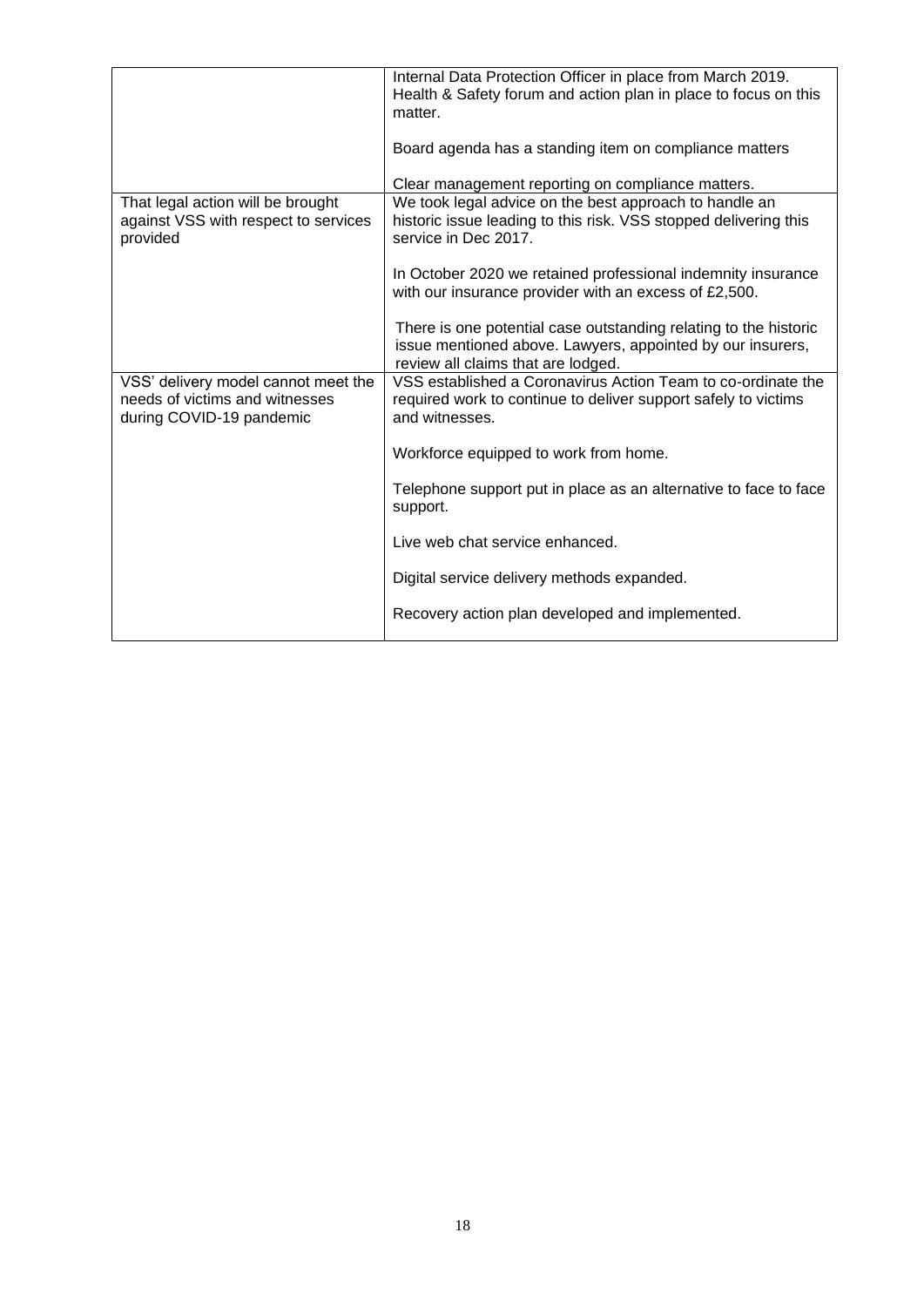|                                                                                                   | Internal Data Protection Officer in place from March 2019.<br>Health & Safety forum and action plan in place to focus on this<br>matter.                             |
|---------------------------------------------------------------------------------------------------|----------------------------------------------------------------------------------------------------------------------------------------------------------------------|
|                                                                                                   | Board agenda has a standing item on compliance matters                                                                                                               |
|                                                                                                   | Clear management reporting on compliance matters.                                                                                                                    |
| That legal action will be brought<br>against VSS with respect to services<br>provided             | We took legal advice on the best approach to handle an<br>historic issue leading to this risk. VSS stopped delivering this<br>service in Dec 2017.                   |
|                                                                                                   | In October 2020 we retained professional indemnity insurance<br>with our insurance provider with an excess of £2,500.                                                |
|                                                                                                   | There is one potential case outstanding relating to the historic<br>issue mentioned above. Lawyers, appointed by our insurers,<br>review all claims that are lodged. |
| VSS' delivery model cannot meet the<br>needs of victims and witnesses<br>during COVID-19 pandemic | VSS established a Coronavirus Action Team to co-ordinate the<br>required work to continue to deliver support safely to victims<br>and witnesses.                     |
|                                                                                                   | Workforce equipped to work from home.                                                                                                                                |
|                                                                                                   | Telephone support put in place as an alternative to face to face<br>support.                                                                                         |
|                                                                                                   | Live web chat service enhanced.                                                                                                                                      |
|                                                                                                   | Digital service delivery methods expanded.                                                                                                                           |
|                                                                                                   | Recovery action plan developed and implemented.                                                                                                                      |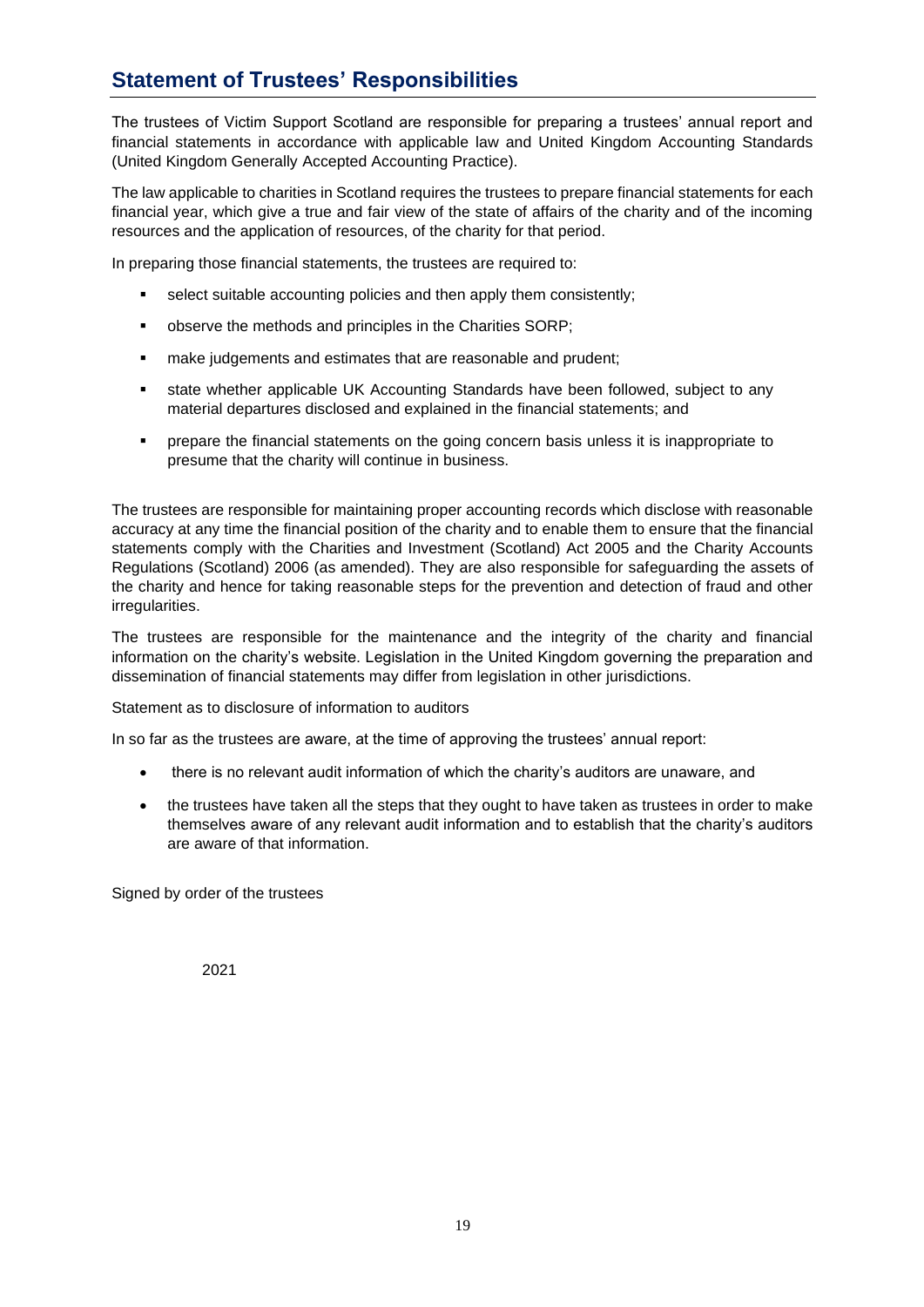# **Statement of Trustees' Responsibilities**

The trustees of Victim Support Scotland are responsible for preparing a trustees' annual report and financial statements in accordance with applicable law and United Kingdom Accounting Standards (United Kingdom Generally Accepted Accounting Practice).

The law applicable to charities in Scotland requires the trustees to prepare financial statements for each financial year, which give a true and fair view of the state of affairs of the charity and of the incoming resources and the application of resources, of the charity for that period.

In preparing those financial statements, the trustees are required to:

- select suitable accounting policies and then apply them consistently;
- observe the methods and principles in the Charities SORP;
- make judgements and estimates that are reasonable and prudent;
- state whether applicable UK Accounting Standards have been followed, subject to any material departures disclosed and explained in the financial statements; and
- prepare the financial statements on the going concern basis unless it is inappropriate to presume that the charity will continue in business.

The trustees are responsible for maintaining proper accounting records which disclose with reasonable accuracy at any time the financial position of the charity and to enable them to ensure that the financial statements comply with the Charities and Investment (Scotland) Act 2005 and the Charity Accounts Regulations (Scotland) 2006 (as amended). They are also responsible for safeguarding the assets of the charity and hence for taking reasonable steps for the prevention and detection of fraud and other irregularities.

The trustees are responsible for the maintenance and the integrity of the charity and financial information on the charity's website. Legislation in the United Kingdom governing the preparation and dissemination of financial statements may differ from legislation in other jurisdictions.

Statement as to disclosure of information to auditors

In so far as the trustees are aware, at the time of approving the trustees' annual report:

- there is no relevant audit information of which the charity's auditors are unaware, and
- the trustees have taken all the steps that they ought to have taken as trustees in order to make themselves aware of any relevant audit information and to establish that the charity's auditors are aware of that information.

Signed by order of the trustees

2021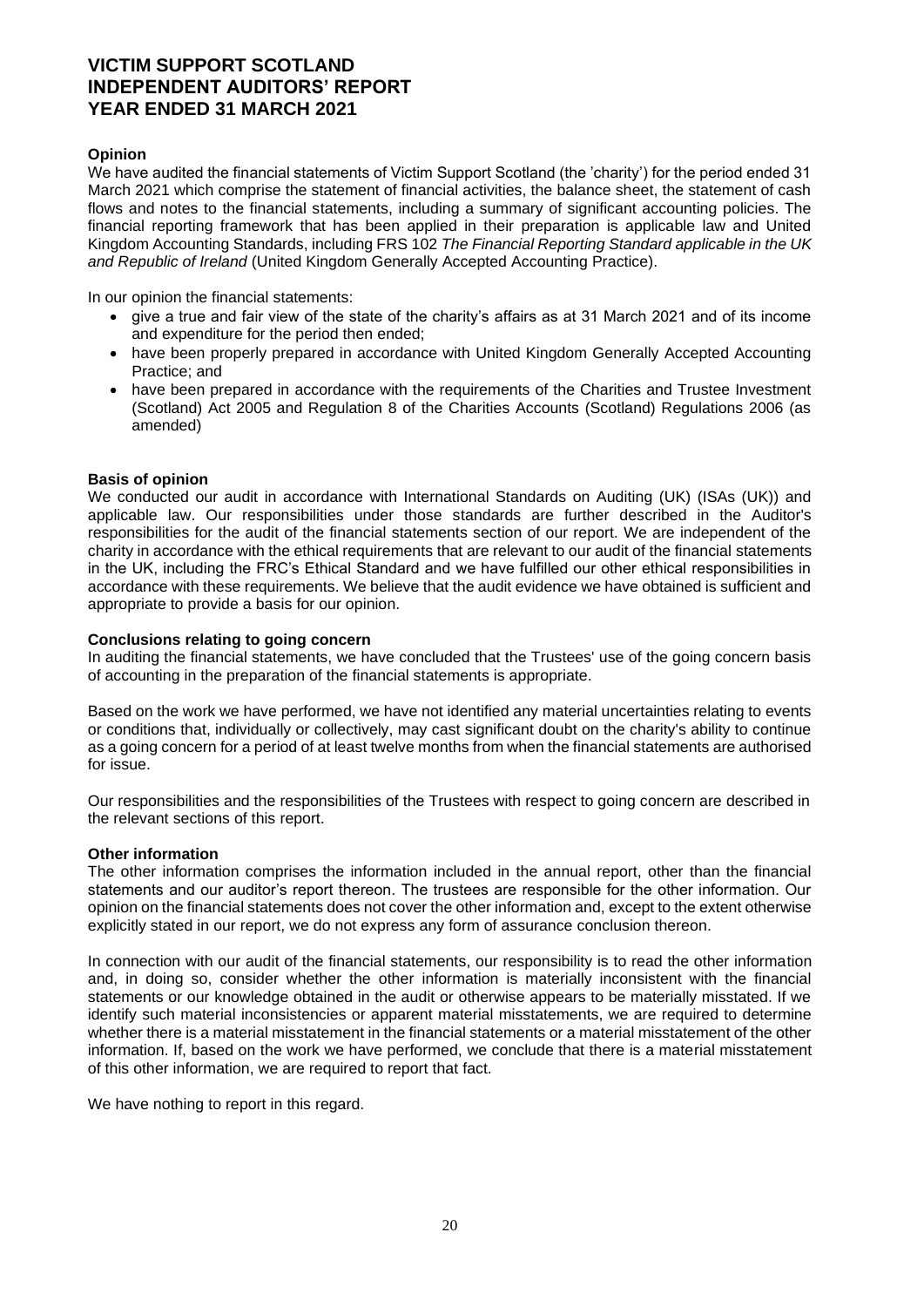# **VICTIM SUPPORT SCOTLAND INDEPENDENT AUDITORS' REPORT YEAR ENDED 31 MARCH 2021**

### **Opinion**

We have audited the financial statements of Victim Support Scotland (the 'charity') for the period ended 31 March 2021 which comprise the statement of financial activities, the balance sheet, the statement of cash flows and notes to the financial statements, including a summary of significant accounting policies. The financial reporting framework that has been applied in their preparation is applicable law and United Kingdom Accounting Standards, including FRS 102 *The Financial Reporting Standard applicable in the UK and Republic of Ireland* (United Kingdom Generally Accepted Accounting Practice).

In our opinion the financial statements:

- give a true and fair view of the state of the charity's affairs as at 31 March 2021 and of its income and expenditure for the period then ended;
- have been properly prepared in accordance with United Kingdom Generally Accepted Accounting Practice; and
- have been prepared in accordance with the requirements of the Charities and Trustee Investment (Scotland) Act 2005 and Regulation 8 of the Charities Accounts (Scotland) Regulations 2006 (as amended)

#### **Basis of opinion**

We conducted our audit in accordance with International Standards on Auditing (UK) (ISAs (UK)) and applicable law. Our responsibilities under those standards are further described in the Auditor's responsibilities for the audit of the financial statements section of our report. We are independent of the charity in accordance with the ethical requirements that are relevant to our audit of the financial statements in the UK, including the FRC's Ethical Standard and we have fulfilled our other ethical responsibilities in accordance with these requirements. We believe that the audit evidence we have obtained is sufficient and appropriate to provide a basis for our opinion.

#### **Conclusions relating to going concern**

In auditing the financial statements, we have concluded that the Trustees' use of the going concern basis of accounting in the preparation of the financial statements is appropriate.

Based on the work we have performed, we have not identified any material uncertainties relating to events or conditions that, individually or collectively, may cast significant doubt on the charity's ability to continue as a going concern for a period of at least twelve months from when the financial statements are authorised for issue.

Our responsibilities and the responsibilities of the Trustees with respect to going concern are described in the relevant sections of this report.

#### **Other information**

The other information comprises the information included in the annual report, other than the financial statements and our auditor's report thereon. The trustees are responsible for the other information. Our opinion on the financial statements does not cover the other information and, except to the extent otherwise explicitly stated in our report, we do not express any form of assurance conclusion thereon.

In connection with our audit of the financial statements, our responsibility is to read the other information and, in doing so, consider whether the other information is materially inconsistent with the financial statements or our knowledge obtained in the audit or otherwise appears to be materially misstated. If we identify such material inconsistencies or apparent material misstatements, we are required to determine whether there is a material misstatement in the financial statements or a material misstatement of the other information. If, based on the work we have performed, we conclude that there is a material misstatement of this other information, we are required to report that fact.

We have nothing to report in this regard.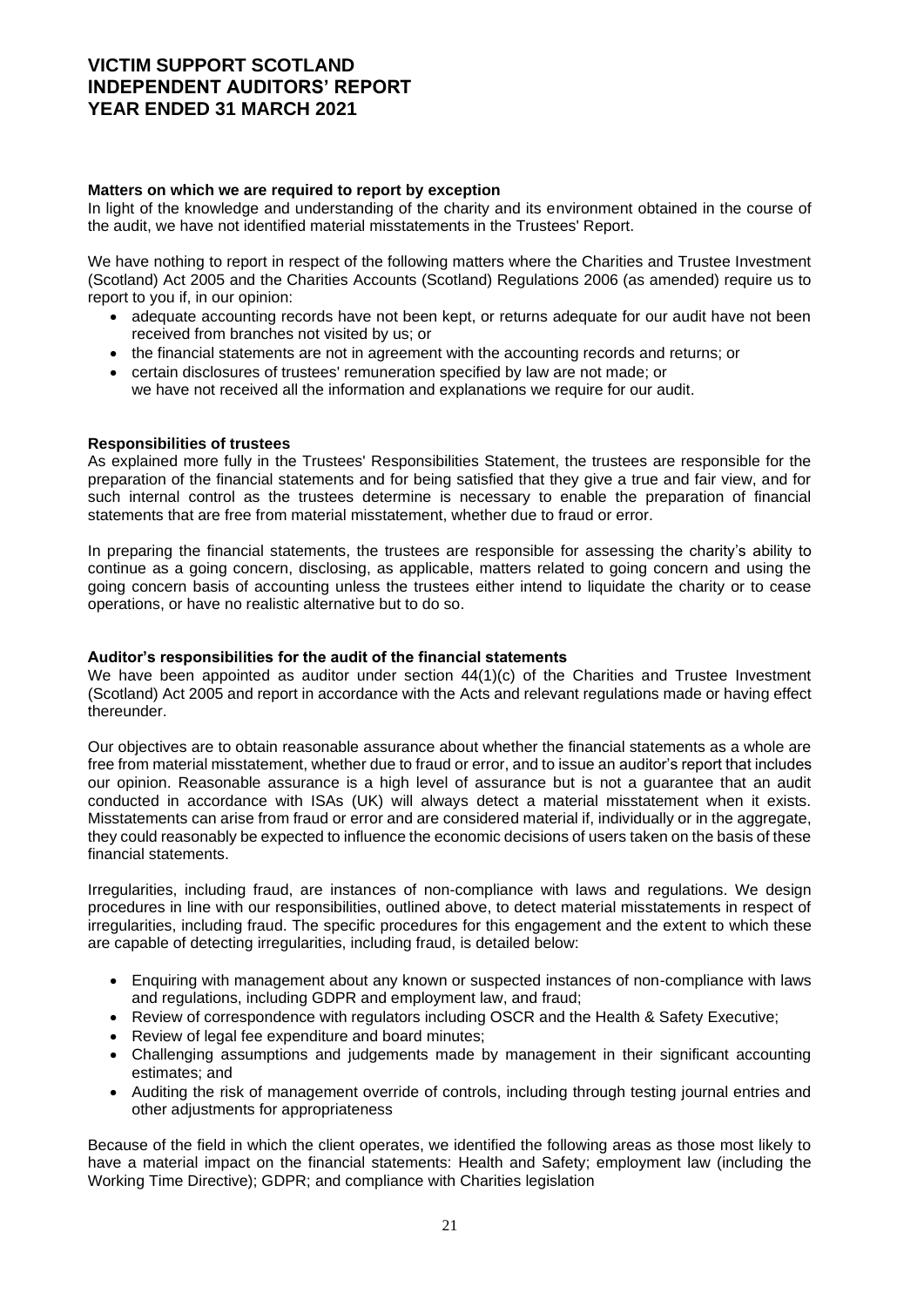# **VICTIM SUPPORT SCOTLAND INDEPENDENT AUDITORS' REPORT YEAR ENDED 31 MARCH 2021**

### **Matters on which we are required to report by exception**

In light of the knowledge and understanding of the charity and its environment obtained in the course of the audit, we have not identified material misstatements in the Trustees' Report.

We have nothing to report in respect of the following matters where the Charities and Trustee Investment (Scotland) Act 2005 and the Charities Accounts (Scotland) Regulations 2006 (as amended) require us to report to you if, in our opinion:

- adequate accounting records have not been kept, or returns adequate for our audit have not been received from branches not visited by us; or
- the financial statements are not in agreement with the accounting records and returns; or
- certain disclosures of trustees' remuneration specified by law are not made; or we have not received all the information and explanations we require for our audit.

#### **Responsibilities of trustees**

As explained more fully in the Trustees' Responsibilities Statement, the trustees are responsible for the preparation of the financial statements and for being satisfied that they give a true and fair view, and for such internal control as the trustees determine is necessary to enable the preparation of financial statements that are free from material misstatement, whether due to fraud or error.

In preparing the financial statements, the trustees are responsible for assessing the charity's ability to continue as a going concern, disclosing, as applicable, matters related to going concern and using the going concern basis of accounting unless the trustees either intend to liquidate the charity or to cease operations, or have no realistic alternative but to do so.

#### **Auditor's responsibilities for the audit of the financial statements**

We have been appointed as auditor under section 44(1)(c) of the Charities and Trustee Investment (Scotland) Act 2005 and report in accordance with the Acts and relevant regulations made or having effect thereunder.

Our objectives are to obtain reasonable assurance about whether the financial statements as a whole are free from material misstatement, whether due to fraud or error, and to issue an auditor's report that includes our opinion. Reasonable assurance is a high level of assurance but is not a guarantee that an audit conducted in accordance with ISAs (UK) will always detect a material misstatement when it exists. Misstatements can arise from fraud or error and are considered material if, individually or in the aggregate, they could reasonably be expected to influence the economic decisions of users taken on the basis of these financial statements.

Irregularities, including fraud, are instances of non-compliance with laws and regulations. We design procedures in line with our responsibilities, outlined above, to detect material misstatements in respect of irregularities, including fraud. The specific procedures for this engagement and the extent to which these are capable of detecting irregularities, including fraud, is detailed below:

- Enquiring with management about any known or suspected instances of non-compliance with laws and regulations, including GDPR and employment law, and fraud;
- Review of correspondence with regulators including OSCR and the Health & Safety Executive;
- Review of legal fee expenditure and board minutes;
- Challenging assumptions and judgements made by management in their significant accounting estimates; and
- Auditing the risk of management override of controls, including through testing journal entries and other adjustments for appropriateness

Because of the field in which the client operates, we identified the following areas as those most likely to have a material impact on the financial statements: Health and Safety; employment law (including the Working Time Directive); GDPR; and compliance with Charities legislation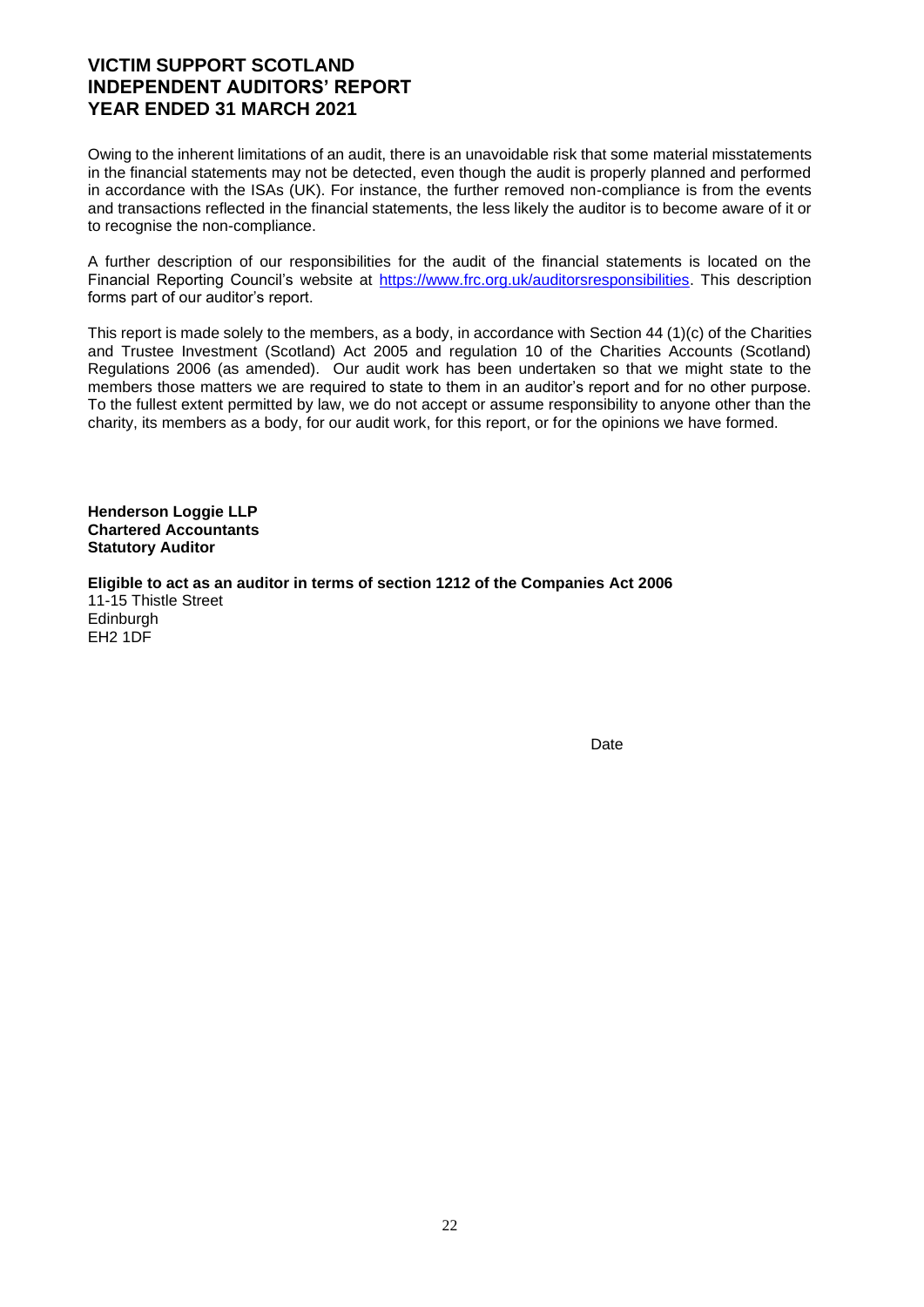# **VICTIM SUPPORT SCOTLAND INDEPENDENT AUDITORS' REPORT YEAR ENDED 31 MARCH 2021**

Owing to the inherent limitations of an audit, there is an unavoidable risk that some material misstatements in the financial statements may not be detected, even though the audit is properly planned and performed in accordance with the ISAs (UK). For instance, the further removed non-compliance is from the events and transactions reflected in the financial statements, the less likely the auditor is to become aware of it or to recognise the non-compliance.

A further description of our responsibilities for the audit of the financial statements is located on the Financial Reporting Council's website at [https://www.frc.org.uk/auditorsresponsibilities.](https://www.frc.org.uk/auditorsresponsibilities) This description forms part of our auditor's report.

This report is made solely to the members, as a body, in accordance with Section 44 (1)(c) of the Charities and Trustee Investment (Scotland) Act 2005 and regulation 10 of the Charities Accounts (Scotland) Regulations 2006 (as amended). Our audit work has been undertaken so that we might state to the members those matters we are required to state to them in an auditor's report and for no other purpose. To the fullest extent permitted by law, we do not accept or assume responsibility to anyone other than the charity, its members as a body, for our audit work, for this report, or for the opinions we have formed.

**Henderson Loggie LLP Chartered Accountants Statutory Auditor** 

**Eligible to act as an auditor in terms of section 1212 of the Companies Act 2006**  11-15 Thistle Street **Edinburgh** EH2 1DF

Date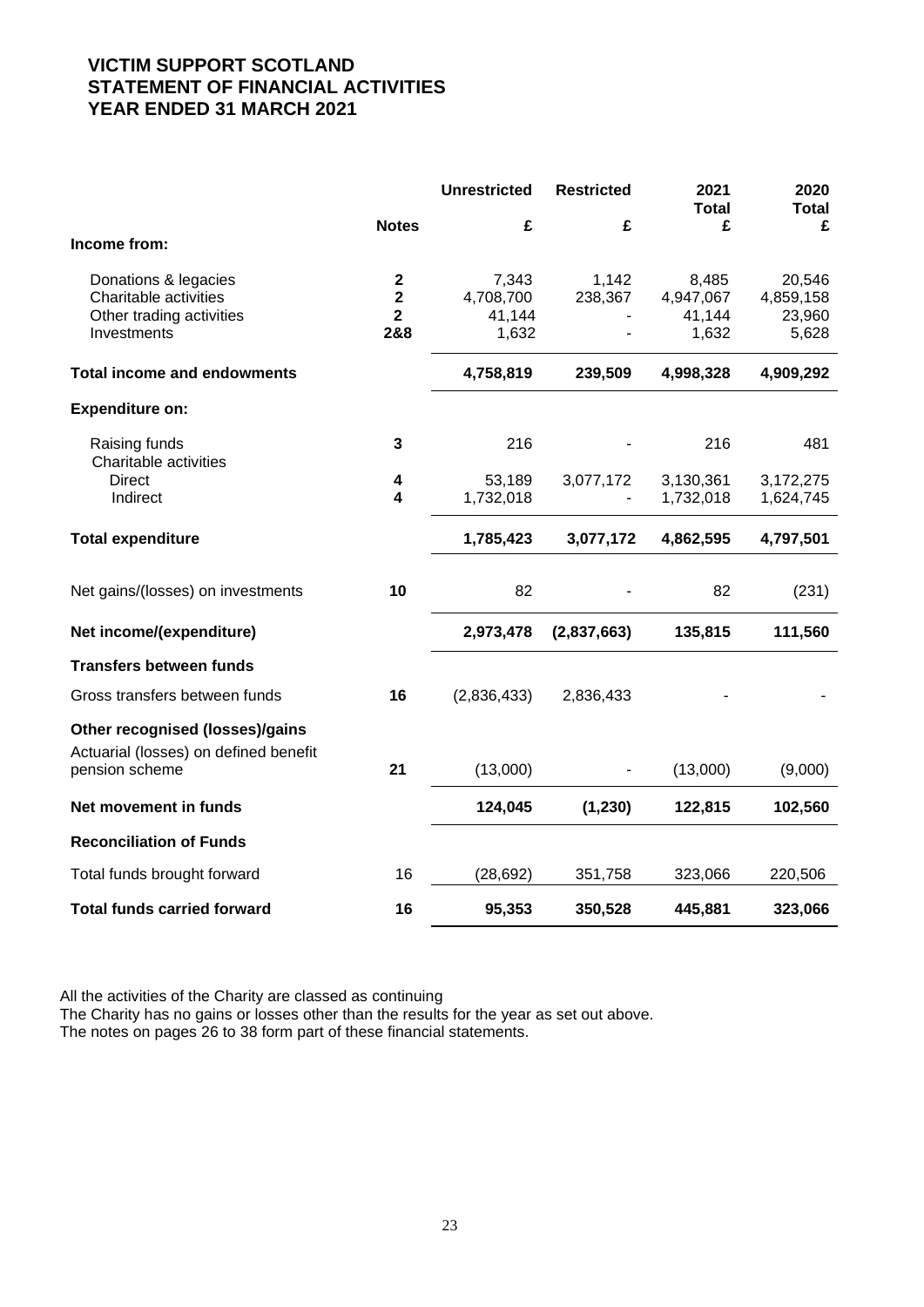# **VICTIM SUPPORT SCOTLAND STATEMENT OF FINANCIAL ACTIVITIES YEAR ENDED 31 MARCH 2021**

|                                                                                            |                                                     | <b>Unrestricted</b>                   | <b>Restricted</b> | 2021<br><b>Total</b>                  | 2020<br><b>Total</b>                   |
|--------------------------------------------------------------------------------------------|-----------------------------------------------------|---------------------------------------|-------------------|---------------------------------------|----------------------------------------|
|                                                                                            | <b>Notes</b>                                        | £                                     | £                 | £                                     | £                                      |
| Income from:                                                                               |                                                     |                                       |                   |                                       |                                        |
| Donations & legacies<br>Charitable activities<br>Other trading activities<br>Investments   | $\mathbf 2$<br>$\mathbf 2$<br>$\overline{2}$<br>2&8 | 7,343<br>4,708,700<br>41,144<br>1,632 | 1,142<br>238,367  | 8,485<br>4,947,067<br>41,144<br>1,632 | 20,546<br>4,859,158<br>23,960<br>5,628 |
| <b>Total income and endowments</b>                                                         |                                                     | 4,758,819                             | 239,509           | 4,998,328                             | 4,909,292                              |
| <b>Expenditure on:</b>                                                                     |                                                     |                                       |                   |                                       |                                        |
| Raising funds<br>Charitable activities                                                     | 3                                                   | 216                                   |                   | 216                                   | 481                                    |
| <b>Direct</b><br>Indirect                                                                  | 4<br>4                                              | 53,189<br>1,732,018                   | 3,077,172         | 3,130,361<br>1,732,018                | 3,172,275<br>1,624,745                 |
| <b>Total expenditure</b>                                                                   |                                                     | 1,785,423                             | 3,077,172         | 4,862,595                             | 4,797,501                              |
| Net gains/(losses) on investments                                                          | 10                                                  | 82                                    |                   | 82                                    | (231)                                  |
| Net income/(expenditure)                                                                   |                                                     | 2,973,478                             | (2,837,663)       | 135,815                               | 111,560                                |
| <b>Transfers between funds</b>                                                             |                                                     |                                       |                   |                                       |                                        |
| Gross transfers between funds                                                              | 16                                                  | (2,836,433)                           | 2,836,433         |                                       |                                        |
| Other recognised (losses)/gains<br>Actuarial (losses) on defined benefit<br>pension scheme | 21                                                  | (13,000)                              |                   | (13,000)                              | (9,000)                                |
|                                                                                            |                                                     |                                       |                   |                                       |                                        |
| Net movement in funds                                                                      |                                                     | 124,045                               | (1, 230)          | 122,815                               | 102,560                                |
| <b>Reconciliation of Funds</b>                                                             |                                                     |                                       |                   |                                       |                                        |
| Total funds brought forward                                                                | 16                                                  | (28, 692)                             | 351,758           | 323,066                               | 220,506                                |
| <b>Total funds carried forward</b>                                                         | 16                                                  | 95,353                                | 350,528           | 445,881                               | 323,066                                |

All the activities of the Charity are classed as continuing

The Charity has no gains or losses other than the results for the year as set out above. The notes on pages 26 to 38 form part of these financial statements.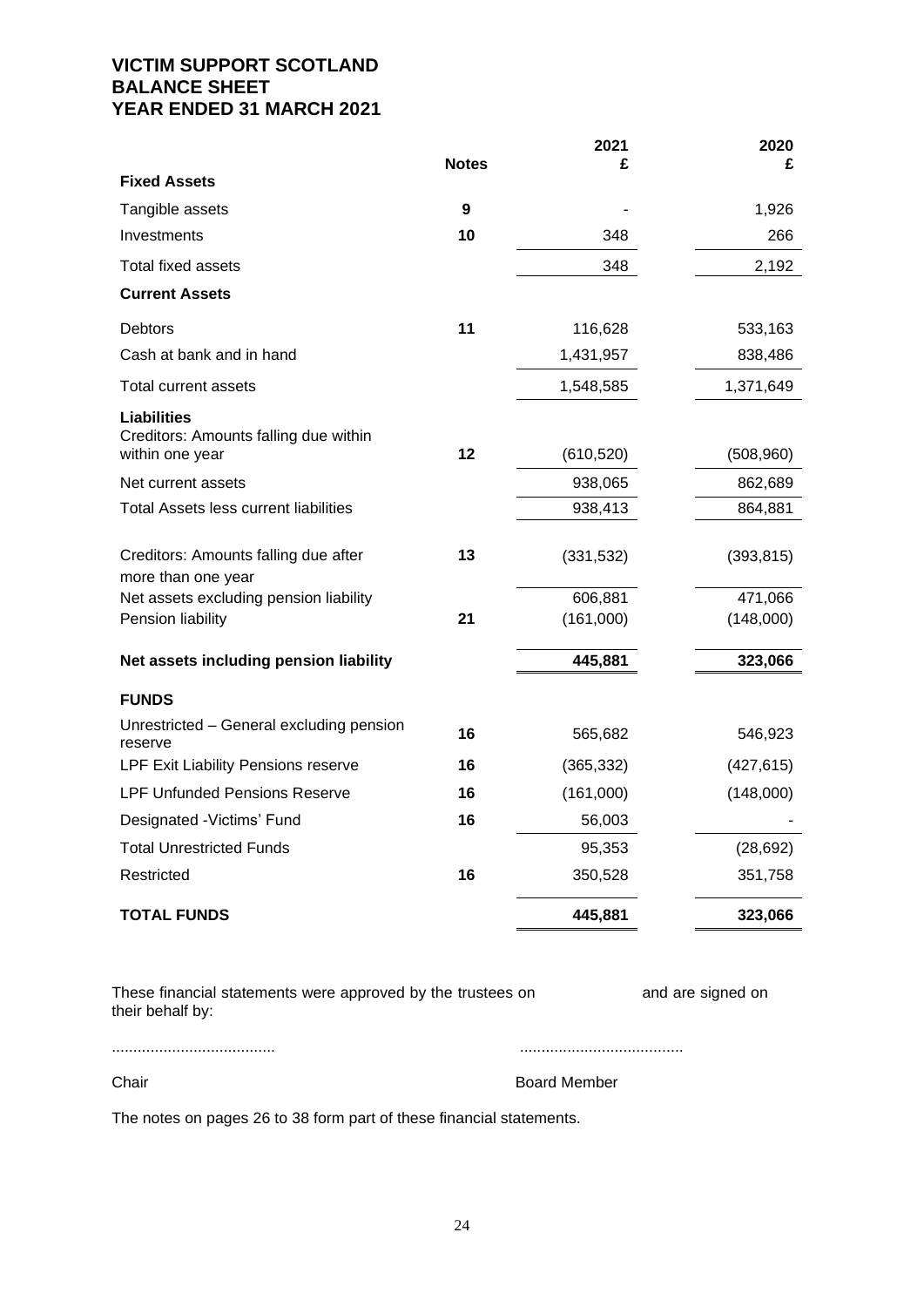# **VICTIM SUPPORT SCOTLAND BALANCE SHEET YEAR ENDED 31 MARCH 2021**

|                                                            |              | 2021       | 2020       |
|------------------------------------------------------------|--------------|------------|------------|
| <b>Fixed Assets</b>                                        | <b>Notes</b> | £          | £          |
| Tangible assets                                            | 9            |            | 1,926      |
| Investments                                                | 10           | 348        | 266        |
| Total fixed assets                                         |              | 348        | 2,192      |
| <b>Current Assets</b>                                      |              |            |            |
| <b>Debtors</b>                                             | 11           | 116,628    | 533,163    |
| Cash at bank and in hand                                   |              | 1,431,957  | 838,486    |
| Total current assets                                       |              | 1,548,585  | 1,371,649  |
| <b>Liabilities</b>                                         |              |            |            |
| Creditors: Amounts falling due within<br>within one year   | 12           | (610, 520) | (508,960)  |
| Net current assets                                         |              | 938,065    | 862,689    |
| Total Assets less current liabilities                      |              | 938,413    | 864,881    |
| Creditors: Amounts falling due after<br>more than one year | 13           | (331, 532) | (393, 815) |
| Net assets excluding pension liability                     |              | 606,881    | 471,066    |
| Pension liability                                          | 21           | (161,000)  | (148,000)  |
| Net assets including pension liability                     |              | 445,881    | 323,066    |
| <b>FUNDS</b>                                               |              |            |            |
| Unrestricted - General excluding pension<br>reserve        | 16           | 565,682    | 546,923    |
| LPF Exit Liability Pensions reserve                        | 16           | (365, 332) | (427, 615) |
| <b>LPF Unfunded Pensions Reserve</b>                       | 16           | (161,000)  | (148,000)  |
| Designated - Victims' Fund                                 | 16           | 56,003     |            |
| <b>Total Unrestricted Funds</b>                            |              | 95,353     | (28, 692)  |
| Restricted                                                 | 16           | 350,528    | 351,758    |
| <b>TOTAL FUNDS</b>                                         |              | 445,881    | 323,066    |

| These financial statements were approved by the trustees on | and are signed on |
|-------------------------------------------------------------|-------------------|
| their behalf by:                                            |                   |

Chair **Chair** Board Member

...................................... ......................................

The notes on pages 26 to 38 form part of these financial statements.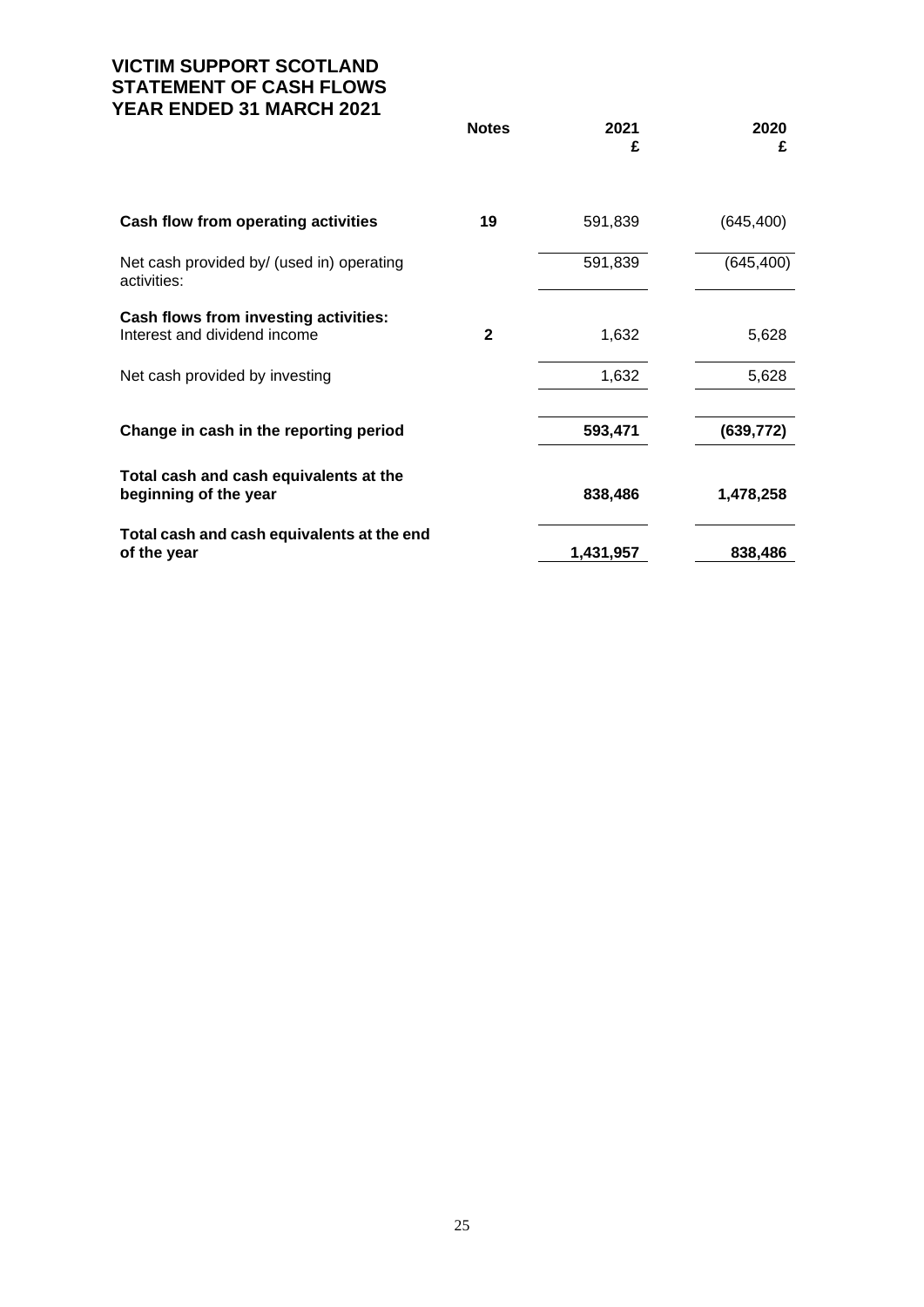# **VICTIM SUPPORT SCOTLAND STATEMENT OF CASH FLOWS YEAR ENDED 31 MARCH 2021**

|                                                                       | <b>Notes</b> | 2021<br>£ | 2020<br>£  |
|-----------------------------------------------------------------------|--------------|-----------|------------|
|                                                                       |              |           |            |
| Cash flow from operating activities                                   | 19           | 591,839   | (645, 400) |
| Net cash provided by/ (used in) operating<br>activities:              |              | 591,839   | (645, 400) |
| Cash flows from investing activities:<br>Interest and dividend income | $\mathbf{2}$ | 1,632     | 5,628      |
| Net cash provided by investing                                        |              | 1,632     | 5,628      |
| Change in cash in the reporting period                                |              | 593,471   | (639, 772) |
| Total cash and cash equivalents at the<br>beginning of the year       |              | 838,486   | 1,478,258  |
| Total cash and cash equivalents at the end<br>of the year             |              | 1,431,957 | 838,486    |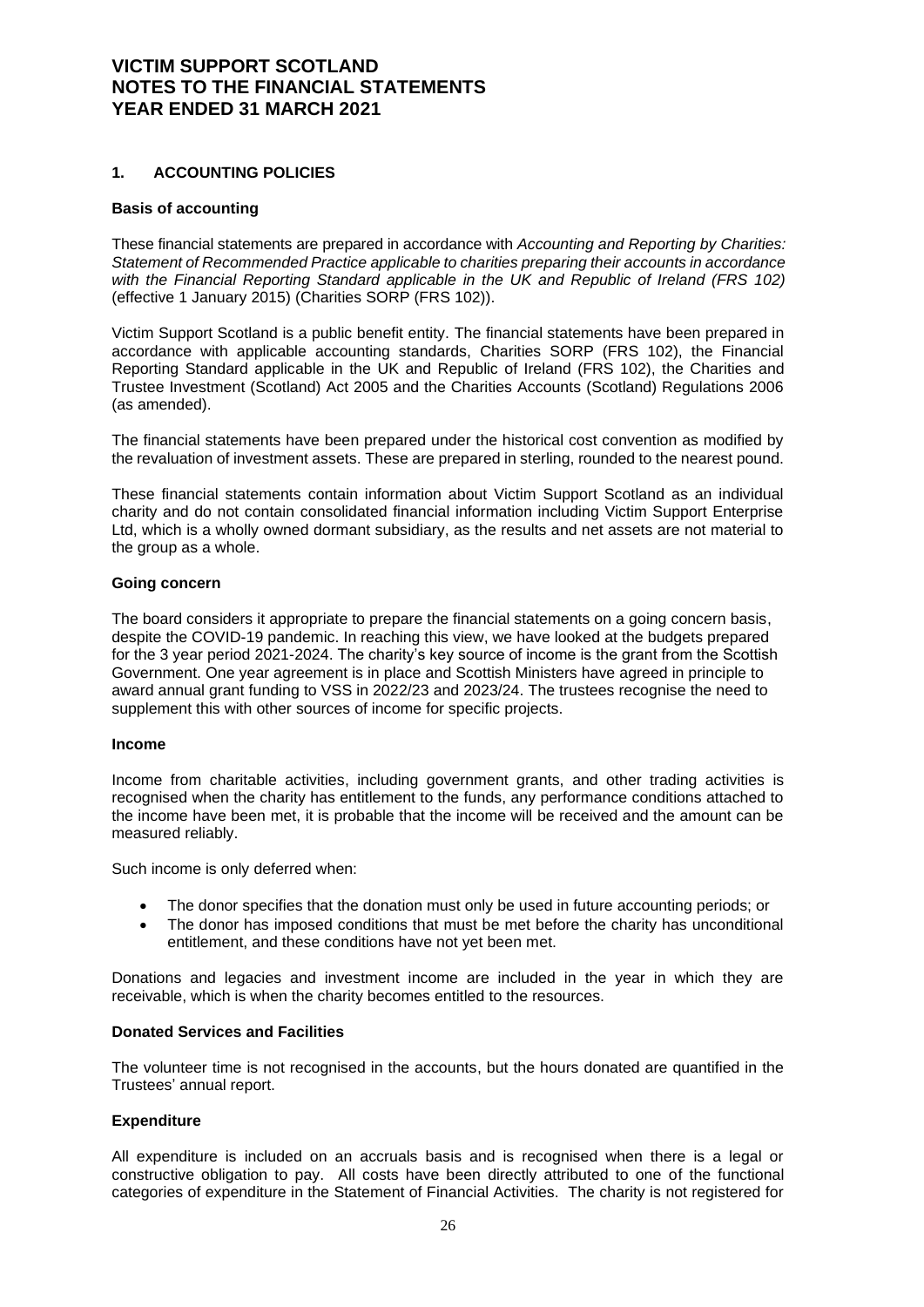### **1. ACCOUNTING POLICIES**

#### **Basis of accounting**

These financial statements are prepared in accordance with *Accounting and Reporting by Charities: Statement of Recommended Practice applicable to charities preparing their accounts in accordance with the Financial Reporting Standard applicable in the UK and Republic of Ireland (FRS 102)* (effective 1 January 2015) (Charities SORP (FRS 102)).

Victim Support Scotland is a public benefit entity. The financial statements have been prepared in accordance with applicable accounting standards, Charities SORP (FRS 102), the Financial Reporting Standard applicable in the UK and Republic of Ireland (FRS 102), the Charities and Trustee Investment (Scotland) Act 2005 and the Charities Accounts (Scotland) Regulations 2006 (as amended).

The financial statements have been prepared under the historical cost convention as modified by the revaluation of investment assets. These are prepared in sterling, rounded to the nearest pound.

These financial statements contain information about Victim Support Scotland as an individual charity and do not contain consolidated financial information including Victim Support Enterprise Ltd, which is a wholly owned dormant subsidiary, as the results and net assets are not material to the group as a whole.

#### **Going concern**

The board considers it appropriate to prepare the financial statements on a going concern basis, despite the COVID-19 pandemic. In reaching this view, we have looked at the budgets prepared for the 3 year period 2021-2024. The charity's key source of income is the grant from the Scottish Government. One year agreement is in place and Scottish Ministers have agreed in principle to award annual grant funding to VSS in 2022/23 and 2023/24. The trustees recognise the need to supplement this with other sources of income for specific projects.

#### **Income**

Income from charitable activities, including government grants, and other trading activities is recognised when the charity has entitlement to the funds, any performance conditions attached to the income have been met, it is probable that the income will be received and the amount can be measured reliably.

Such income is only deferred when:

- The donor specifies that the donation must only be used in future accounting periods; or
- The donor has imposed conditions that must be met before the charity has unconditional entitlement, and these conditions have not yet been met.

Donations and legacies and investment income are included in the year in which they are receivable, which is when the charity becomes entitled to the resources.

#### **Donated Services and Facilities**

The volunteer time is not recognised in the accounts, but the hours donated are quantified in the Trustees' annual report.

#### **Expenditure**

All expenditure is included on an accruals basis and is recognised when there is a legal or constructive obligation to pay. All costs have been directly attributed to one of the functional categories of expenditure in the Statement of Financial Activities. The charity is not registered for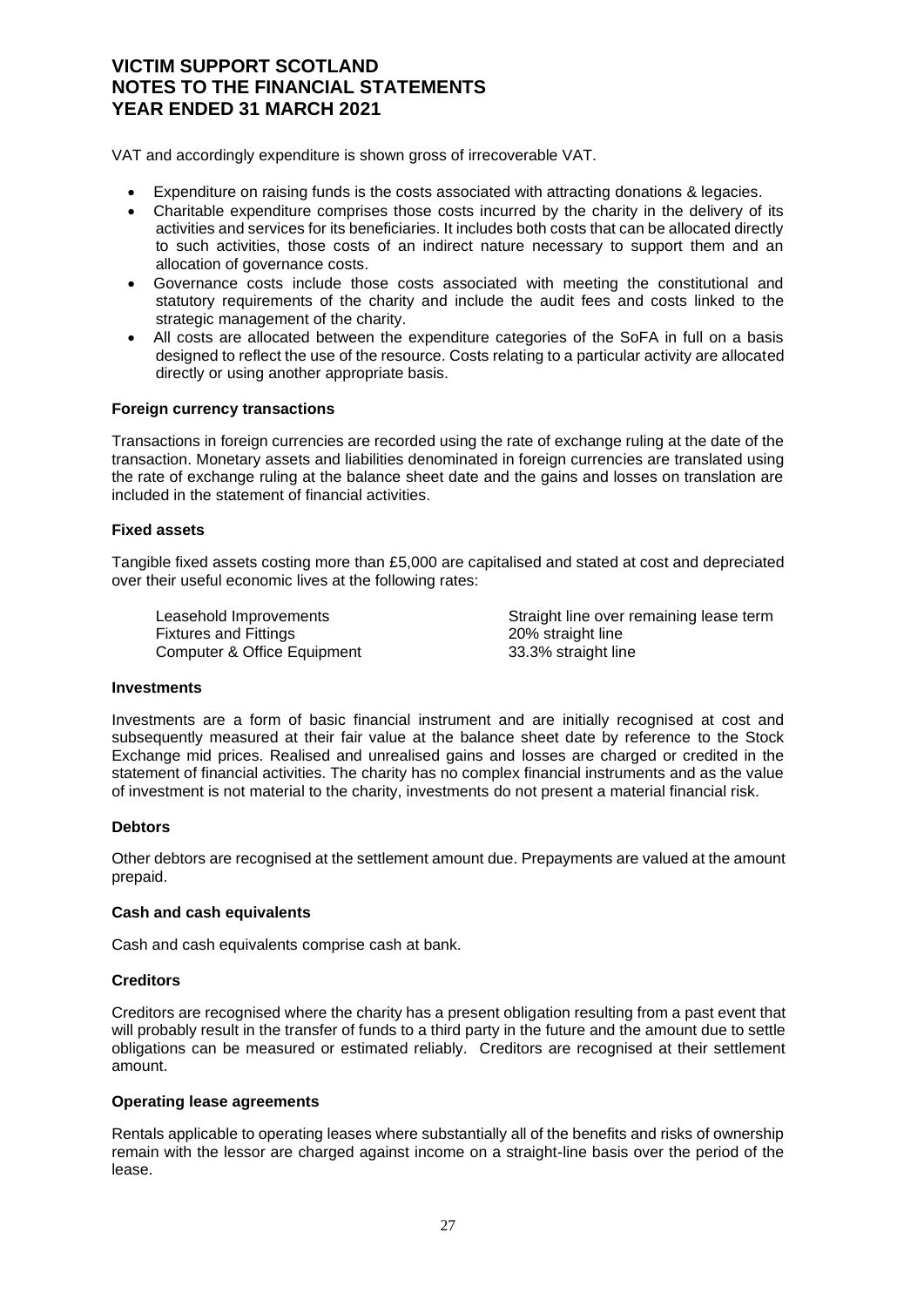VAT and accordingly expenditure is shown gross of irrecoverable VAT.

- Expenditure on raising funds is the costs associated with attracting donations & legacies.
- Charitable expenditure comprises those costs incurred by the charity in the delivery of its activities and services for its beneficiaries. It includes both costs that can be allocated directly to such activities, those costs of an indirect nature necessary to support them and an allocation of governance costs.
- Governance costs include those costs associated with meeting the constitutional and statutory requirements of the charity and include the audit fees and costs linked to the strategic management of the charity.
- All costs are allocated between the expenditure categories of the SoFA in full on a basis designed to reflect the use of the resource. Costs relating to a particular activity are allocated directly or using another appropriate basis.

#### **Foreign currency transactions**

Transactions in foreign currencies are recorded using the rate of exchange ruling at the date of the transaction. Monetary assets and liabilities denominated in foreign currencies are translated using the rate of exchange ruling at the balance sheet date and the gains and losses on translation are included in the statement of financial activities.

#### **Fixed assets**

Tangible fixed assets costing more than £5,000 are capitalised and stated at cost and depreciated over their useful economic lives at the following rates:

Fixtures and Fittings **20%** straight line Computer & Office Equipment 33.3% straight line

Leasehold Improvements **Straight line over remaining lease term** 

#### **Investments**

Investments are a form of basic financial instrument and are initially recognised at cost and subsequently measured at their fair value at the balance sheet date by reference to the Stock Exchange mid prices. Realised and unrealised gains and losses are charged or credited in the statement of financial activities. The charity has no complex financial instruments and as the value of investment is not material to the charity, investments do not present a material financial risk.

#### **Debtors**

Other debtors are recognised at the settlement amount due. Prepayments are valued at the amount prepaid.

#### **Cash and cash equivalents**

Cash and cash equivalents comprise cash at bank.

#### **Creditors**

Creditors are recognised where the charity has a present obligation resulting from a past event that will probably result in the transfer of funds to a third party in the future and the amount due to settle obligations can be measured or estimated reliably. Creditors are recognised at their settlement amount.

#### **Operating lease agreements**

Rentals applicable to operating leases where substantially all of the benefits and risks of ownership remain with the lessor are charged against income on a straight-line basis over the period of the lease.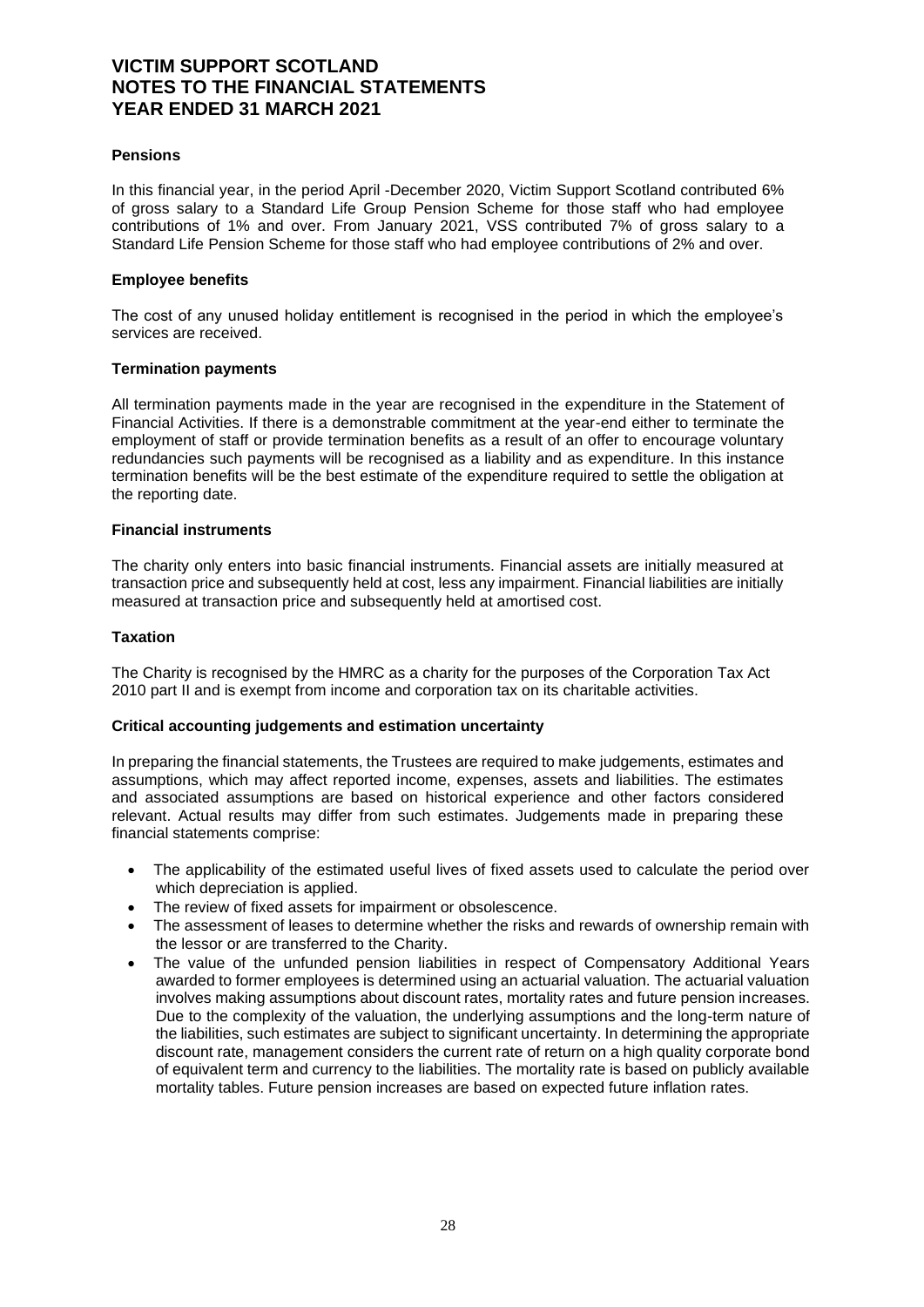#### **Pensions**

In this financial year, in the period April -December 2020, Victim Support Scotland contributed 6% of gross salary to a Standard Life Group Pension Scheme for those staff who had employee contributions of 1% and over. From January 2021, VSS contributed 7% of gross salary to a Standard Life Pension Scheme for those staff who had employee contributions of 2% and over.

#### **Employee benefits**

The cost of any unused holiday entitlement is recognised in the period in which the employee's services are received.

#### **Termination payments**

All termination payments made in the year are recognised in the expenditure in the Statement of Financial Activities. If there is a demonstrable commitment at the year-end either to terminate the employment of staff or provide termination benefits as a result of an offer to encourage voluntary redundancies such payments will be recognised as a liability and as expenditure. In this instance termination benefits will be the best estimate of the expenditure required to settle the obligation at the reporting date.

#### **Financial instruments**

The charity only enters into basic financial instruments. Financial assets are initially measured at transaction price and subsequently held at cost, less any impairment. Financial liabilities are initially measured at transaction price and subsequently held at amortised cost.

#### **Taxation**

The Charity is recognised by the HMRC as a charity for the purposes of the Corporation Tax Act 2010 part II and is exempt from income and corporation tax on its charitable activities.

#### **Critical accounting judgements and estimation uncertainty**

In preparing the financial statements, the Trustees are required to make judgements, estimates and assumptions, which may affect reported income, expenses, assets and liabilities. The estimates and associated assumptions are based on historical experience and other factors considered relevant. Actual results may differ from such estimates. Judgements made in preparing these financial statements comprise:

- The applicability of the estimated useful lives of fixed assets used to calculate the period over which depreciation is applied.
- The review of fixed assets for impairment or obsolescence.
- The assessment of leases to determine whether the risks and rewards of ownership remain with the lessor or are transferred to the Charity.
- The value of the unfunded pension liabilities in respect of Compensatory Additional Years awarded to former employees is determined using an actuarial valuation. The actuarial valuation involves making assumptions about discount rates, mortality rates and future pension increases. Due to the complexity of the valuation, the underlying assumptions and the long-term nature of the liabilities, such estimates are subject to significant uncertainty. In determining the appropriate discount rate, management considers the current rate of return on a high quality corporate bond of equivalent term and currency to the liabilities. The mortality rate is based on publicly available mortality tables. Future pension increases are based on expected future inflation rates.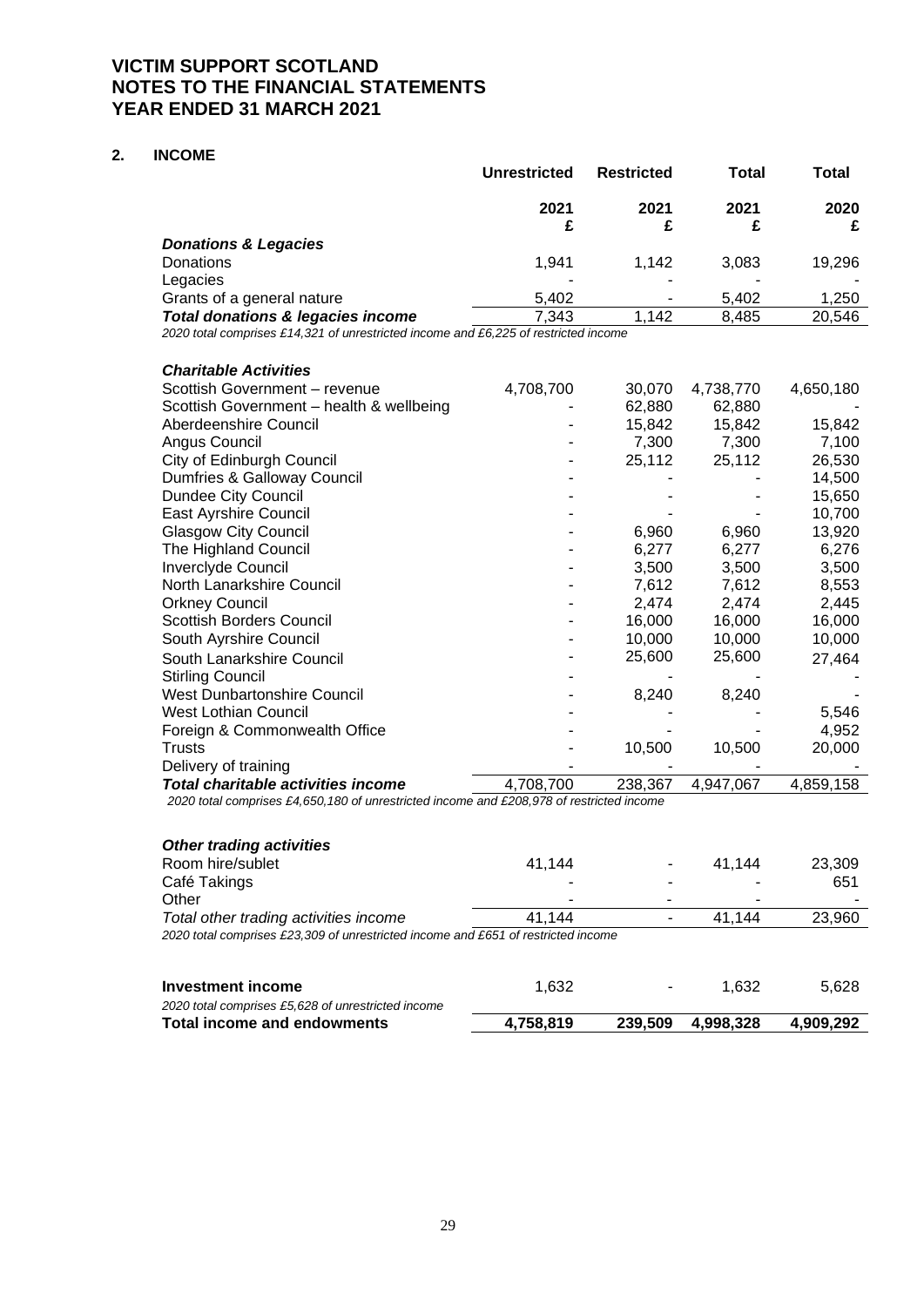### **2. INCOME**

|                                              | <b>Unrestricted</b> | <b>Restricted</b> | Total | Total  |
|----------------------------------------------|---------------------|-------------------|-------|--------|
|                                              | 2021                | 2021              | 2021  | 2020   |
| <b>Donations &amp; Legacies</b>              |                     |                   |       |        |
| Donations                                    | 1.941               | 1.142             | 3.083 | 19,296 |
| Legacies                                     |                     |                   |       |        |
| Grants of a general nature                   | 5,402               | ۰                 | 5.402 | 1.250  |
| <b>Total donations &amp; legacies income</b> | 7.343               | 1.142             | 8.485 | 20.546 |

*2020 total comprises £14,321 of unrestricted income and £6,225 of restricted income*

| <b>Charitable Activities</b>                                                             |           |         |           |           |
|------------------------------------------------------------------------------------------|-----------|---------|-----------|-----------|
| Scottish Government - revenue                                                            | 4,708,700 | 30,070  | 4,738,770 | 4,650,180 |
| Scottish Government - health & wellbeing                                                 |           | 62,880  | 62,880    |           |
| Aberdeenshire Council                                                                    |           | 15,842  | 15,842    | 15,842    |
| Angus Council                                                                            |           | 7,300   | 7,300     | 7,100     |
| City of Edinburgh Council                                                                |           | 25,112  | 25,112    | 26,530    |
| Dumfries & Galloway Council                                                              |           |         |           | 14,500    |
| Dundee City Council                                                                      |           |         |           | 15,650    |
| East Ayrshire Council                                                                    |           |         |           | 10,700    |
| <b>Glasgow City Council</b>                                                              |           | 6,960   | 6,960     | 13,920    |
| The Highland Council                                                                     |           | 6,277   | 6,277     | 6,276     |
| Inverclyde Council                                                                       |           | 3,500   | 3,500     | 3,500     |
| North Lanarkshire Council                                                                |           | 7,612   | 7,612     | 8,553     |
| <b>Orkney Council</b>                                                                    |           | 2,474   | 2,474     | 2,445     |
| <b>Scottish Borders Council</b>                                                          |           | 16,000  | 16,000    | 16,000    |
| South Ayrshire Council                                                                   |           | 10,000  | 10,000    | 10,000    |
| South Lanarkshire Council                                                                |           | 25,600  | 25,600    | 27,464    |
| <b>Stirling Council</b>                                                                  |           |         |           |           |
| <b>West Dunbartonshire Council</b>                                                       |           | 8,240   | 8,240     |           |
| <b>West Lothian Council</b>                                                              |           |         |           | 5,546     |
| Foreign & Commonwealth Office                                                            |           |         |           | 4,952     |
| <b>Trusts</b>                                                                            |           | 10,500  | 10,500    | 20,000    |
| Delivery of training                                                                     |           |         |           |           |
| Total charitable activities income                                                       | 4,708,700 | 238,367 | 4,947,067 | 4,859,158 |
| 2020 total comprises £4,650,180 of unrestricted income and £208,978 of restricted income |           |         |           |           |

| <b>Other trading activities</b>                                                   |        |        |        |
|-----------------------------------------------------------------------------------|--------|--------|--------|
| Room hire/sublet                                                                  | 41.144 | 41.144 | 23,309 |
| Café Takings                                                                      |        |        | 651    |
| Other                                                                             | -      | -      |        |
| Total other trading activities income                                             | 41.144 | 41.144 | 23,960 |
| 2020 total comprises £23,309 of unrestricted income and £651 of restricted income |        |        |        |

| Investment income                                  | 1.632     | $\sim$  | 1.632     | 5.628     |
|----------------------------------------------------|-----------|---------|-----------|-----------|
| 2020 total comprises £5,628 of unrestricted income |           |         |           |           |
| Total income and endowments                        | 4.758.819 | 239.509 | 4.998.328 | 4,909,292 |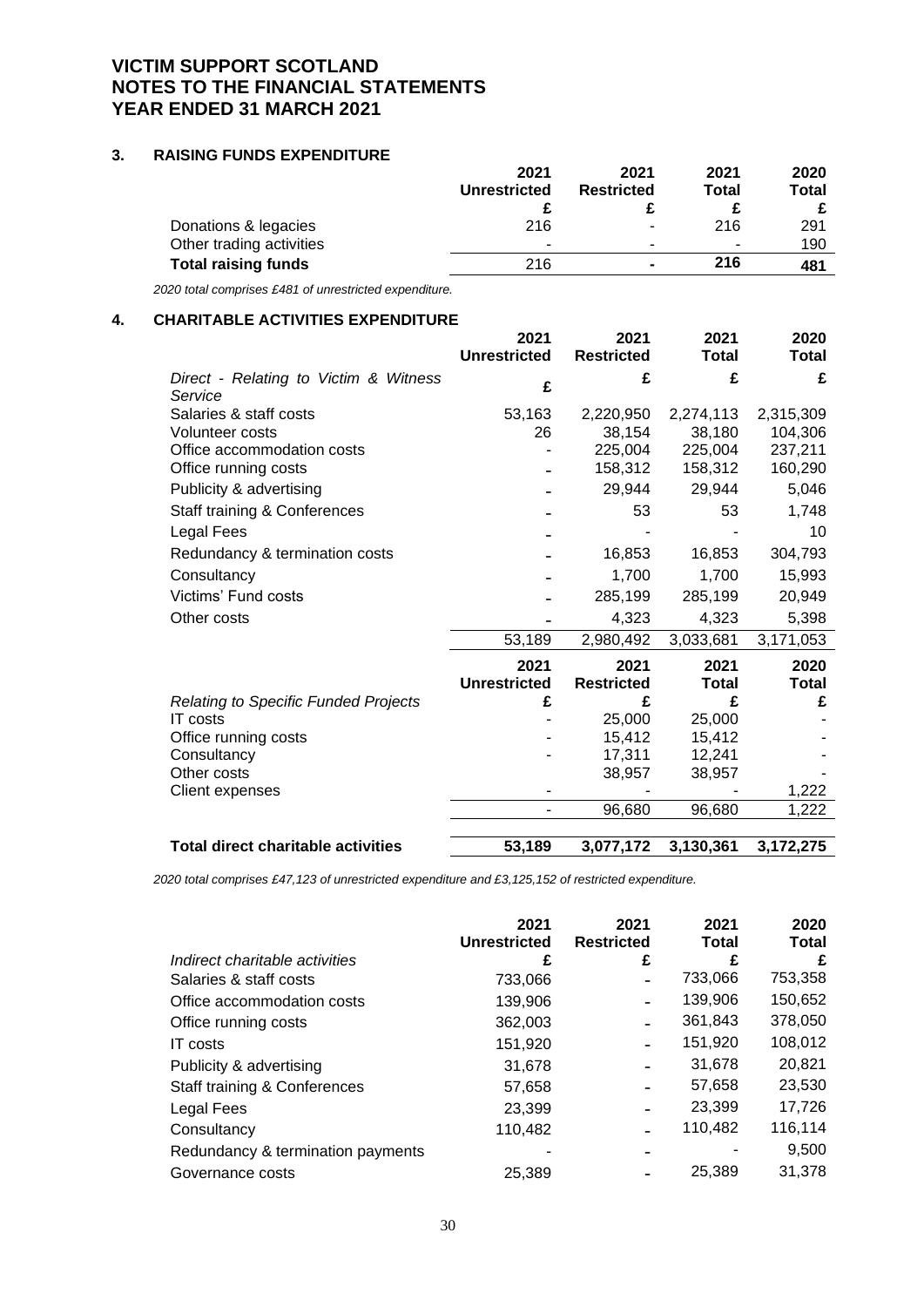### **3. RAISING FUNDS EXPENDITURE**

| 2021                | 2021                     | 2021  | 2020  |
|---------------------|--------------------------|-------|-------|
| <b>Unrestricted</b> | <b>Restricted</b>        | Total | Total |
|                     |                          |       |       |
| 216                 | $\overline{\phantom{a}}$ | 216   | 291   |
| -                   | $\overline{\phantom{a}}$ |       | 190   |
| 216                 | $\blacksquare$           | 216   | 481   |
|                     |                          |       |       |

*2020 total comprises £481 of unrestricted expenditure.*

# **4. CHARITABLE ACTIVITIES EXPENDITURE**

|                                                  | 2021<br><b>Unrestricted</b> | 2021<br><b>Restricted</b> | 2021<br><b>Total</b> | 2020<br>Total      |
|--------------------------------------------------|-----------------------------|---------------------------|----------------------|--------------------|
| Direct - Relating to Victim & Witness            | £                           | £                         | £                    | £                  |
| Service                                          |                             |                           |                      |                    |
| Salaries & staff costs<br><b>Volunteer costs</b> | 53,163<br>26                | 2,220,950                 | 2,274,113            | 2,315,309          |
| Office accommodation costs                       |                             | 38,154<br>225,004         | 38,180<br>225,004    | 104,306<br>237,211 |
| Office running costs                             |                             | 158,312                   | 158,312              | 160,290            |
| Publicity & advertising                          |                             | 29,944                    | 29,944               | 5,046              |
| Staff training & Conferences                     |                             | 53                        | 53                   | 1,748              |
| Legal Fees                                       |                             |                           |                      | 10                 |
| Redundancy & termination costs                   |                             | 16,853                    | 16,853               | 304,793            |
| Consultancy                                      |                             | 1,700                     | 1,700                | 15,993             |
| Victims' Fund costs                              |                             | 285,199                   | 285,199              | 20,949             |
| Other costs                                      |                             | 4,323                     | 4,323                | 5,398              |
|                                                  | 53,189                      | 2,980,492                 | 3,033,681            | 3,171,053          |
|                                                  | 2021<br><b>Unrestricted</b> | 2021<br><b>Restricted</b> | 2021<br><b>Total</b> | 2020<br>Total      |
| <b>Relating to Specific Funded Projects</b>      | £                           | £                         | £                    | £                  |
| <b>IT</b> costs                                  |                             | 25,000                    | 25,000               |                    |
| Office running costs                             |                             | 15,412                    | 15,412               |                    |
| Consultancy                                      |                             | 17,311                    | 12,241               |                    |
| Other costs                                      |                             | 38,957                    | 38,957               |                    |
| Client expenses                                  |                             |                           |                      | 1,222              |
|                                                  |                             | 96,680                    | 96,680               | 1,222              |
| <b>Total direct charitable activities</b>        | 53,189                      | 3,077,172                 | 3,130,361            | 3,172,275          |
|                                                  |                             |                           |                      |                    |

*2020 total comprises £47,123 of unrestricted expenditure and £3,125,152 of restricted expenditure.*

|                                         | 2021<br><b>Unrestricted</b> | 2021<br><b>Restricted</b> | 2021<br><b>Total</b> | 2020<br><b>Total</b> |
|-----------------------------------------|-----------------------------|---------------------------|----------------------|----------------------|
| Indirect charitable activities          | £                           | £                         | £                    | £                    |
| Salaries & staff costs                  | 733,066                     |                           | 733,066              | 753,358              |
| Office accommodation costs              | 139,906                     |                           | 139,906              | 150,652              |
| Office running costs                    | 362,003                     |                           | 361,843              | 378,050              |
| IT costs                                | 151,920                     |                           | 151,920              | 108,012              |
| Publicity & advertising                 | 31,678                      |                           | 31,678               | 20,821               |
| <b>Staff training &amp; Conferences</b> | 57,658                      |                           | 57,658               | 23,530               |
| Legal Fees                              | 23,399                      |                           | 23,399               | 17,726               |
| Consultancy                             | 110,482                     |                           | 110,482              | 116,114              |
| Redundancy & termination payments       |                             |                           |                      | 9,500                |
| Governance costs                        | 25.389                      |                           | 25,389               | 31,378               |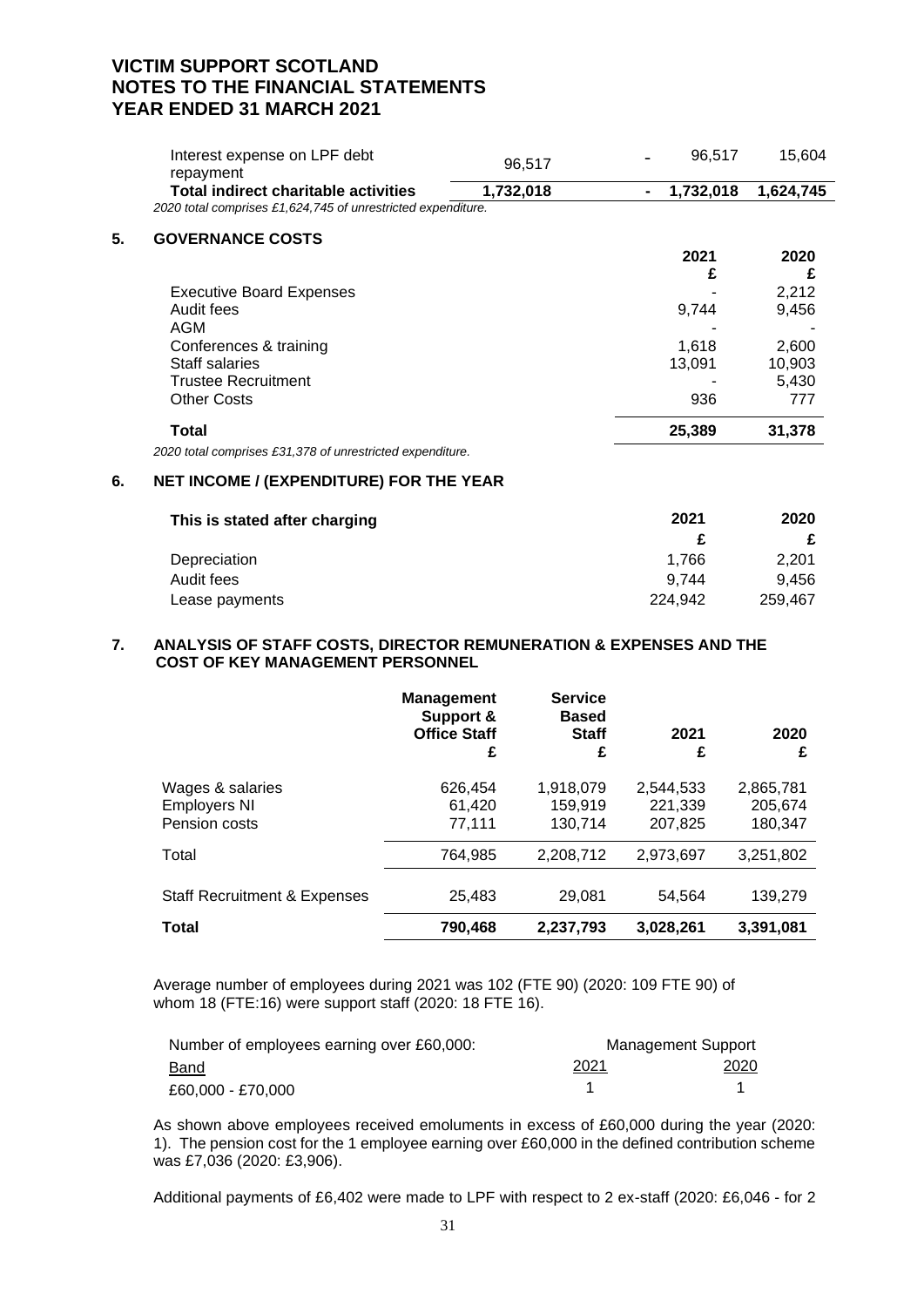|    | Interest expense on LPF debt<br>repayment                    | 96,517    | 96,517    | 15,604    |
|----|--------------------------------------------------------------|-----------|-----------|-----------|
|    | <b>Total indirect charitable activities</b>                  | 1,732,018 | 1,732,018 | 1,624,745 |
|    | 2020 total comprises £1,624,745 of unrestricted expenditure. |           |           |           |
| 5. | <b>GOVERNANCE COSTS</b>                                      |           |           |           |
|    |                                                              |           | 2021      | 2020      |
|    |                                                              |           | £         |           |
|    | <b>Executive Board Expenses</b>                              |           |           | 2,212     |
|    | Audit fees                                                   |           | 9,744     | 9,456     |
|    | AGM                                                          |           |           |           |
|    | Conferences & training                                       |           | 1,618     | 2,600     |
|    | Staff salaries                                               |           | 13,091    | 10,903    |
|    | <b>Trustee Recruitment</b>                                   |           |           | 5,430     |
|    | <b>Other Costs</b>                                           |           | 936       | 777       |
|    | Total                                                        |           | 25,389    | 31,378    |
|    | 2020 total comprises £31,378 of unrestricted expenditure.    |           |           |           |
|    |                                                              |           |           |           |

# **6. NET INCOME / (EXPENDITURE) FOR THE YEAR**

| This is stated after charging | 2021    | 2020    |
|-------------------------------|---------|---------|
|                               |         |         |
| Depreciation                  | 1.766   | 2.201   |
| Audit fees                    | 9.744   | 9.456   |
| Lease payments                | 224.942 | 259.467 |

#### **7. ANALYSIS OF STAFF COSTS, DIRECTOR REMUNERATION & EXPENSES AND THE COST OF KEY MANAGEMENT PERSONNEL**

|                                                          | <b>Management</b><br>Support &<br><b>Office Staff</b><br>£ | <b>Service</b><br><b>Based</b><br><b>Staff</b><br>£ | 2021<br>£                       | 2020<br>£                       |
|----------------------------------------------------------|------------------------------------------------------------|-----------------------------------------------------|---------------------------------|---------------------------------|
| Wages & salaries<br><b>Employers NI</b><br>Pension costs | 626,454<br>61,420<br>77,111                                | 1,918,079<br>159.919<br>130.714                     | 2,544,533<br>221.339<br>207.825 | 2,865,781<br>205.674<br>180.347 |
| Total                                                    | 764,985                                                    | 2,208,712                                           | 2.973.697                       | 3,251,802                       |
| <b>Staff Recruitment &amp; Expenses</b>                  | 25,483                                                     | 29,081                                              | 54.564                          | 139,279                         |
| Total                                                    | 790,468                                                    | 2,237,793                                           | 3,028,261                       | 3,391,081                       |

Average number of employees during 2021 was 102 (FTE 90) (2020: 109 FTE 90) of whom 18 (FTE:16) were support staff (2020: 18 FTE 16).

| Number of employees earning over £60,000: | Management Support |             |
|-------------------------------------------|--------------------|-------------|
| <b>Band</b>                               | 2021               | <u>2020</u> |
| £60.000 - £70.000                         |                    |             |

As shown above employees received emoluments in excess of £60,000 during the year (2020: 1). The pension cost for the 1 employee earning over £60,000 in the defined contribution scheme was £7,036 (2020: £3,906).

Additional payments of £6,402 were made to LPF with respect to 2 ex-staff (2020: £6,046 - for 2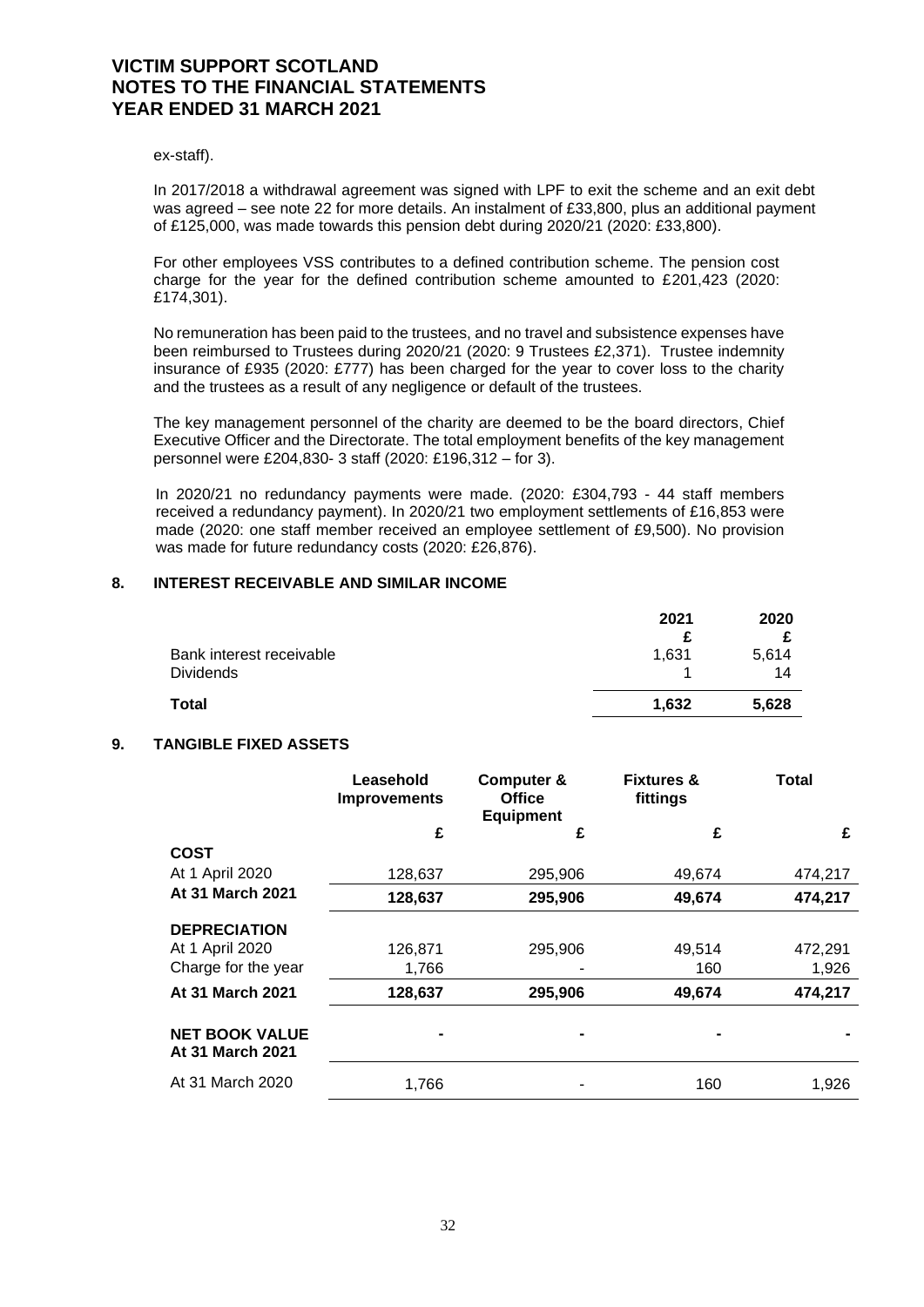ex-staff).

In 2017/2018 a withdrawal agreement was signed with LPF to exit the scheme and an exit debt was agreed – see note 22 for more details. An instalment of £33,800, plus an additional payment of £125,000, was made towards this pension debt during 2020/21 (2020: £33,800).

For other employees VSS contributes to a defined contribution scheme. The pension cost charge for the year for the defined contribution scheme amounted to £201,423 (2020: £174,301).

No remuneration has been paid to the trustees, and no travel and subsistence expenses have been reimbursed to Trustees during 2020/21 (2020: 9 Trustees £2,371). Trustee indemnity insurance of £935 (2020: £777) has been charged for the year to cover loss to the charity and the trustees as a result of any negligence or default of the trustees.

The key management personnel of the charity are deemed to be the board directors, Chief Executive Officer and the Directorate. The total employment benefits of the key management personnel were £204,830- 3 staff (2020: £196,312 – for 3).

In 2020/21 no redundancy payments were made. (2020: £304,793 - 44 staff members received a redundancy payment). In 2020/21 two employment settlements of £16,853 were made (2020: one staff member received an employee settlement of £9,500). No provision was made for future redundancy costs (2020: £26,876).

#### **8. INTEREST RECEIVABLE AND SIMILAR INCOME**

|                                              | 2021  | 2020        |
|----------------------------------------------|-------|-------------|
| Bank interest receivable<br><b>Dividends</b> | 1,631 | 5,614<br>14 |
| <b>Total</b>                                 | 1,632 | 5,628       |

#### **9. TANGIBLE FIXED ASSETS**

|                                                  | Leasehold<br><b>Improvements</b> | <b>Computer &amp;</b><br><b>Office</b><br><b>Equipment</b> | <b>Fixtures &amp;</b><br>fittings | Total   |
|--------------------------------------------------|----------------------------------|------------------------------------------------------------|-----------------------------------|---------|
|                                                  | £                                | £                                                          | £                                 | £       |
| <b>COST</b>                                      |                                  |                                                            |                                   |         |
| At 1 April 2020                                  | 128,637                          | 295,906                                                    | 49,674                            | 474,217 |
| At 31 March 2021                                 | 128,637                          | 295,906                                                    | 49,674                            | 474,217 |
| <b>DEPRECIATION</b>                              |                                  |                                                            |                                   |         |
| At 1 April 2020                                  | 126,871                          | 295,906                                                    | 49,514                            | 472,291 |
| Charge for the year                              | 1,766                            |                                                            | 160                               | 1,926   |
| At 31 March 2021                                 | 128,637                          | 295,906                                                    | 49,674                            | 474,217 |
| <b>NET BOOK VALUE</b><br><b>At 31 March 2021</b> |                                  |                                                            |                                   |         |
| At 31 March 2020                                 | 1,766                            |                                                            | 160                               | 1,926   |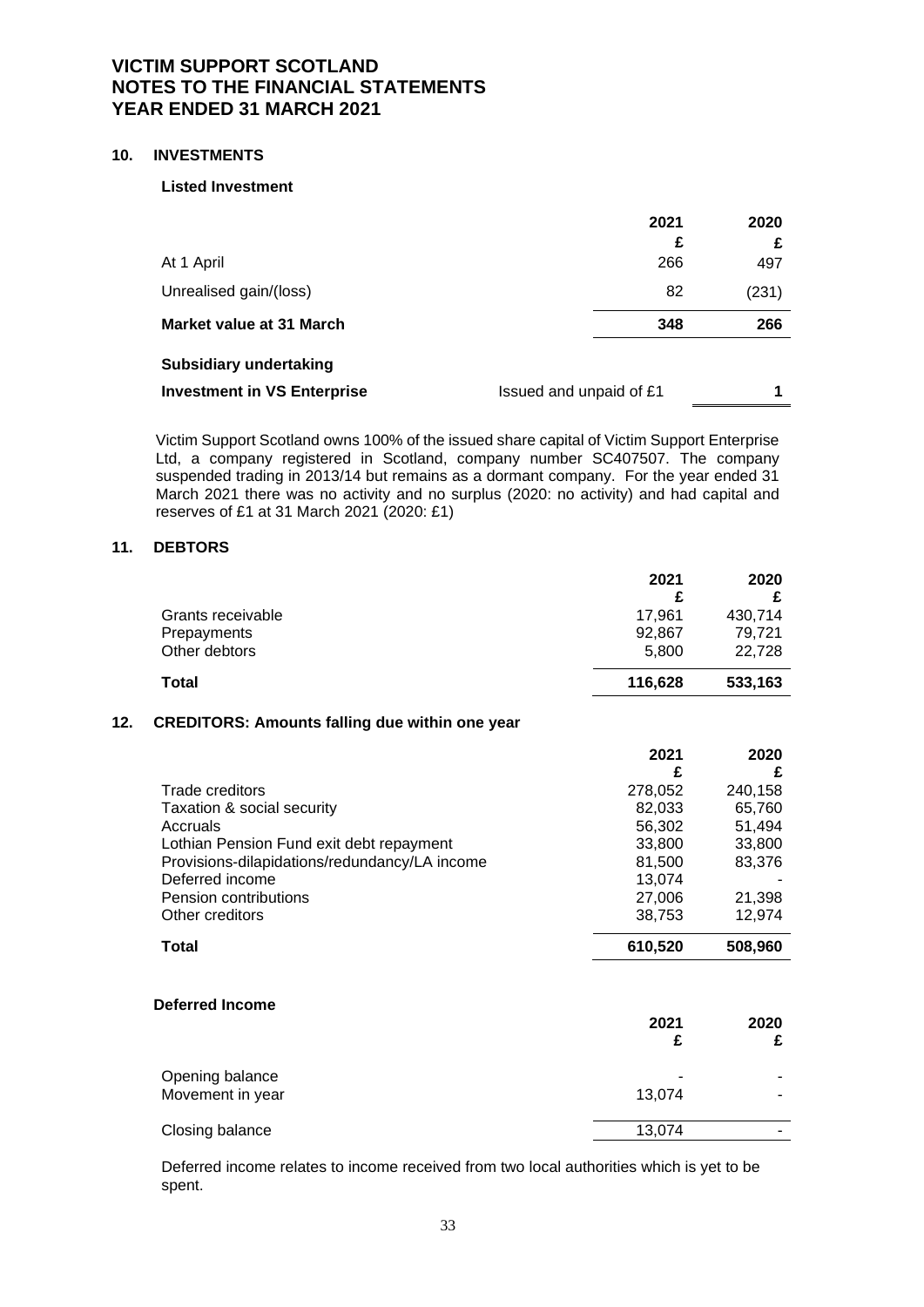#### **10. INVESTMENTS**

#### **Listed Investment**

| At 1 April                         | 2021<br>£<br>266        | 2020<br>497 |
|------------------------------------|-------------------------|-------------|
| Unrealised gain/(loss)             | 82                      | (231)       |
| <b>Market value at 31 March</b>    | 348                     | 266         |
| <b>Subsidiary undertaking</b>      |                         |             |
| <b>Investment in VS Enterprise</b> | Issued and unpaid of £1 |             |

Victim Support Scotland owns 100% of the issued share capital of Victim Support Enterprise Ltd, a company registered in Scotland, company number SC407507. The company suspended trading in 2013/14 but remains as a dormant company. For the year ended 31 March 2021 there was no activity and no surplus (2020: no activity) and had capital and reserves of £1 at 31 March 2021 (2020: £1)

# **11. DEBTORS**

|                   | 2021    | 2020    |
|-------------------|---------|---------|
|                   |         |         |
| Grants receivable | 17.961  | 430,714 |
| Prepayments       | 92.867  | 79.721  |
| Other debtors     | 5.800   | 22.728  |
| Total             | 116,628 | 533,163 |

#### **12. CREDITORS: Amounts falling due within one year**

|                                               | 2021    | 2020    |
|-----------------------------------------------|---------|---------|
|                                               | £       | £       |
| Trade creditors                               | 278,052 | 240,158 |
| Taxation & social security                    | 82,033  | 65,760  |
| Accruals                                      | 56,302  | 51,494  |
| Lothian Pension Fund exit debt repayment      | 33,800  | 33,800  |
| Provisions-dilapidations/redundancy/LA income | 81,500  | 83,376  |
| Deferred income                               | 13,074  |         |
| Pension contributions                         | 27,006  | 21,398  |
| Other creditors                               | 38,753  | 12,974  |
| Total                                         | 610,520 | 508,960 |
| <b>Deferred Income</b>                        |         |         |
|                                               | 2021    | 2020    |
|                                               | £       | £       |
| Opening balance                               |         |         |
| Movement in year                              | 13,074  |         |
| Closing balance                               | 13,074  |         |

Deferred income relates to income received from two local authorities which is yet to be spent.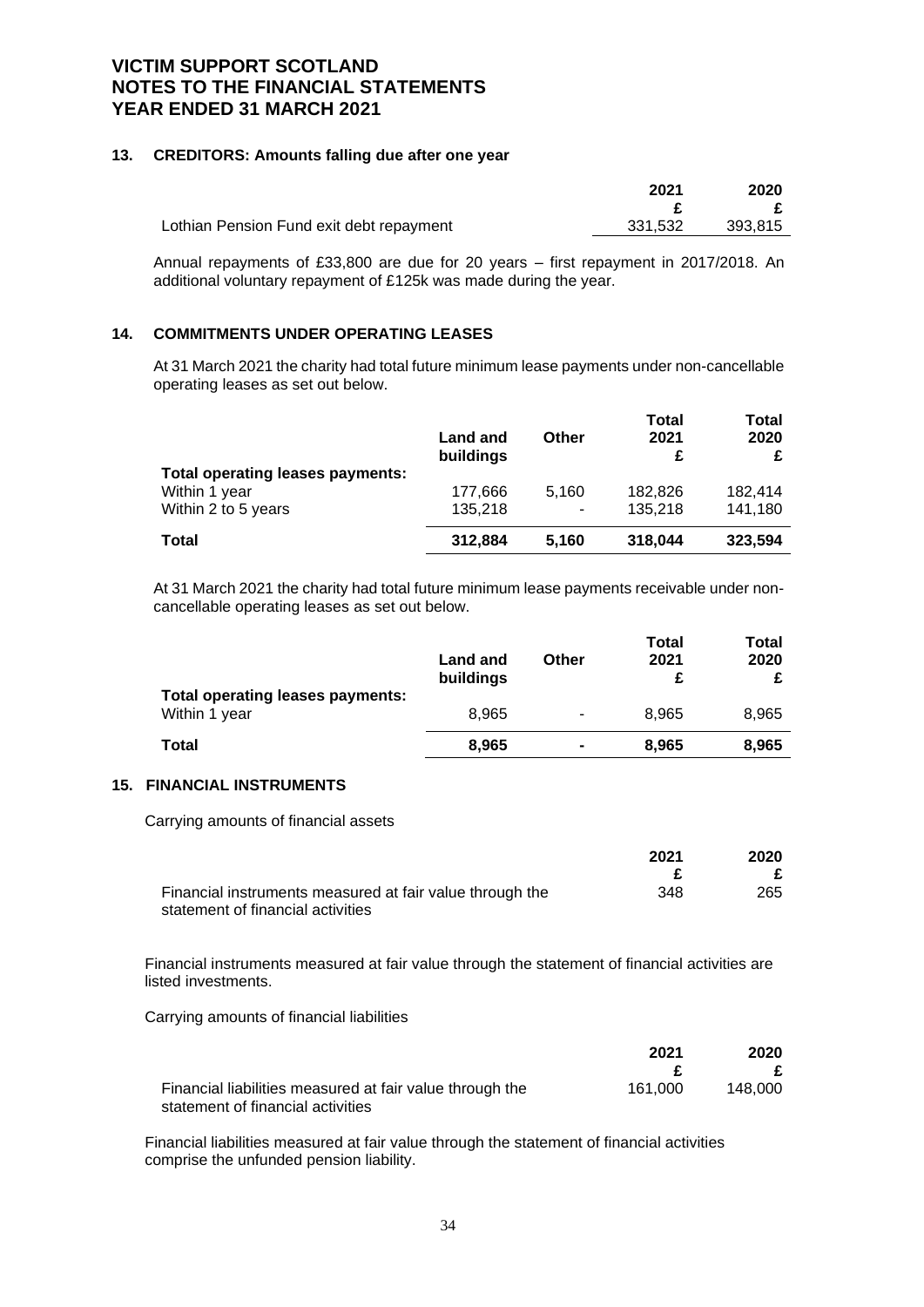### **13. CREDITORS: Amounts falling due after one year**

|                                          | 2021    | 2020    |
|------------------------------------------|---------|---------|
|                                          |         |         |
| Lothian Pension Fund exit debt repayment | 331.532 | 393.815 |

Annual repayments of £33,800 are due for 20 years – first repayment in 2017/2018. An additional voluntary repayment of £125k was made during the year.

# **14. COMMITMENTS UNDER OPERATING LEASES**

At 31 March 2021 the charity had total future minimum lease payments under non-cancellable operating leases as set out below.

|                                         | Land and<br>buildings | Other | <b>Total</b><br>2021<br>£ | Total<br>2020 |
|-----------------------------------------|-----------------------|-------|---------------------------|---------------|
| <b>Total operating leases payments:</b> |                       |       |                           |               |
| Within 1 year                           | 177,666               | 5,160 | 182,826                   | 182,414       |
| Within 2 to 5 years                     | 135,218               | ۰     | 135,218                   | 141,180       |
| <b>Total</b>                            | 312,884               | 5.160 | 318,044                   | 323,594       |

At 31 March 2021 the charity had total future minimum lease payments receivable under noncancellable operating leases as set out below.

|                                                          | <b>Land and</b><br>buildings | Other          | Total<br>2021 | Total<br>2020 |
|----------------------------------------------------------|------------------------------|----------------|---------------|---------------|
| <b>Total operating leases payments:</b><br>Within 1 year | 8.965                        | ۰              | 8.965         | 8.965         |
| Total                                                    | 8,965                        | $\blacksquare$ | 8.965         | 8,965         |

#### **15. FINANCIAL INSTRUMENTS**

Carrying amounts of financial assets

|                                                          | 2021 | 2020 |
|----------------------------------------------------------|------|------|
|                                                          |      |      |
| Financial instruments measured at fair value through the | 348  | 265  |
| statement of financial activities                        |      |      |

Financial instruments measured at fair value through the statement of financial activities are listed investments.

Carrying amounts of financial liabilities

|                                                          | 2021    | 2020    |  |
|----------------------------------------------------------|---------|---------|--|
|                                                          |         |         |  |
| Financial liabilities measured at fair value through the | 161.000 | 148.000 |  |
| statement of financial activities                        |         |         |  |

Financial liabilities measured at fair value through the statement of financial activities comprise the unfunded pension liability.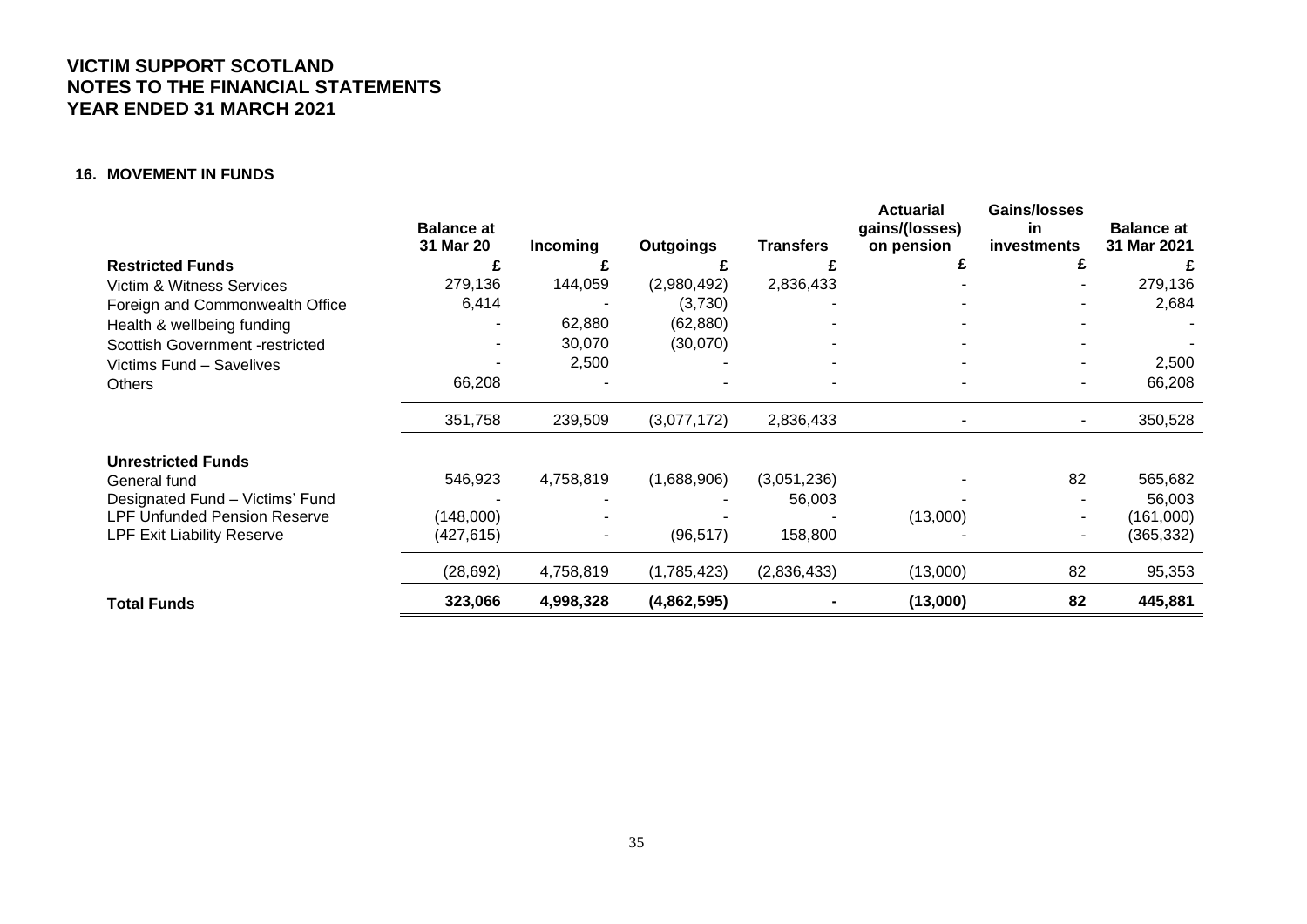### **16. MOVEMENT IN FUNDS**

|                                        | <b>Balance at</b><br>31 Mar 20 | <b>Incoming</b> | <b>Outgoings</b> | <b>Transfers</b> | Actuarial<br>gains/(losses)<br>on pension | Gains/losses<br>in<br>investments | <b>Balance at</b><br>31 Mar 2021 |
|----------------------------------------|--------------------------------|-----------------|------------------|------------------|-------------------------------------------|-----------------------------------|----------------------------------|
| <b>Restricted Funds</b>                | £                              |                 |                  |                  | £                                         | £                                 | £                                |
| Victim & Witness Services              | 279,136                        | 144,059         | (2,980,492)      | 2,836,433        |                                           |                                   | 279,136                          |
| Foreign and Commonwealth Office        | 6,414                          |                 | (3,730)          |                  |                                           |                                   | 2,684                            |
| Health & wellbeing funding             |                                | 62,880          | (62, 880)        |                  |                                           |                                   |                                  |
| <b>Scottish Government -restricted</b> |                                | 30,070          | (30,070)         |                  |                                           |                                   |                                  |
| Victims Fund - Savelives               |                                | 2,500           |                  |                  |                                           |                                   | 2,500                            |
| <b>Others</b>                          | 66,208                         |                 |                  |                  |                                           | ۰                                 | 66,208                           |
|                                        | 351,758                        | 239,509         | (3,077,172)      | 2,836,433        |                                           |                                   | 350,528                          |
| <b>Unrestricted Funds</b>              |                                |                 |                  |                  |                                           |                                   |                                  |
| General fund                           | 546,923                        | 4,758,819       | (1,688,906)      | (3,051,236)      |                                           | 82                                | 565,682                          |
| Designated Fund - Victims' Fund        |                                |                 |                  | 56,003           |                                           |                                   | 56,003                           |
| <b>LPF Unfunded Pension Reserve</b>    | (148,000)                      |                 |                  |                  | (13,000)                                  |                                   | (161,000)                        |
| <b>LPF Exit Liability Reserve</b>      | (427, 615)                     | ٠               | (96, 517)        | 158,800          |                                           | $\overline{\phantom{a}}$          | (365, 332)                       |
|                                        | (28, 692)                      | 4,758,819       | (1,785,423)      | (2,836,433)      | (13,000)                                  | 82                                | 95,353                           |
| <b>Total Funds</b>                     | 323,066                        | 4,998,328       | (4,862,595)      |                  | (13,000)                                  | 82                                | 445,881                          |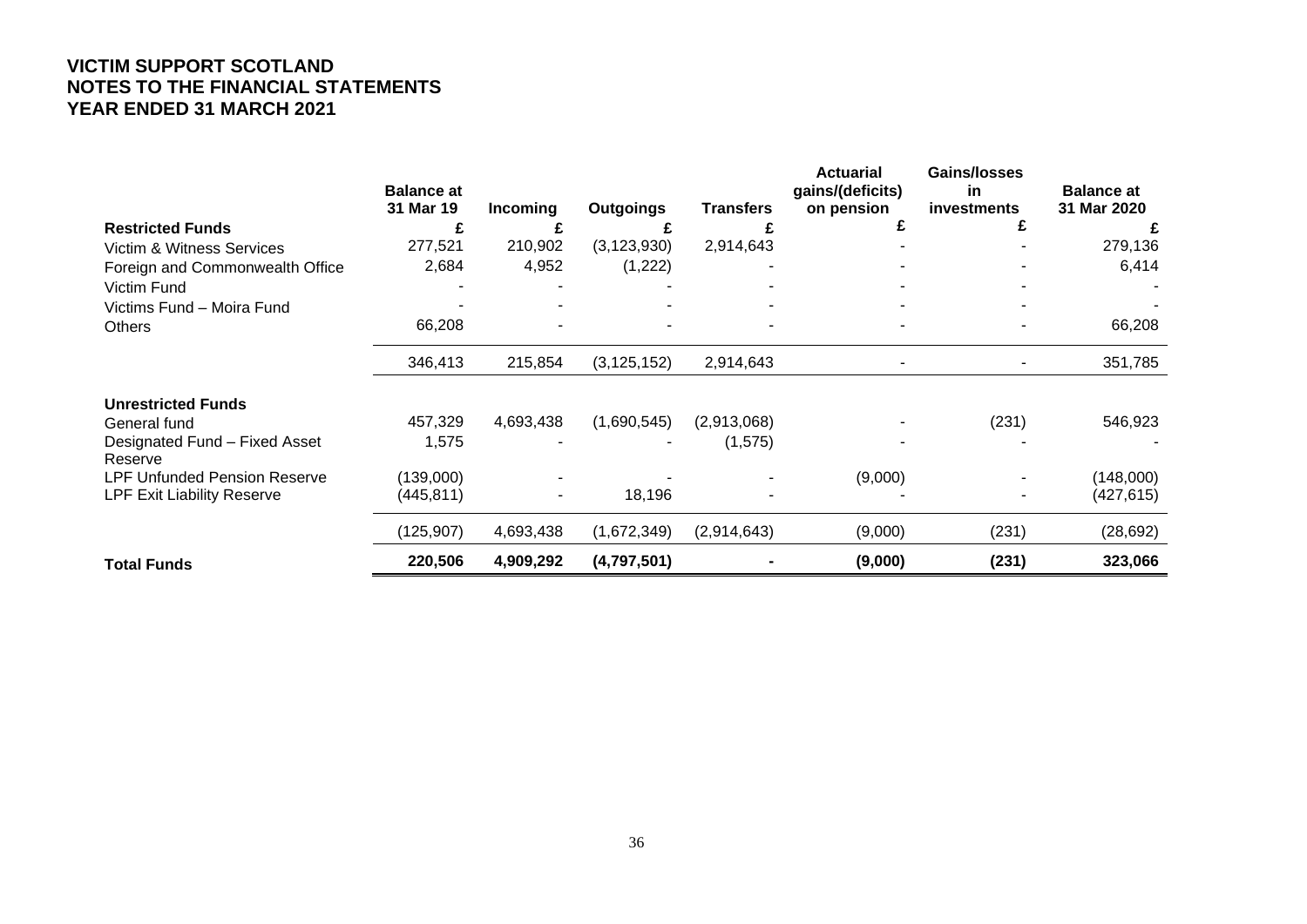|                                          | <b>Balance at</b><br>31 Mar 19 | Incoming       | <b>Outgoings</b> | <b>Transfers</b> | <b>Actuarial</b><br>gains/(deficits)<br>on pension | <b>Gains/losses</b><br>in<br><b>investments</b> | <b>Balance at</b><br>31 Mar 2020 |
|------------------------------------------|--------------------------------|----------------|------------------|------------------|----------------------------------------------------|-------------------------------------------------|----------------------------------|
| <b>Restricted Funds</b>                  | £                              |                |                  |                  |                                                    |                                                 |                                  |
| <b>Victim &amp; Witness Services</b>     | 277,521                        | 210,902        | (3, 123, 930)    | 2,914,643        |                                                    |                                                 | 279,136                          |
| Foreign and Commonwealth Office          | 2,684                          | 4,952          | (1, 222)         |                  |                                                    |                                                 | 6,414                            |
| Victim Fund                              |                                |                |                  |                  |                                                    |                                                 |                                  |
| Victims Fund - Moira Fund                |                                |                |                  |                  |                                                    |                                                 |                                  |
| <b>Others</b>                            | 66,208                         |                |                  |                  |                                                    |                                                 | 66,208                           |
|                                          | 346,413                        | 215,854        | (3, 125, 152)    | 2,914,643        |                                                    |                                                 | 351,785                          |
| <b>Unrestricted Funds</b>                |                                |                |                  |                  |                                                    |                                                 |                                  |
| General fund                             | 457,329                        | 4,693,438      | (1,690,545)      | (2,913,068)      |                                                    | (231)                                           | 546,923                          |
| Designated Fund - Fixed Asset<br>Reserve | 1,575                          |                |                  | (1,575)          |                                                    |                                                 |                                  |
| <b>LPF Unfunded Pension Reserve</b>      | (139,000)                      |                |                  |                  | (9,000)                                            |                                                 | (148,000)                        |
| <b>LPF Exit Liability Reserve</b>        | (445, 811)                     | $\blacksquare$ | 18,196           |                  |                                                    |                                                 | (427, 615)                       |
|                                          | (125, 907)                     | 4,693,438      | (1,672,349)      | (2,914,643)      | (9,000)                                            | (231)                                           | (28, 692)                        |
| <b>Total Funds</b>                       | 220,506                        | 4,909,292      | (4,797,501)      |                  | (9,000)                                            | (231)                                           | 323,066                          |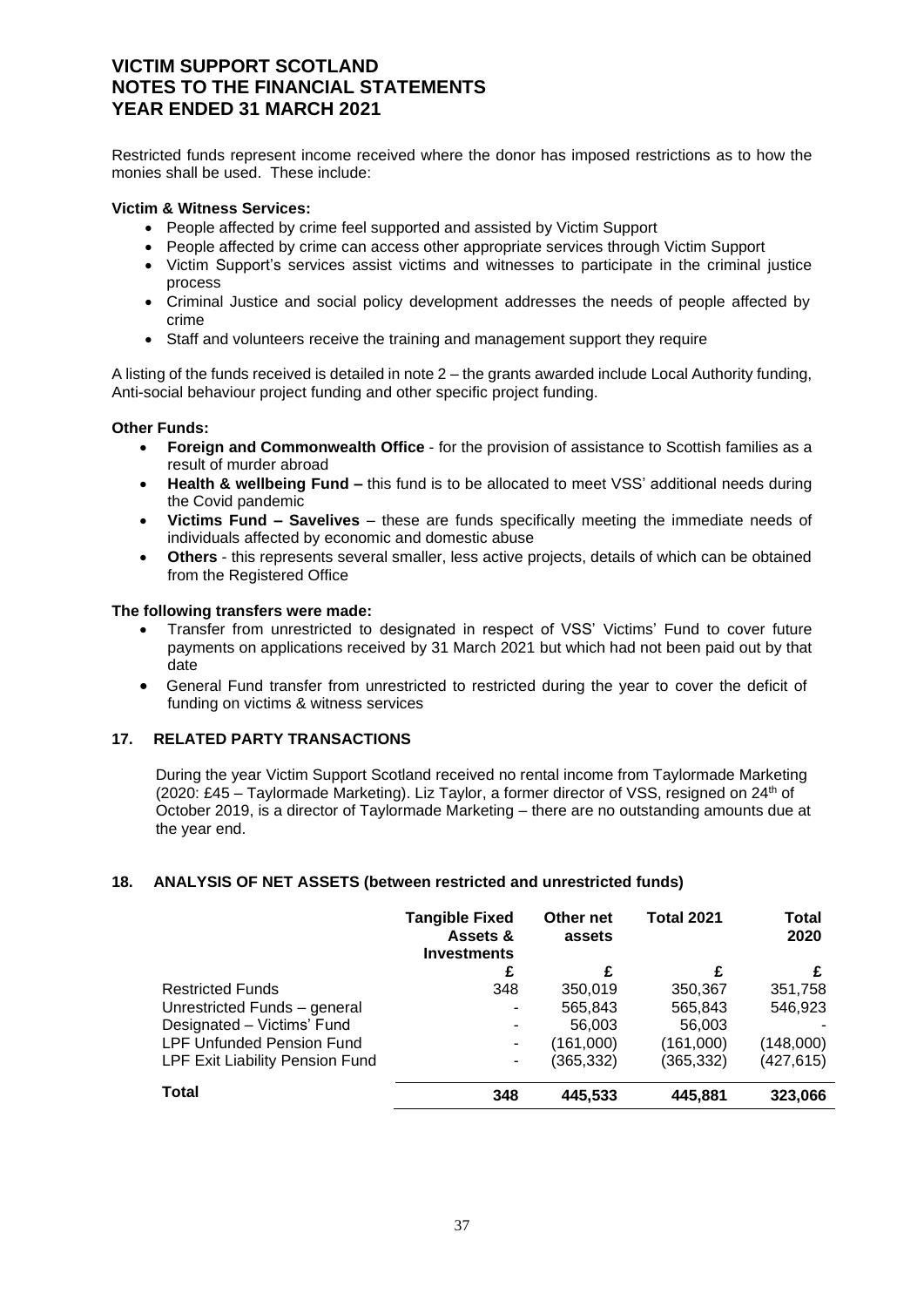Restricted funds represent income received where the donor has imposed restrictions as to how the monies shall be used. These include:

# **Victim & Witness Services:**

- People affected by crime feel supported and assisted by Victim Support
- People affected by crime can access other appropriate services through Victim Support
- Victim Support's services assist victims and witnesses to participate in the criminal justice process
- Criminal Justice and social policy development addresses the needs of people affected by crime
- Staff and volunteers receive the training and management support they require

A listing of the funds received is detailed in note 2 – the grants awarded include Local Authority funding, Anti-social behaviour project funding and other specific project funding.

### **Other Funds:**

- **Foreign and Commonwealth Office** for the provision of assistance to Scottish families as a result of murder abroad
- **Health & wellbeing Fund –** this fund is to be allocated to meet VSS' additional needs during the Covid pandemic
- **Victims Fund – Savelives** these are funds specifically meeting the immediate needs of individuals affected by economic and domestic abuse
- **Others** this represents several smaller, less active projects, details of which can be obtained from the Registered Office

### **The following transfers were made:**

- Transfer from unrestricted to designated in respect of VSS' Victims' Fund to cover future payments on applications received by 31 March 2021 but which had not been paid out by that date
- General Fund transfer from unrestricted to restricted during the year to cover the deficit of funding on victims & witness services

# **17. RELATED PARTY TRANSACTIONS**

During the year Victim Support Scotland received no rental income from Taylormade Marketing (2020: £45 – Taylormade Marketing). Liz Taylor, a former director of VSS, resigned on  $24<sup>th</sup>$  of October 2019, is a director of Taylormade Marketing – there are no outstanding amounts due at the year end.

### **18. ANALYSIS OF NET ASSETS (between restricted and unrestricted funds)**

|                                  | <b>Tangible Fixed</b><br>Assets &<br><b>Investments</b> | Other net<br>assets | <b>Total 2021</b> | <b>Total</b><br>2020 |
|----------------------------------|---------------------------------------------------------|---------------------|-------------------|----------------------|
|                                  | £                                                       | £                   | £                 |                      |
| <b>Restricted Funds</b>          | 348                                                     | 350,019             | 350,367           | 351,758              |
| Unrestricted Funds - general     |                                                         | 565,843             | 565,843           | 546,923              |
| Designated - Victims' Fund       |                                                         | 56,003              | 56,003            |                      |
| <b>LPF Unfunded Pension Fund</b> | ۰                                                       | (161,000)           | (161,000)         | (148,000)            |
| LPF Exit Liability Pension Fund  | ۰.                                                      | (365, 332)          | (365, 332)        | (427,615)            |
| <b>Total</b>                     | 348                                                     | 445,533             | 445,881           | 323,066              |